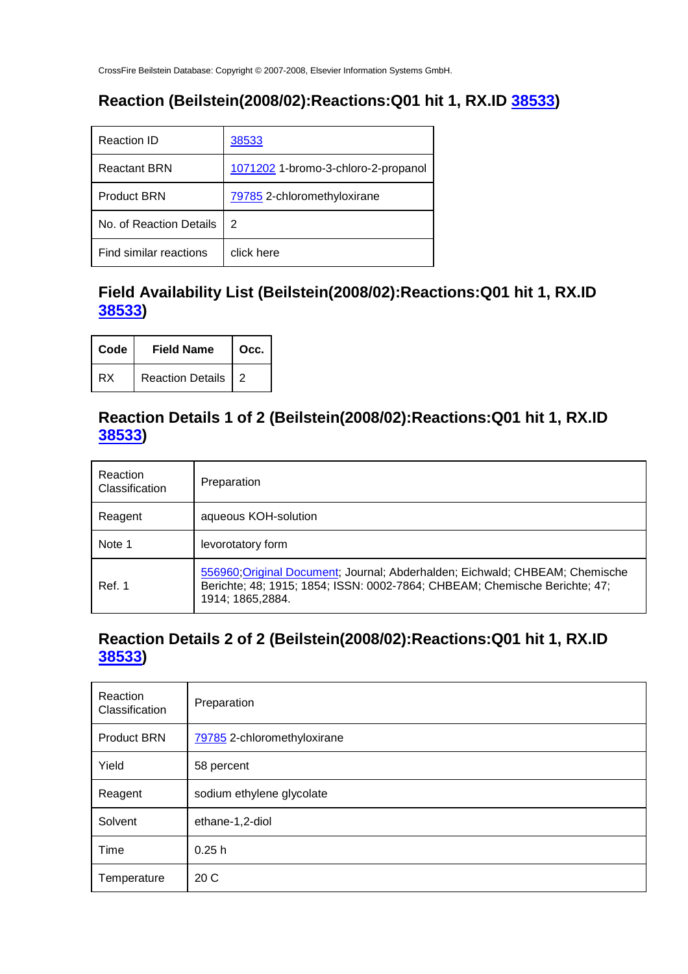# **Reaction (Beilstein(2008/02):Reactions:Q01 hit 1, RX.ID 38533)**

| Reaction ID             | 38533                               |
|-------------------------|-------------------------------------|
| <b>Reactant BRN</b>     | 1071202 1-bromo-3-chloro-2-propanol |
| <b>Product BRN</b>      | 79785 2-chloromethyloxirane         |
| No. of Reaction Details | 2                                   |
| Find similar reactions  | click here                          |

#### **Field Availability List (Beilstein(2008/02):Reactions:Q01 hit 1, RX.ID 38533)**

| Code | <b>Field Name</b>    | Occ. |
|------|----------------------|------|
| RX   | Reaction Details   2 |      |

#### **Reaction Details 1 of 2 (Beilstein(2008/02):Reactions:Q01 hit 1, RX.ID 38533)**

| Reaction<br>Classification | Preparation                                                                                                                                                                     |
|----------------------------|---------------------------------------------------------------------------------------------------------------------------------------------------------------------------------|
| Reagent                    | aqueous KOH-solution                                                                                                                                                            |
| Note 1                     | levorotatory form                                                                                                                                                               |
| Ref. 1                     | 556960; Original Document; Journal; Abderhalden; Eichwald; CHBEAM; Chemische<br>Berichte; 48; 1915; 1854; ISSN: 0002-7864; CHBEAM; Chemische Berichte; 47;<br>1914; 1865, 2884. |

#### **Reaction Details 2 of 2 (Beilstein(2008/02):Reactions:Q01 hit 1, RX.ID 38533)**

| Reaction<br>Classification | Preparation                 |
|----------------------------|-----------------------------|
| <b>Product BRN</b>         | 79785 2-chloromethyloxirane |
| Yield                      | 58 percent                  |
| Reagent                    | sodium ethylene glycolate   |
| Solvent                    | ethane-1,2-diol             |
| Time                       | 0.25h                       |
| Temperature                | 20 C                        |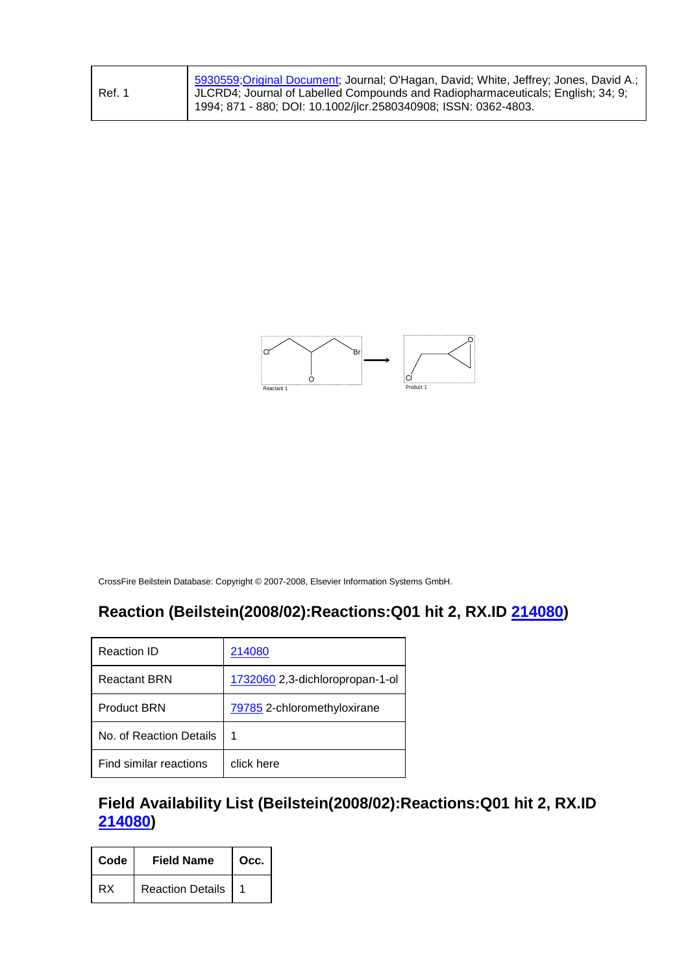| Ref. 1 | 5930559;Original Document; Journal; O'Hagan, David; White, Jeffrey; Jones, David A.;<br>  JLCRD4; Journal of Labelled Compounds and Radiopharmaceuticals; English; 34; 9;<br>1994; 871 - 880; DOI: 10.1002/jlcr.2580340908; ISSN: 0362-4803. |
|--------|----------------------------------------------------------------------------------------------------------------------------------------------------------------------------------------------------------------------------------------------|
|--------|----------------------------------------------------------------------------------------------------------------------------------------------------------------------------------------------------------------------------------------------|



# **Reaction (Beilstein(2008/02):Reactions:Q01 hit 2, RX.ID 214080)**

| Reaction ID             | 214080                          |
|-------------------------|---------------------------------|
| <b>Reactant BRN</b>     | 1732060 2,3-dichloropropan-1-ol |
| <b>Product BRN</b>      | 79785 2-chloromethyloxirane     |
| No. of Reaction Details | 1                               |
| Find similar reactions  | click here                      |

#### **Field Availability List (Beilstein(2008/02):Reactions:Q01 hit 2, RX.ID 214080)**

| Code | <b>Field Name</b> | $\overline{\phantom{a}}$ Occ. |
|------|-------------------|-------------------------------|
| RX   | Reaction Details  |                               |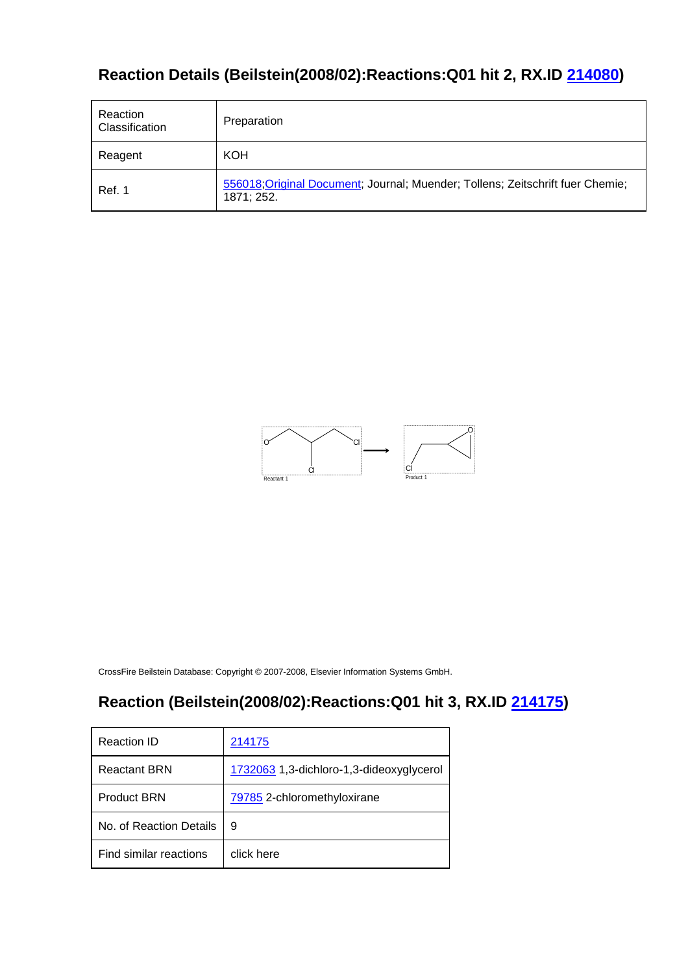# **Reaction Details (Beilstein(2008/02):Reactions:Q01 hit 2, RX.ID 214080)**

| Reaction<br>Classification | Preparation                                                                                  |
|----------------------------|----------------------------------------------------------------------------------------------|
| Reagent                    | <b>KOH</b>                                                                                   |
| Ref. 1                     | 556018; Original Document; Journal; Muender; Tollens; Zeitschrift fuer Chemie;<br>1871; 252. |



CrossFire Beilstein Database: Copyright © 2007-2008, Elsevier Information Systems GmbH.

# **Reaction (Beilstein(2008/02):Reactions:Q01 hit 3, RX.ID 214175)**

| Reaction ID             | 214175                                   |
|-------------------------|------------------------------------------|
| <b>Reactant BRN</b>     | 1732063 1,3-dichloro-1,3-dideoxyglycerol |
| <b>Product BRN</b>      | 79785 2-chloromethyloxirane              |
| No. of Reaction Details | 9                                        |
| Find similar reactions  | click here                               |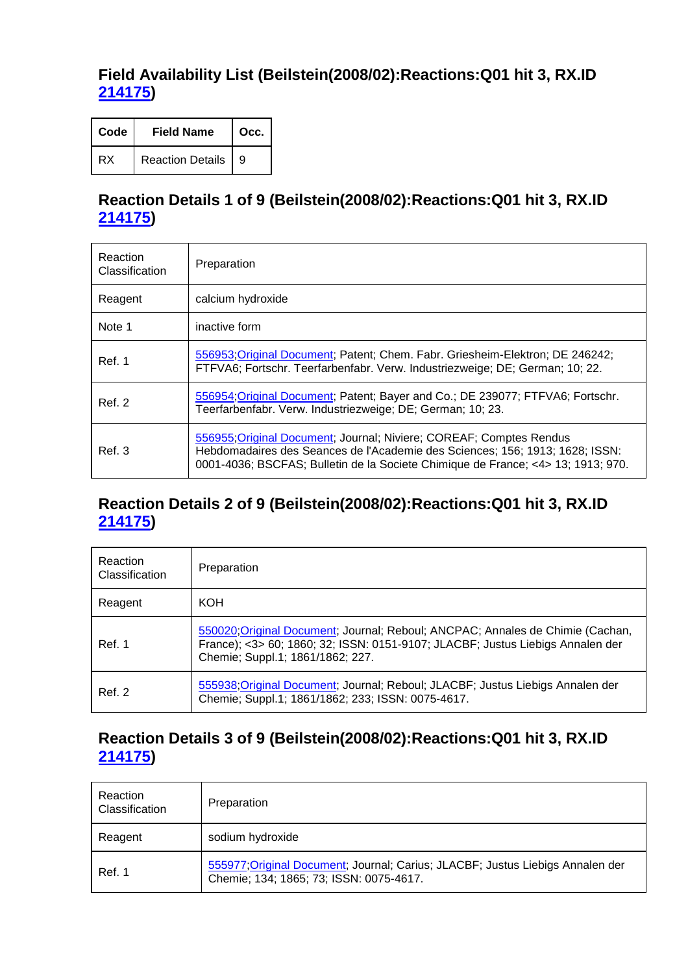#### **Field Availability List (Beilstein(2008/02):Reactions:Q01 hit 3, RX.ID 214175)**

| Code | <b>Field Name</b>       | Occ. |
|------|-------------------------|------|
| RX   | <b>Reaction Details</b> | 9    |

#### **Reaction Details 1 of 9 (Beilstein(2008/02):Reactions:Q01 hit 3, RX.ID 214175)**

| Reaction<br>Classification | Preparation                                                                                                                                                                                                                             |
|----------------------------|-----------------------------------------------------------------------------------------------------------------------------------------------------------------------------------------------------------------------------------------|
| Reagent                    | calcium hydroxide                                                                                                                                                                                                                       |
| Note 1                     | inactive form                                                                                                                                                                                                                           |
| Ref. 1                     | 556953; Original Document; Patent; Chem. Fabr. Griesheim-Elektron; DE 246242;<br>FTFVA6; Fortschr. Teerfarbenfabr. Verw. Industriezweige; DE; German; 10; 22.                                                                           |
| Ref. 2                     | 556954; Original Document; Patent; Bayer and Co.; DE 239077; FTFVA6; Fortschr.<br>Teerfarbenfabr. Verw. Industriezweige; DE; German; 10; 23.                                                                                            |
| Ref. 3                     | 556955, Original Document; Journal; Niviere; COREAF; Comptes Rendus<br>Hebdomadaires des Seances de l'Academie des Sciences; 156; 1913; 1628; ISSN:<br>0001-4036; BSCFAS; Bulletin de la Societe Chimique de France; <4> 13; 1913; 970. |

#### **Reaction Details 2 of 9 (Beilstein(2008/02):Reactions:Q01 hit 3, RX.ID 214175)**

| Reaction<br>Classification | Preparation                                                                                                                                                                                          |
|----------------------------|------------------------------------------------------------------------------------------------------------------------------------------------------------------------------------------------------|
| Reagent                    | KOH                                                                                                                                                                                                  |
| Ref. 1                     | 550020; Original Document; Journal; Reboul; ANCPAC; Annales de Chimie (Cachan,<br>France); <3> 60; 1860; 32; ISSN: 0151-9107; JLACBF; Justus Liebigs Annalen der<br>Chemie; Suppl.1; 1861/1862; 227. |
| Ref. 2                     | 555938;Original Document; Journal; Reboul; JLACBF; Justus Liebigs Annalen der<br>Chemie; Suppl.1; 1861/1862; 233; ISSN: 0075-4617.                                                                   |

#### **Reaction Details 3 of 9 (Beilstein(2008/02):Reactions:Q01 hit 3, RX.ID 214175)**

| Reaction<br>Classification | Preparation                                                                                                               |
|----------------------------|---------------------------------------------------------------------------------------------------------------------------|
| Reagent                    | sodium hydroxide                                                                                                          |
| Ref. 1                     | 555977; Original Document; Journal; Carius; JLACBF; Justus Liebigs Annalen der<br>Chemie; 134; 1865; 73; ISSN: 0075-4617. |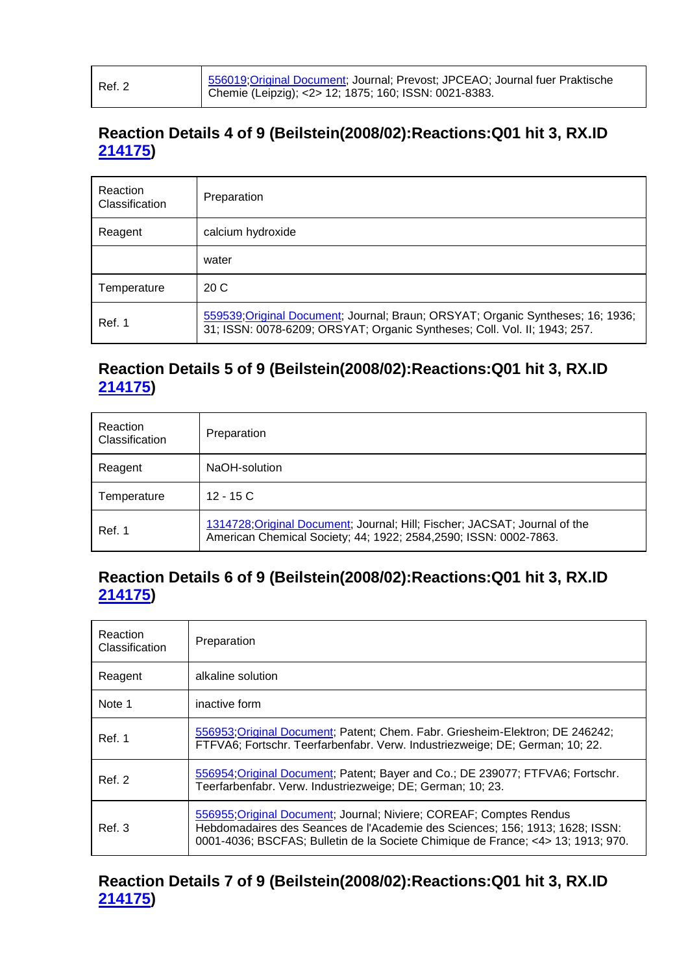| Ref. 2 | 556019; Original Document; Journal; Prevost; JPCEAO; Journal fuer Praktische<br>Chemie (Leipzig); <2> 12; 1875; 160; ISSN: 0021-8383. |
|--------|---------------------------------------------------------------------------------------------------------------------------------------|
|--------|---------------------------------------------------------------------------------------------------------------------------------------|

# **Reaction Details 4 of 9 (Beilstein(2008/02):Reactions:Q01 hit 3, RX.ID 214175)**

| Reaction<br>Classification | Preparation                                                                                                                                                 |
|----------------------------|-------------------------------------------------------------------------------------------------------------------------------------------------------------|
| Reagent                    | calcium hydroxide                                                                                                                                           |
|                            | water                                                                                                                                                       |
| Temperature                | 20C                                                                                                                                                         |
| Ref. 1                     | 559539;Original Document; Journal; Braun; ORSYAT; Organic Syntheses; 16; 1936;<br>31; ISSN: 0078-6209; ORSYAT; Organic Syntheses; Coll. Vol. II; 1943; 257. |

#### **Reaction Details 5 of 9 (Beilstein(2008/02):Reactions:Q01 hit 3, RX.ID 214175)**

| Reaction<br>Classification | Preparation                                                                                                                                     |
|----------------------------|-------------------------------------------------------------------------------------------------------------------------------------------------|
| Reagent                    | NaOH-solution                                                                                                                                   |
| Temperature                | $12 - 15C$                                                                                                                                      |
| Ref. 1                     | 1314728; Original Document; Journal; Hill; Fischer; JACSAT; Journal of the<br>American Chemical Society; 44; 1922; 2584, 2590; ISSN: 0002-7863. |

#### **Reaction Details 6 of 9 (Beilstein(2008/02):Reactions:Q01 hit 3, RX.ID 214175)**

| <b>Reaction</b><br>Classification | Preparation                                                                                                                                                                                                                             |
|-----------------------------------|-----------------------------------------------------------------------------------------------------------------------------------------------------------------------------------------------------------------------------------------|
| Reagent                           | alkaline solution                                                                                                                                                                                                                       |
| Note 1                            | inactive form                                                                                                                                                                                                                           |
| Ref. 1                            | 556953; Original Document; Patent; Chem. Fabr. Griesheim-Elektron; DE 246242;<br>FTFVA6; Fortschr. Teerfarbenfabr. Verw. Industriezweige; DE; German; 10; 22.                                                                           |
| Ref. 2                            | 556954; Original Document; Patent; Bayer and Co.; DE 239077; FTFVA6; Fortschr.<br>Teerfarbenfabr. Verw. Industriezweige; DE; German; 10; 23.                                                                                            |
| Ref. 3                            | 556955; Original Document; Journal; Niviere; COREAF; Comptes Rendus<br>Hebdomadaires des Seances de l'Academie des Sciences; 156; 1913; 1628; ISSN:<br>0001-4036; BSCFAS; Bulletin de la Societe Chimique de France; <4> 13; 1913; 970. |

**Reaction Details 7 of 9 (Beilstein(2008/02):Reactions:Q01 hit 3, RX.ID 214175)**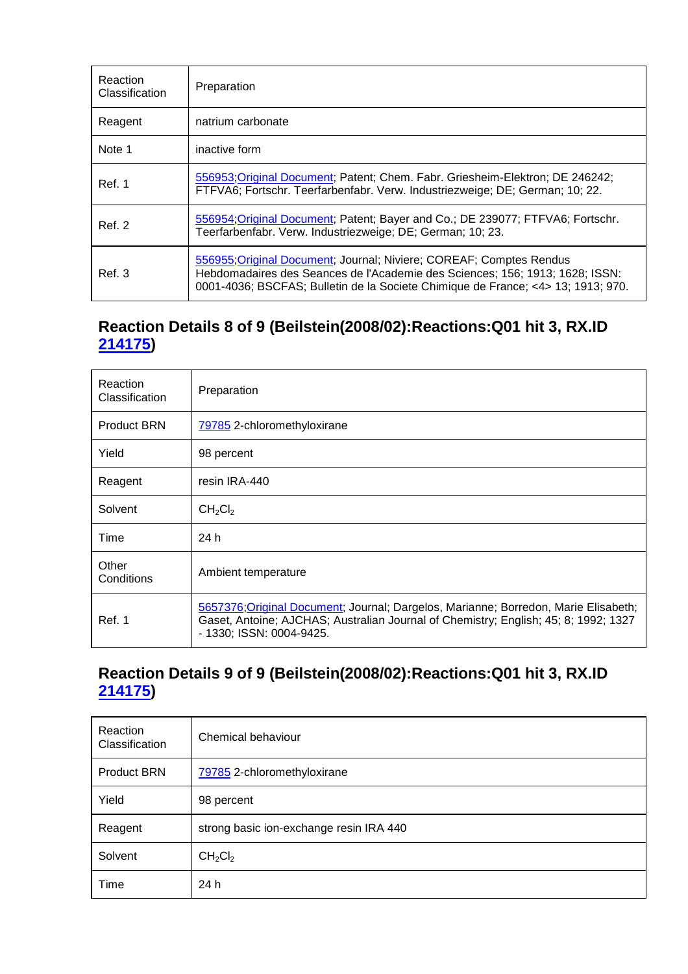| Reaction<br>Classification | Preparation                                                                                                                                                                                                                             |
|----------------------------|-----------------------------------------------------------------------------------------------------------------------------------------------------------------------------------------------------------------------------------------|
| Reagent                    | natrium carbonate                                                                                                                                                                                                                       |
| Note 1                     | inactive form                                                                                                                                                                                                                           |
| Ref. 1                     | 556953; Original Document; Patent; Chem. Fabr. Griesheim-Elektron; DE 246242;<br>FTFVA6; Fortschr. Teerfarbenfabr. Verw. Industriezweige; DE; German; 10; 22.                                                                           |
| <b>Ref. 2</b>              | 556954; Original Document; Patent; Bayer and Co.; DE 239077; FTFVA6; Fortschr.<br>Teerfarbenfabr. Verw. Industriezweige; DE; German; 10; 23.                                                                                            |
| Ref. 3                     | 556955; Original Document; Journal; Niviere; COREAF; Comptes Rendus<br>Hebdomadaires des Seances de l'Academie des Sciences; 156; 1913; 1628; ISSN:<br>0001-4036; BSCFAS; Bulletin de la Societe Chimique de France; <4> 13; 1913; 970. |

# **Reaction Details 8 of 9 (Beilstein(2008/02):Reactions:Q01 hit 3, RX.ID 214175)**

| Reaction<br>Classification | Preparation                                                                                                                                                                                            |
|----------------------------|--------------------------------------------------------------------------------------------------------------------------------------------------------------------------------------------------------|
| <b>Product BRN</b>         | 79785 2-chloromethyloxirane                                                                                                                                                                            |
| Yield                      | 98 percent                                                                                                                                                                                             |
| Reagent                    | resin IRA-440                                                                                                                                                                                          |
| Solvent                    | CH <sub>2</sub> Cl <sub>2</sub>                                                                                                                                                                        |
| Time                       | 24 h                                                                                                                                                                                                   |
| Other<br>Conditions        | Ambient temperature                                                                                                                                                                                    |
| Ref. 1                     | 5657376; Original Document; Journal; Dargelos, Marianne; Borredon, Marie Elisabeth;<br>Gaset, Antoine; AJCHAS; Australian Journal of Chemistry; English; 45; 8; 1992; 1327<br>- 1330; ISSN: 0004-9425. |

#### **Reaction Details 9 of 9 (Beilstein(2008/02):Reactions:Q01 hit 3, RX.ID 214175)**

| Reaction<br>Classification | Chemical behaviour                      |
|----------------------------|-----------------------------------------|
| <b>Product BRN</b>         | 79785 2-chloromethyloxirane             |
| Yield                      | 98 percent                              |
| Reagent                    | strong basic ion-exchange resin IRA 440 |
| Solvent                    | CH <sub>2</sub> Cl <sub>2</sub>         |
| Time                       | 24 h                                    |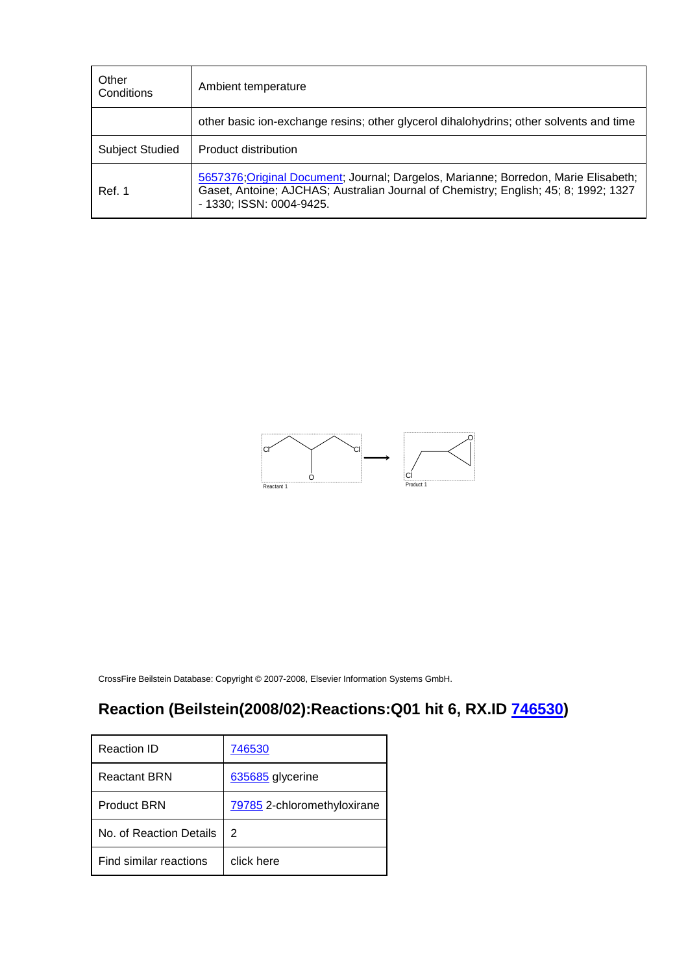| Other<br>Conditions    | Ambient temperature                                                                                                                                                                                    |
|------------------------|--------------------------------------------------------------------------------------------------------------------------------------------------------------------------------------------------------|
|                        | other basic ion-exchange resins; other glycerol dihalohydrins; other solvents and time                                                                                                                 |
| <b>Subject Studied</b> | Product distribution                                                                                                                                                                                   |
| Ref. 1                 | 5657376; Original Document; Journal; Dargelos, Marianne; Borredon, Marie Elisabeth;<br>Gaset, Antoine; AJCHAS; Australian Journal of Chemistry; English; 45; 8; 1992; 1327<br>- 1330; ISSN: 0004-9425. |



# **Reaction (Beilstein(2008/02):Reactions:Q01 hit 6, RX.ID 746530)**

| Reaction ID             | 746530                      |
|-------------------------|-----------------------------|
| Reactant BRN            | 635685 glycerine            |
| <b>Product BRN</b>      | 79785 2-chloromethyloxirane |
| No. of Reaction Details | 2                           |
| Find similar reactions  | click here                  |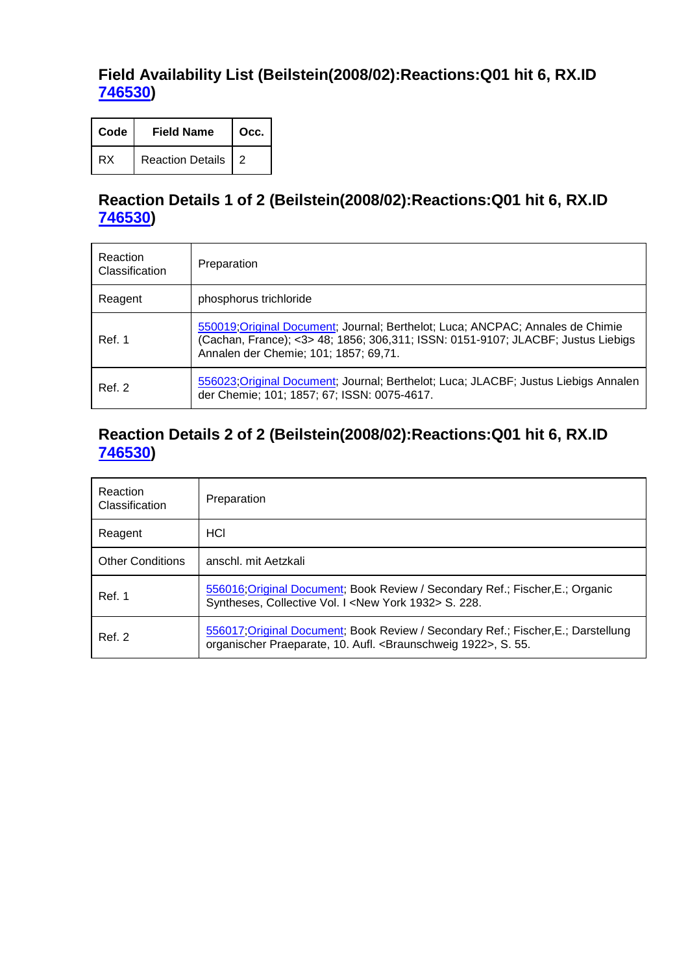# **Field Availability List (Beilstein(2008/02):Reactions:Q01 hit 6, RX.ID 746530)**

| Code | <b>Field Name</b>  | Occ. |
|------|--------------------|------|
| RX   | Reaction Details 2 |      |

# **Reaction Details 1 of 2 (Beilstein(2008/02):Reactions:Q01 hit 6, RX.ID 746530)**

| Reaction<br>Classification | Preparation                                                                                                                                                                                                 |
|----------------------------|-------------------------------------------------------------------------------------------------------------------------------------------------------------------------------------------------------------|
| Reagent                    | phosphorus trichloride                                                                                                                                                                                      |
| Ref. 1                     | 550019; Original Document; Journal; Berthelot; Luca; ANCPAC; Annales de Chimie<br>(Cachan, France); <3> 48; 1856; 306,311; ISSN: 0151-9107; JLACBF; Justus Liebigs<br>Annalen der Chemie; 101; 1857; 69,71. |
| Ref. 2                     | 556023; Original Document; Journal; Berthelot; Luca; JLACBF; Justus Liebigs Annalen<br>der Chemie; 101; 1857; 67; ISSN: 0075-4617.                                                                          |

#### **Reaction Details 2 of 2 (Beilstein(2008/02):Reactions:Q01 hit 6, RX.ID 746530)**

| Reaction<br>Classification | Preparation                                                                                                                                        |
|----------------------------|----------------------------------------------------------------------------------------------------------------------------------------------------|
| Reagent                    | HCI                                                                                                                                                |
| <b>Other Conditions</b>    | anschl. mit Aetzkali                                                                                                                               |
| Ref. 1                     | 556016, Original Document; Book Review / Secondary Ref.; Fischer, E.; Organic<br>Syntheses, Collective Vol. I <new 1932="" york=""> S. 228.</new>  |
| Ref. 2                     | 556017;Original Document; Book Review / Secondary Ref.; Fischer, E.; Darstellung<br>organischer Praeparate, 10. Aufl. < Braunschweig 1922>, S. 55. |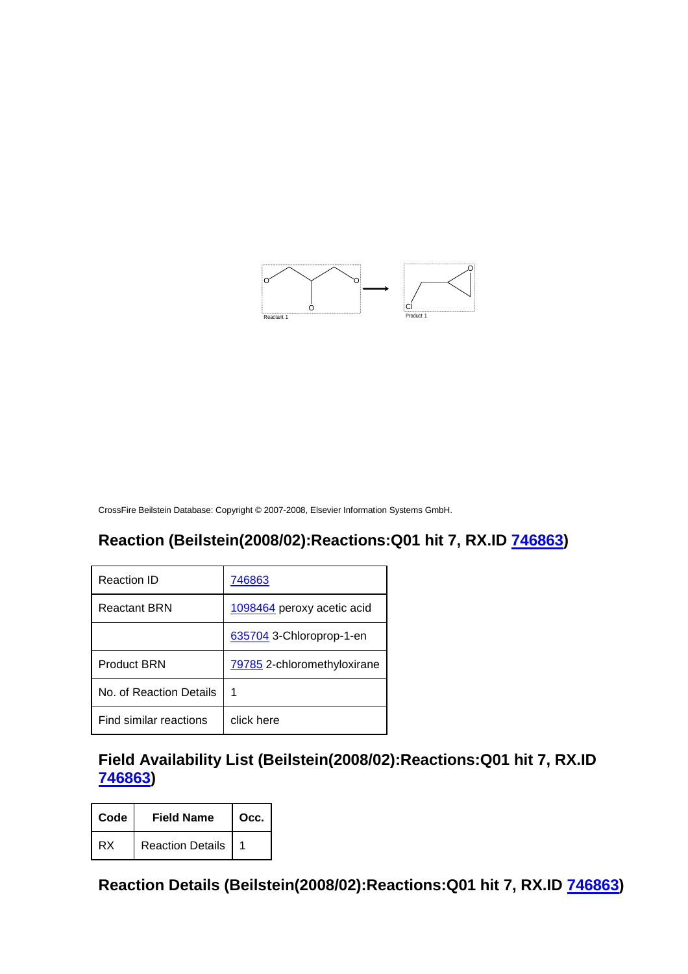

# **Reaction (Beilstein(2008/02):Reactions:Q01 hit 7, RX.ID 746863)**

| Reaction ID             | 746863                      |
|-------------------------|-----------------------------|
| <b>Reactant BRN</b>     | 1098464 peroxy acetic acid  |
|                         | 635704 3-Chloroprop-1-en    |
| <b>Product BRN</b>      | 79785 2-chloromethyloxirane |
| No. of Reaction Details | 1                           |
| Find similar reactions  | click here                  |

**Field Availability List (Beilstein(2008/02):Reactions:Q01 hit 7, RX.ID 746863)** 

| Code | <b>Field Name</b>       | Occ. |
|------|-------------------------|------|
| RX   | <b>Reaction Details</b> |      |

**Reaction Details (Beilstein(2008/02):Reactions:Q01 hit 7, RX.ID 746863)**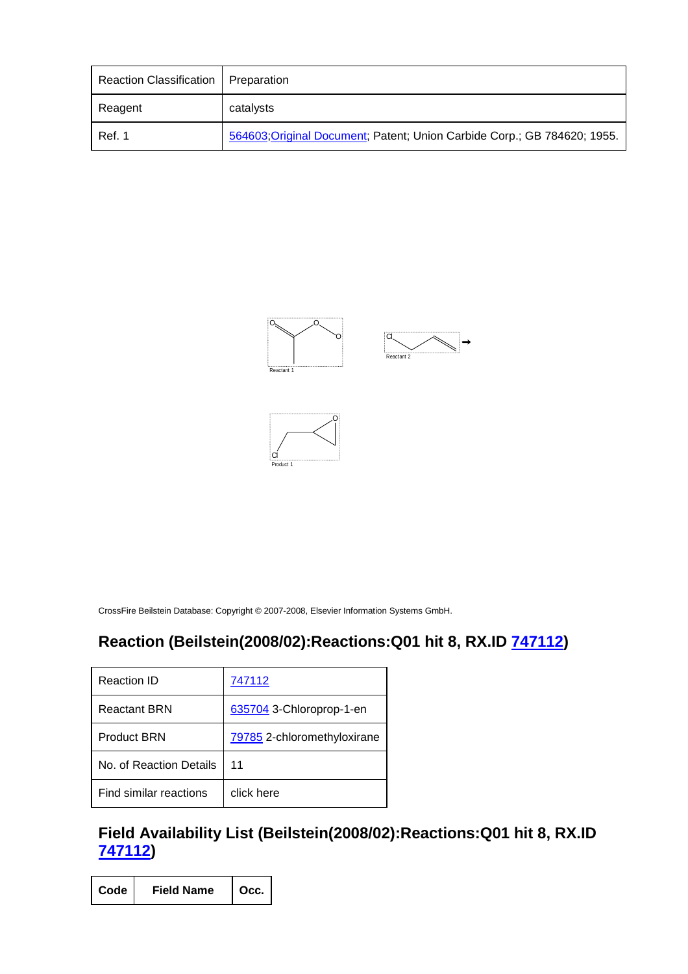| Reaction Classification | Preparation                                                              |
|-------------------------|--------------------------------------------------------------------------|
| Reagent                 | catalysts                                                                |
| Ref. 1                  | 564603; Original Document; Patent; Union Carbide Corp.; GB 784620; 1955. |





# **Reaction (Beilstein(2008/02):Reactions:Q01 hit 8, RX.ID 747112)**

| Reaction ID             | 747112                      |
|-------------------------|-----------------------------|
| Reactant BRN            | 635704 3-Chloroprop-1-en    |
| <b>Product BRN</b>      | 79785 2-chloromethyloxirane |
| No. of Reaction Details | 11                          |
| Find similar reactions  | click here                  |

### **Field Availability List (Beilstein(2008/02):Reactions:Q01 hit 8, RX.ID 747112)**

| Code | <b>Field Name</b> | $\vert$ Occ. |
|------|-------------------|--------------|
|------|-------------------|--------------|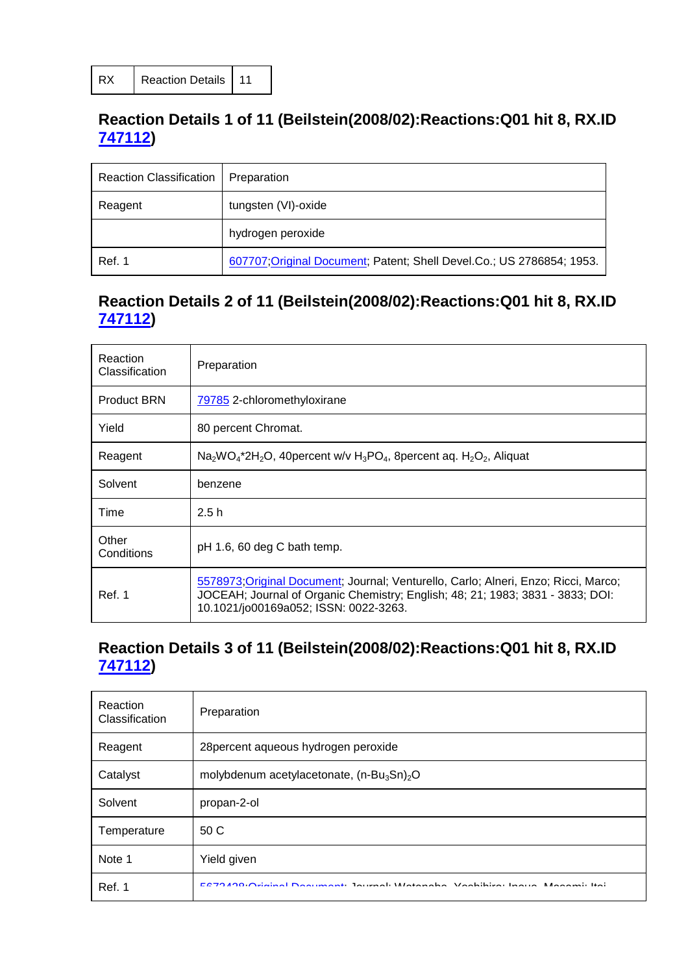# **Reaction Details 1 of 11 (Beilstein(2008/02):Reactions:Q01 hit 8, RX.ID 747112)**

| <b>Reaction Classification</b> | Preparation                                                           |
|--------------------------------|-----------------------------------------------------------------------|
| Reagent                        | tungsten (VI)-oxide                                                   |
|                                | hydrogen peroxide                                                     |
| Ref. 1                         | 607707; Original Document; Patent; Shell Devel.Co.; US 2786854; 1953. |

# **Reaction Details 2 of 11 (Beilstein(2008/02):Reactions:Q01 hit 8, RX.ID 747112)**

| Reaction<br>Classification | Preparation                                                                                                                                                                                                    |
|----------------------------|----------------------------------------------------------------------------------------------------------------------------------------------------------------------------------------------------------------|
| <b>Product BRN</b>         | 79785 2-chloromethyloxirane                                                                                                                                                                                    |
| Yield                      | 80 percent Chromat.                                                                                                                                                                                            |
| Reagent                    | $Na2WO4*2H2O$ , 40 percent w/v H <sub>3</sub> PO <sub>4</sub> , 8 percent aq. H <sub>2</sub> O <sub>2</sub> , Aliquat                                                                                          |
| Solvent                    | benzene                                                                                                                                                                                                        |
| Time                       | 2.5h                                                                                                                                                                                                           |
| Other<br>Conditions        | pH 1.6, 60 deg C bath temp.                                                                                                                                                                                    |
| Ref. 1                     | 5578973; Original Document; Journal; Venturello, Carlo; Alneri, Enzo; Ricci, Marco;<br>JOCEAH; Journal of Organic Chemistry; English; 48; 21; 1983; 3831 - 3833; DOI:<br>10.1021/jo00169a052; ISSN: 0022-3263. |

#### **Reaction Details 3 of 11 (Beilstein(2008/02):Reactions:Q01 hit 8, RX.ID 747112)**

| Reaction<br>Classification | Preparation                                                                      |
|----------------------------|----------------------------------------------------------------------------------|
| Reagent                    | 28 percent aqueous hydrogen peroxide                                             |
| Catalyst                   | molybdenum acetylacetonate, $(n-Bu_3Sn)_2O$                                      |
| Solvent                    | propan-2-ol                                                                      |
| Temperature                | 50 C                                                                             |
| Note 1                     | Yield given                                                                      |
| Ref. 1                     | E070 400 Ostation Denominate Incomedi Matematica Vantifican Income Manageri Ital |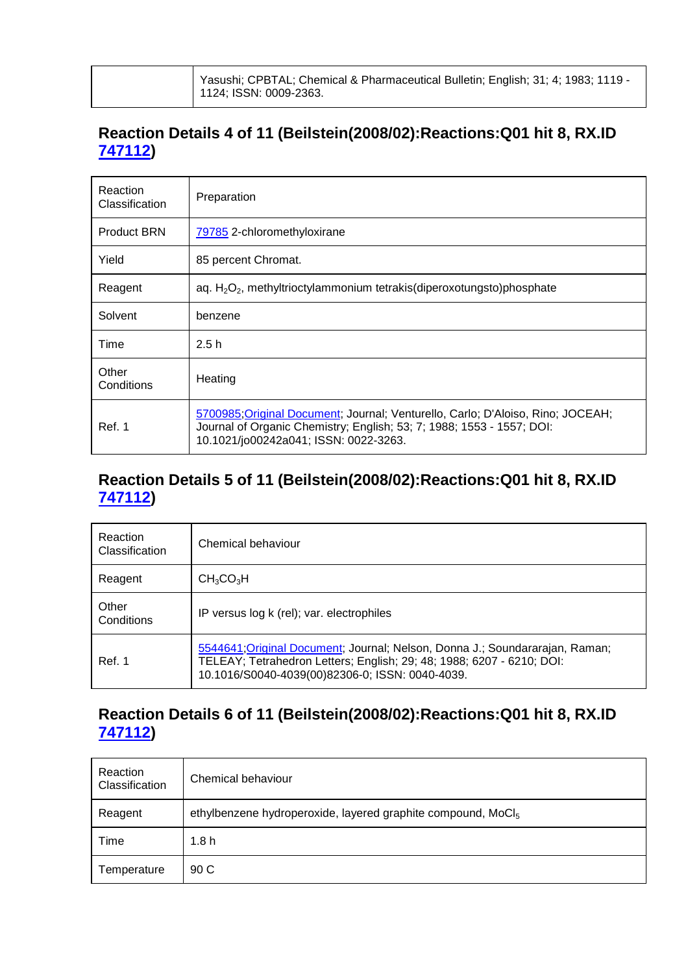| Yasushi; CPBTAL; Chemical & Pharmaceutical Bulletin; English; 31; 4; 1983; 1119 -<br>$\vert$ 1124; ISSN: 0009-2363. |
|---------------------------------------------------------------------------------------------------------------------|
|                                                                                                                     |

# **Reaction Details 4 of 11 (Beilstein(2008/02):Reactions:Q01 hit 8, RX.ID 747112)**

| Reaction<br>Classification | Preparation                                                                                                                                                                                       |
|----------------------------|---------------------------------------------------------------------------------------------------------------------------------------------------------------------------------------------------|
| <b>Product BRN</b>         | 79785 2-chloromethyloxirane                                                                                                                                                                       |
| Yield                      | 85 percent Chromat.                                                                                                                                                                               |
| Reagent                    | aq. H <sub>2</sub> O <sub>2</sub> , methyltrioctylammonium tetrakis(diperoxotungsto)phosphate                                                                                                     |
| Solvent                    | benzene                                                                                                                                                                                           |
| Time                       | 2.5h                                                                                                                                                                                              |
| Other<br>Conditions        | Heating                                                                                                                                                                                           |
| Ref. 1                     | 5700985; Original Document; Journal; Venturello, Carlo; D'Aloiso, Rino; JOCEAH;<br>Journal of Organic Chemistry; English; 53; 7; 1988; 1553 - 1557; DOI:<br>10.1021/jo00242a041; ISSN: 0022-3263. |

#### **Reaction Details 5 of 11 (Beilstein(2008/02):Reactions:Q01 hit 8, RX.ID 747112)**

| Reaction<br>Classification | Chemical behaviour                                                                                                                                                                                       |
|----------------------------|----------------------------------------------------------------------------------------------------------------------------------------------------------------------------------------------------------|
| Reagent                    | CH <sub>3</sub> CO <sub>3</sub> H                                                                                                                                                                        |
| Other<br>Conditions        | IP versus log k (rel); var. electrophiles                                                                                                                                                                |
| Ref. 1                     | 5544641; Original Document; Journal; Nelson, Donna J.; Soundararajan, Raman;<br>TELEAY; Tetrahedron Letters; English; 29; 48; 1988; 6207 - 6210; DOI:<br>10.1016/S0040-4039(00)82306-0; ISSN: 0040-4039. |

#### **Reaction Details 6 of 11 (Beilstein(2008/02):Reactions:Q01 hit 8, RX.ID 747112)**

| Reaction<br>Classification | Chemical behaviour                                                       |
|----------------------------|--------------------------------------------------------------------------|
| Reagent                    | ethylbenzene hydroperoxide, layered graphite compound, MoCl <sub>5</sub> |
| Time                       | 1.8h                                                                     |
| Temperature                | 90 C                                                                     |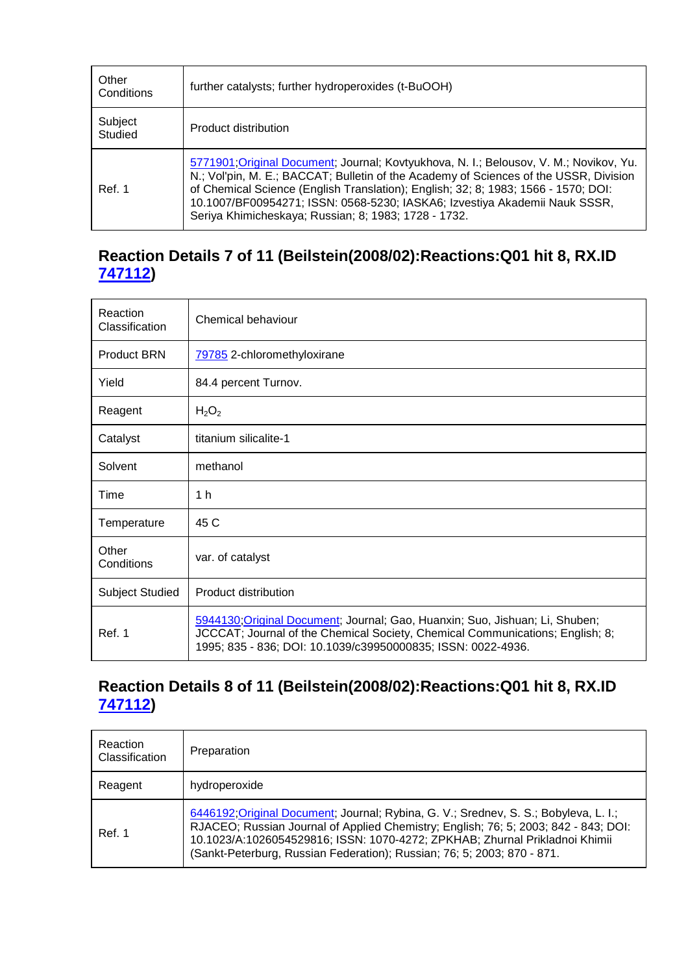| Other<br>Conditions | further catalysts; further hydroperoxides (t-BuOOH)                                                                                                                                                                                                                                                                                                                                                         |
|---------------------|-------------------------------------------------------------------------------------------------------------------------------------------------------------------------------------------------------------------------------------------------------------------------------------------------------------------------------------------------------------------------------------------------------------|
| Subject<br>Studied  | Product distribution                                                                                                                                                                                                                                                                                                                                                                                        |
| Ref. 1              | 5771901; Original Document; Journal; Kovtyukhova, N. I.; Belousov, V. M.; Novikov, Yu.<br>N.; Vol'pin, M. E.; BACCAT; Bulletin of the Academy of Sciences of the USSR, Division<br>of Chemical Science (English Translation); English; 32; 8; 1983; 1566 - 1570; DOI:<br>10.1007/BF00954271; ISSN: 0568-5230; IASKA6; Izvestiya Akademii Nauk SSSR,<br>Seriya Khimicheskaya; Russian; 8; 1983; 1728 - 1732. |

# **Reaction Details 7 of 11 (Beilstein(2008/02):Reactions:Q01 hit 8, RX.ID 747112)**

| Reaction<br>Classification | Chemical behaviour                                                                                                                                                                                                            |
|----------------------------|-------------------------------------------------------------------------------------------------------------------------------------------------------------------------------------------------------------------------------|
| <b>Product BRN</b>         | 79785 2-chloromethyloxirane                                                                                                                                                                                                   |
| Yield                      | 84.4 percent Turnov.                                                                                                                                                                                                          |
| Reagent                    | $H_2O_2$                                                                                                                                                                                                                      |
| Catalyst                   | titanium silicalite-1                                                                                                                                                                                                         |
| Solvent                    | methanol                                                                                                                                                                                                                      |
| Time                       | 1 <sub>h</sub>                                                                                                                                                                                                                |
| Temperature                | 45 C                                                                                                                                                                                                                          |
| Other<br>Conditions        | var. of catalyst                                                                                                                                                                                                              |
| <b>Subject Studied</b>     | Product distribution                                                                                                                                                                                                          |
| Ref. 1                     | 5944130; Original Document; Journal; Gao, Huanxin; Suo, Jishuan; Li, Shuben;<br>JCCCAT; Journal of the Chemical Society, Chemical Communications; English; 8;<br>1995; 835 - 836; DOI: 10.1039/c39950000835; ISSN: 0022-4936. |

# **Reaction Details 8 of 11 (Beilstein(2008/02):Reactions:Q01 hit 8, RX.ID 747112)**

| Reaction<br>Classification | Preparation                                                                                                                                                                                                                                                                                                                           |
|----------------------------|---------------------------------------------------------------------------------------------------------------------------------------------------------------------------------------------------------------------------------------------------------------------------------------------------------------------------------------|
| Reagent                    | hydroperoxide                                                                                                                                                                                                                                                                                                                         |
| Ref. 1                     | 6446192; Original Document; Journal; Rybina, G. V.; Srednev, S. S.; Bobyleva, L. I.;<br>RJACEO; Russian Journal of Applied Chemistry; English; 76; 5; 2003; 842 - 843; DOI:<br>10.1023/A:1026054529816; ISSN: 1070-4272; ZPKHAB; Zhurnal Prikladnoi Khimii<br>(Sankt-Peterburg, Russian Federation); Russian; 76; 5; 2003; 870 - 871. |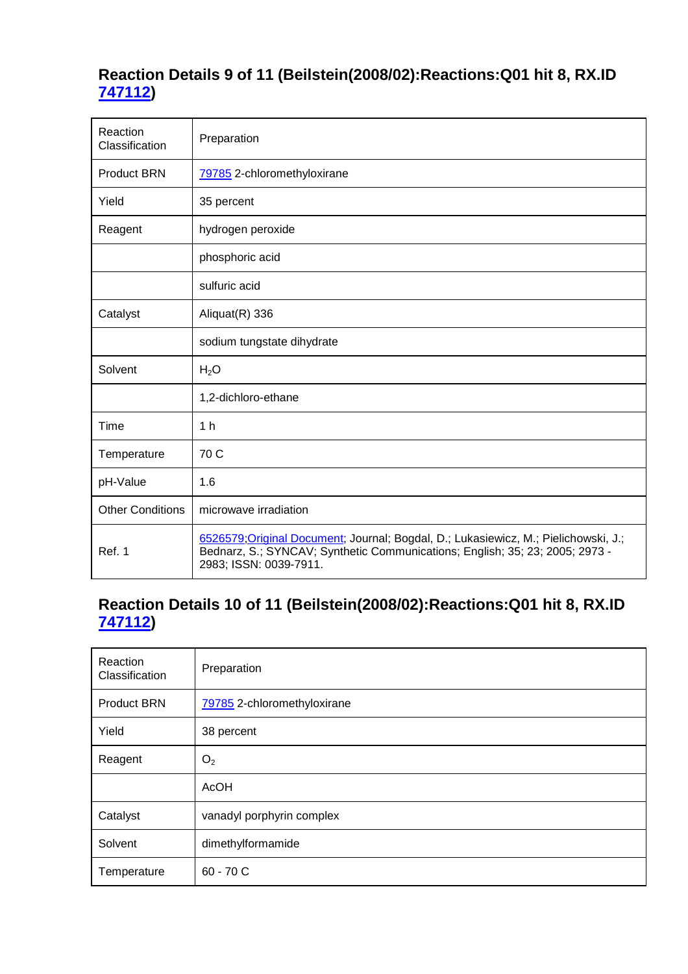# **Reaction Details 9 of 11 (Beilstein(2008/02):Reactions:Q01 hit 8, RX.ID 747112)**

| Reaction<br>Classification | Preparation                                                                                                                                                                                   |
|----------------------------|-----------------------------------------------------------------------------------------------------------------------------------------------------------------------------------------------|
| <b>Product BRN</b>         | 79785 2-chloromethyloxirane                                                                                                                                                                   |
| Yield                      | 35 percent                                                                                                                                                                                    |
| Reagent                    | hydrogen peroxide                                                                                                                                                                             |
|                            | phosphoric acid                                                                                                                                                                               |
|                            | sulfuric acid                                                                                                                                                                                 |
| Catalyst                   | Aliquat(R) 336                                                                                                                                                                                |
|                            | sodium tungstate dihydrate                                                                                                                                                                    |
| Solvent                    | H <sub>2</sub> O                                                                                                                                                                              |
|                            | 1,2-dichloro-ethane                                                                                                                                                                           |
| Time                       | 1 <sub>h</sub>                                                                                                                                                                                |
| Temperature                | 70 C                                                                                                                                                                                          |
| pH-Value                   | 1.6                                                                                                                                                                                           |
| <b>Other Conditions</b>    | microwave irradiation                                                                                                                                                                         |
| Ref. 1                     | 6526579; Original Document; Journal; Bogdal, D.; Lukasiewicz, M.; Pielichowski, J.;<br>Bednarz, S.; SYNCAV; Synthetic Communications; English; 35; 23; 2005; 2973 -<br>2983; ISSN: 0039-7911. |

# **Reaction Details 10 of 11 (Beilstein(2008/02):Reactions:Q01 hit 8, RX.ID 747112)**

| Reaction<br>Classification | Preparation                 |
|----------------------------|-----------------------------|
| <b>Product BRN</b>         | 79785 2-chloromethyloxirane |
| Yield                      | 38 percent                  |
| Reagent                    | O <sub>2</sub>              |
|                            | <b>AcOH</b>                 |
| Catalyst                   | vanadyl porphyrin complex   |
| Solvent                    | dimethylformamide           |
| Temperature                | $60 - 70C$                  |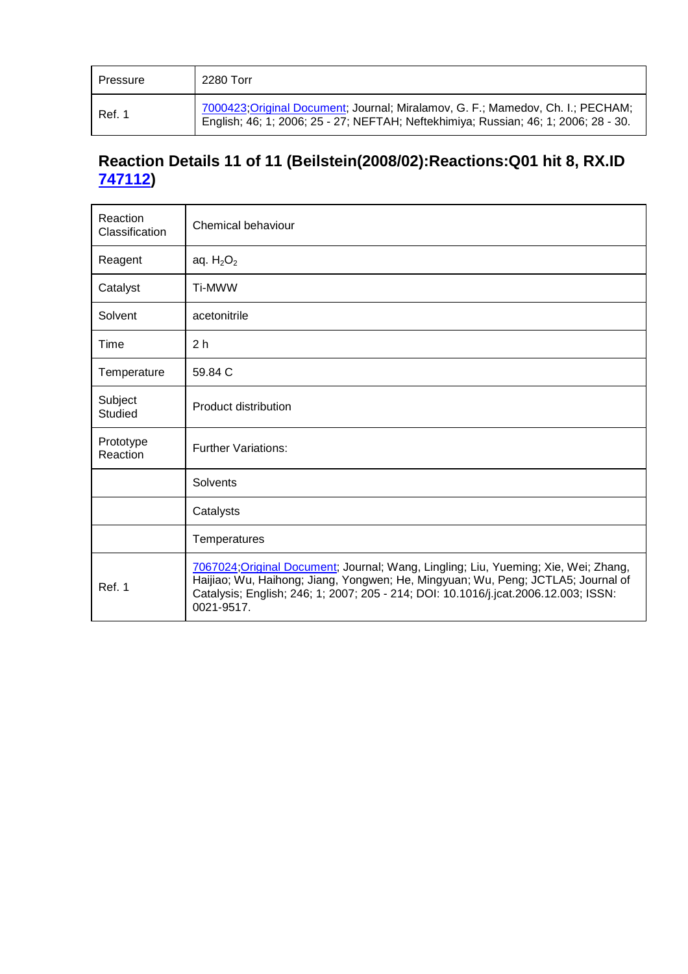| Pressure | 2280 Torr                                                                                                                                                              |
|----------|------------------------------------------------------------------------------------------------------------------------------------------------------------------------|
| Ref. 1   | 7000423; Original Document; Journal; Miralamov, G. F.; Mamedov, Ch. I.; PECHAM;<br>English; 46; 1; 2006; 25 - 27; NEFTAH; Neftekhimiya; Russian; 46; 1; 2006; 28 - 30. |

# **Reaction Details 11 of 11 (Beilstein(2008/02):Reactions:Q01 hit 8, RX.ID 747112)**

| Reaction<br>Classification | Chemical behaviour                                                                                                                                                                                                                                                           |
|----------------------------|------------------------------------------------------------------------------------------------------------------------------------------------------------------------------------------------------------------------------------------------------------------------------|
| Reagent                    | aq. $H_2O_2$                                                                                                                                                                                                                                                                 |
| Catalyst                   | Ti-MWW                                                                                                                                                                                                                                                                       |
| Solvent                    | acetonitrile                                                                                                                                                                                                                                                                 |
| Time                       | 2 <sub>h</sub>                                                                                                                                                                                                                                                               |
| Temperature                | 59.84 C                                                                                                                                                                                                                                                                      |
| Subject<br><b>Studied</b>  | <b>Product distribution</b>                                                                                                                                                                                                                                                  |
| Prototype<br>Reaction      | <b>Further Variations:</b>                                                                                                                                                                                                                                                   |
|                            | Solvents                                                                                                                                                                                                                                                                     |
|                            | Catalysts                                                                                                                                                                                                                                                                    |
|                            | Temperatures                                                                                                                                                                                                                                                                 |
| Ref. 1                     | 7067024; Original Document; Journal; Wang, Lingling; Liu, Yueming; Xie, Wei; Zhang,<br>Haijiao; Wu, Haihong; Jiang, Yongwen; He, Mingyuan; Wu, Peng; JCTLA5; Journal of<br>Catalysis; English; 246; 1; 2007; 205 - 214; DOI: 10.1016/j.jcat.2006.12.003; ISSN:<br>0021-9517. |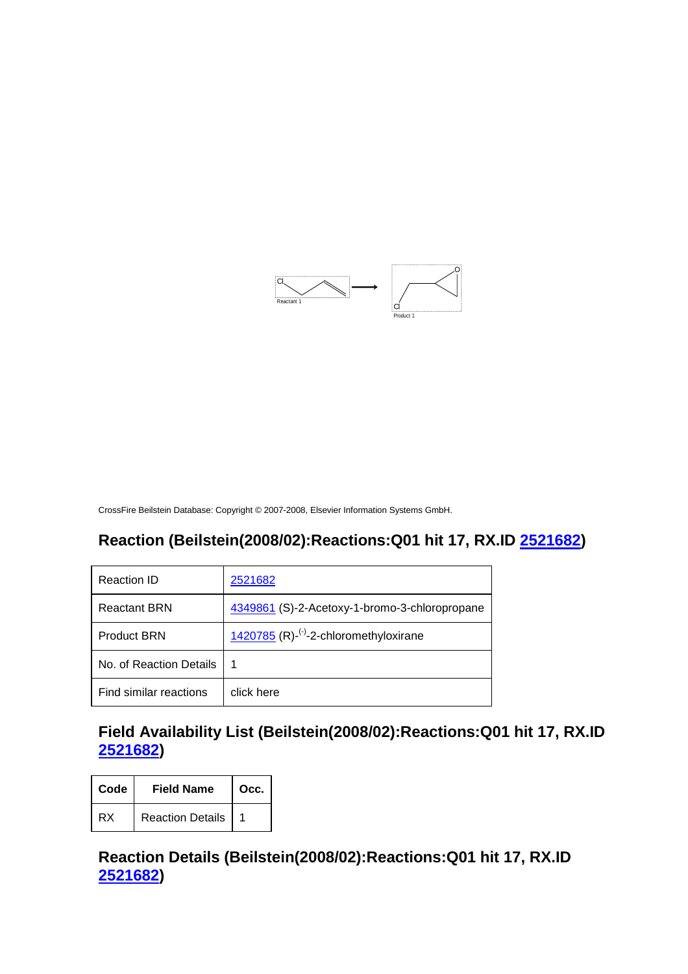

#### **Reaction (Beilstein(2008/02):Reactions:Q01 hit 17, RX.ID 2521682)**

| Reaction ID             | 2521682                                                            |
|-------------------------|--------------------------------------------------------------------|
| <b>Reactant BRN</b>     | 4349861 (S)-2-Acetoxy-1-bromo-3-chloropropane                      |
| <b>Product BRN</b>      | 1420785 $(R)$ - <sup><math>(-)</math></sup> -2-chloromethyloxirane |
| No. of Reaction Details | 1                                                                  |
| Find similar reactions  | click here                                                         |

#### **Field Availability List (Beilstein(2008/02):Reactions:Q01 hit 17, RX.ID 2521682)**

| Code | <b>Field Name</b>       | Occ. |
|------|-------------------------|------|
| RX   | <b>Reaction Details</b> |      |

#### **Reaction Details (Beilstein(2008/02):Reactions:Q01 hit 17, RX.ID 2521682)**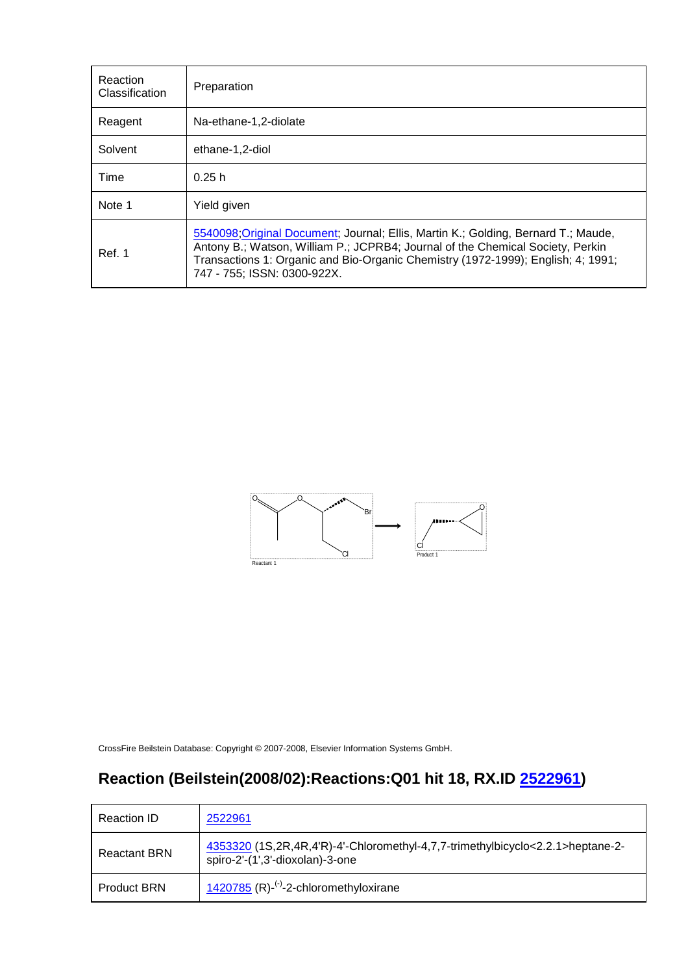| Reaction<br>Classification | Preparation                                                                                                                                                                                                                                                                             |
|----------------------------|-----------------------------------------------------------------------------------------------------------------------------------------------------------------------------------------------------------------------------------------------------------------------------------------|
| Reagent                    | Na-ethane-1,2-diolate                                                                                                                                                                                                                                                                   |
| Solvent                    | ethane-1,2-diol                                                                                                                                                                                                                                                                         |
| Time                       | 0.25h                                                                                                                                                                                                                                                                                   |
| Note 1                     | Yield given                                                                                                                                                                                                                                                                             |
| Ref. 1                     | 5540098; Original Document; Journal; Ellis, Martin K.; Golding, Bernard T.; Maude,<br>Antony B.; Watson, William P.; JCPRB4; Journal of the Chemical Society, Perkin<br>Transactions 1: Organic and Bio-Organic Chemistry (1972-1999); English; 4; 1991;<br>747 - 755; ISSN: 0300-922X. |



# **Reaction (Beilstein(2008/02):Reactions:Q01 hit 18, RX.ID 2522961)**

| Reaction ID         | 2522961                                                                                                           |
|---------------------|-------------------------------------------------------------------------------------------------------------------|
| <b>Reactant BRN</b> | 4353320 (1S,2R,4R,4'R)-4'-Chloromethyl-4,7,7-trimethylbicyclo<2.2.1>heptane-2-<br>spiro-2'-(1',3'-dioxolan)-3-one |
| <b>Product BRN</b>  | 1420785 $(R)$ - <sup>(-)</sup> -2-chloromethyloxirane                                                             |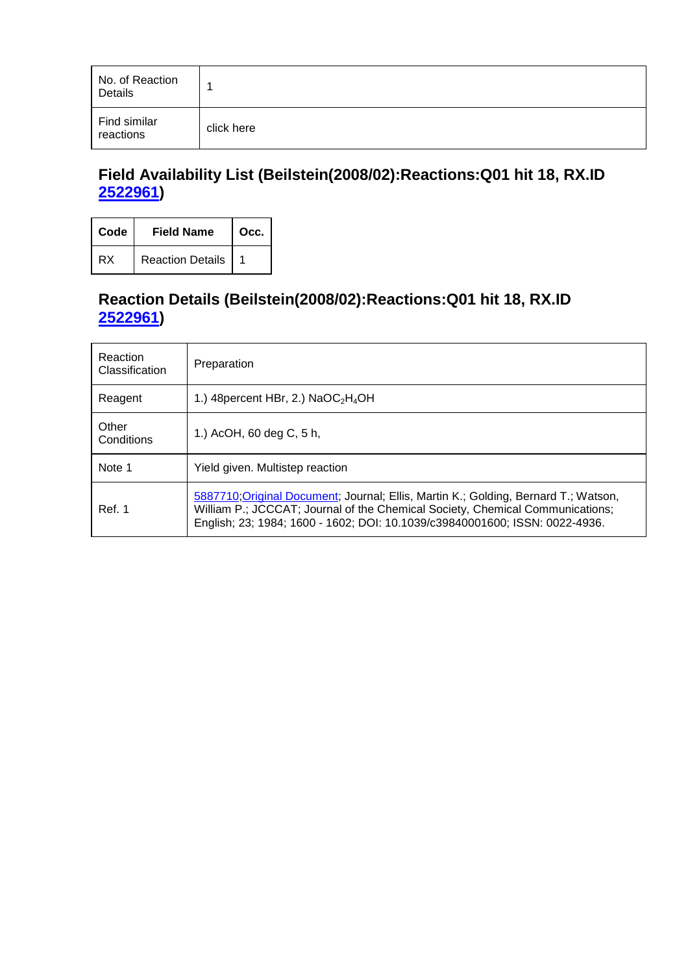| No. of Reaction<br>Details |            |
|----------------------------|------------|
| Find similar<br>reactions  | click here |

# **Field Availability List (Beilstein(2008/02):Reactions:Q01 hit 18, RX.ID 2522961)**

| Code | <b>Field Name</b>       | Occ. |
|------|-------------------------|------|
| RX   | <b>Reaction Details</b> |      |

# **Reaction Details (Beilstein(2008/02):Reactions:Q01 hit 18, RX.ID 2522961)**

| Reaction<br>Classification | Preparation                                                                                                                                                                                                                                         |
|----------------------------|-----------------------------------------------------------------------------------------------------------------------------------------------------------------------------------------------------------------------------------------------------|
| Reagent                    | 1.) 48 percent HBr, 2.) $NaOC2H4OH$                                                                                                                                                                                                                 |
| Other<br>Conditions        | 1.) AcOH, 60 deg C, 5 h,                                                                                                                                                                                                                            |
| Note 1                     | Yield given. Multistep reaction                                                                                                                                                                                                                     |
| Ref. 1                     | 5887710; Original Document; Journal; Ellis, Martin K.; Golding, Bernard T.; Watson,<br>William P.; JCCCAT; Journal of the Chemical Society, Chemical Communications;<br>English; 23; 1984; 1600 - 1602; DOI: 10.1039/c39840001600; ISSN: 0022-4936. |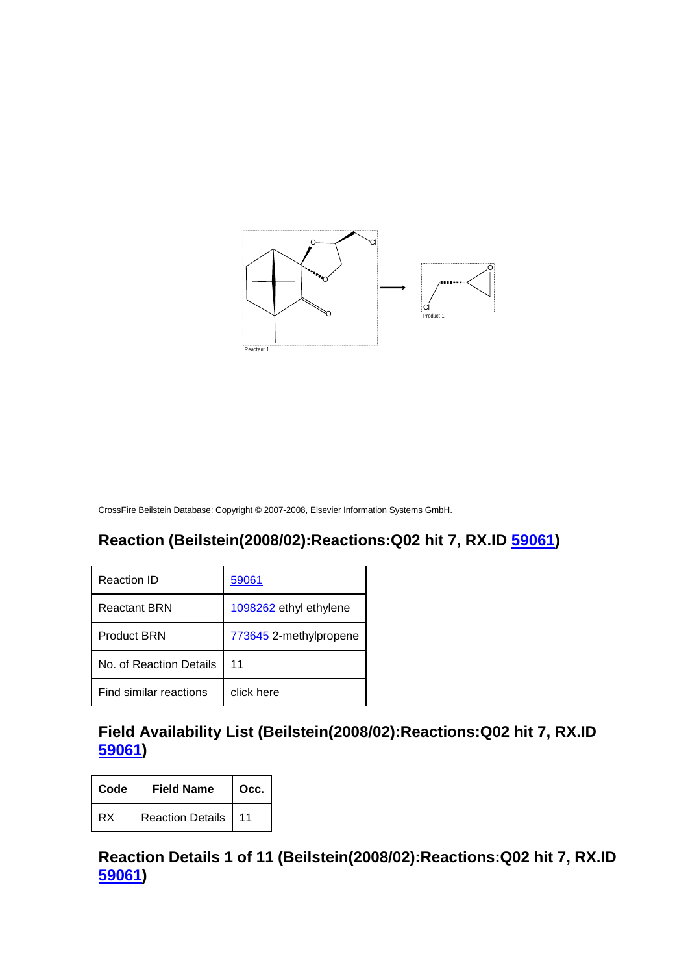

# **Reaction (Beilstein(2008/02):Reactions:Q02 hit 7, RX.ID 59061)**

| Reaction ID             | 59061                  |
|-------------------------|------------------------|
| Reactant BRN            | 1098262 ethyl ethylene |
| <b>Product BRN</b>      | 773645 2-methylpropene |
| No. of Reaction Details | 11                     |
| Find similar reactions  | click here             |

#### **Field Availability List (Beilstein(2008/02):Reactions:Q02 hit 7, RX.ID 59061)**

| Code | <b>Field Name</b>     | Occ. |
|------|-----------------------|------|
| RX   | Reaction Details   11 |      |

### **Reaction Details 1 of 11 (Beilstein(2008/02):Reactions:Q02 hit 7, RX.ID 59061)**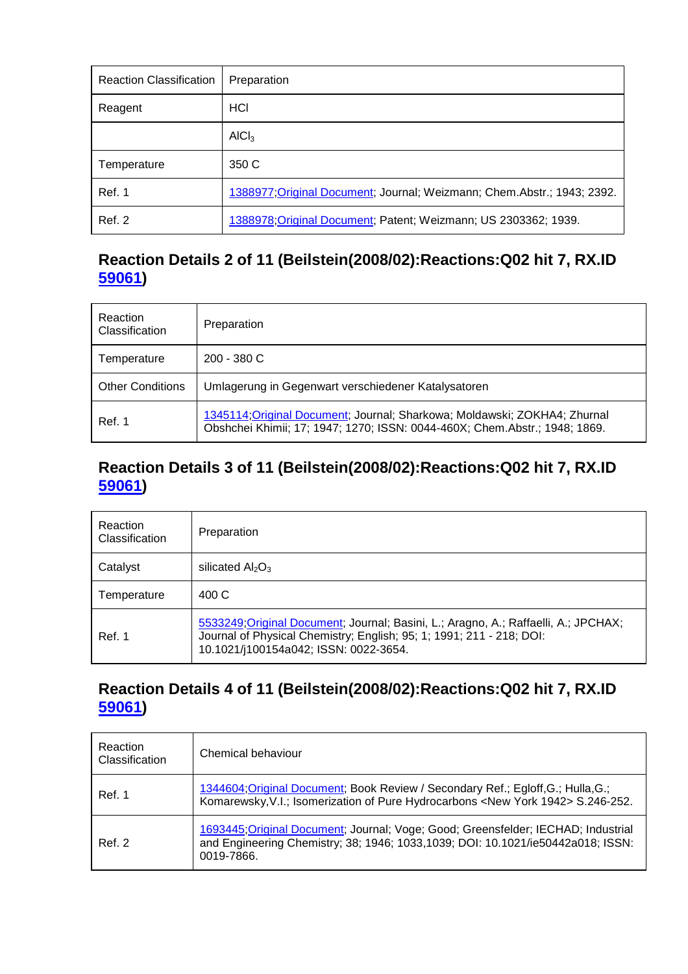| <b>Reaction Classification</b> | Preparation                                                              |
|--------------------------------|--------------------------------------------------------------------------|
| Reagent                        | HCI                                                                      |
|                                | AICI <sub>3</sub>                                                        |
| Temperature                    | 350 C                                                                    |
| Ref. 1                         | 1388977; Original Document; Journal; Weizmann; Chem. Abstr.; 1943; 2392. |
| <b>Ref. 2</b>                  | 1388978; Original Document; Patent; Weizmann; US 2303362; 1939.          |

# **Reaction Details 2 of 11 (Beilstein(2008/02):Reactions:Q02 hit 7, RX.ID 59061)**

| Reaction<br>Classification | Preparation                                                                                                                                             |
|----------------------------|---------------------------------------------------------------------------------------------------------------------------------------------------------|
| Temperature                | $200 - 380C$                                                                                                                                            |
| <b>Other Conditions</b>    | Umlagerung in Gegenwart verschiedener Katalysatoren                                                                                                     |
| Ref. 1                     | 1345114; Original Document; Journal; Sharkowa; Moldawski; ZOKHA4; Zhurnal<br>Obshchei Khimii; 17; 1947; 1270; ISSN: 0044-460X; Chem.Abstr.; 1948; 1869. |

#### **Reaction Details 3 of 11 (Beilstein(2008/02):Reactions:Q02 hit 7, RX.ID 59061)**

| Reaction<br><b>Classification</b> | Preparation                                                                                                                                                                                          |
|-----------------------------------|------------------------------------------------------------------------------------------------------------------------------------------------------------------------------------------------------|
| Catalyst                          | silicated $Al_2O_3$                                                                                                                                                                                  |
| Temperature                       | 400 C                                                                                                                                                                                                |
| Ref. 1                            | 5533249; Original Document; Journal; Basini, L.; Aragno, A.; Raffaelli, A.; JPCHAX;<br>Journal of Physical Chemistry; English; 95; 1; 1991; 211 - 218; DOI:<br>10.1021/j100154a042; ISSN: 0022-3654. |

#### **Reaction Details 4 of 11 (Beilstein(2008/02):Reactions:Q02 hit 7, RX.ID 59061)**

| Reaction<br>Classification | Chemical behaviour                                                                                                                                                                  |
|----------------------------|-------------------------------------------------------------------------------------------------------------------------------------------------------------------------------------|
| Ref. 1                     | 1344604; Original Document; Book Review / Secondary Ref.; Egloff, G.; Hulla, G.;<br>Komarewsky, V.I.; Isomerization of Pure Hydrocarbons <new 1942="" york=""> S.246-252.</new>     |
| Ref. 2                     | 1693445; Original Document; Journal; Voge; Good; Greensfelder; IECHAD; Industrial<br>and Engineering Chemistry; 38; 1946; 1033, 1039; DOI: 10.1021/ie50442a018; ISSN:<br>0019-7866. |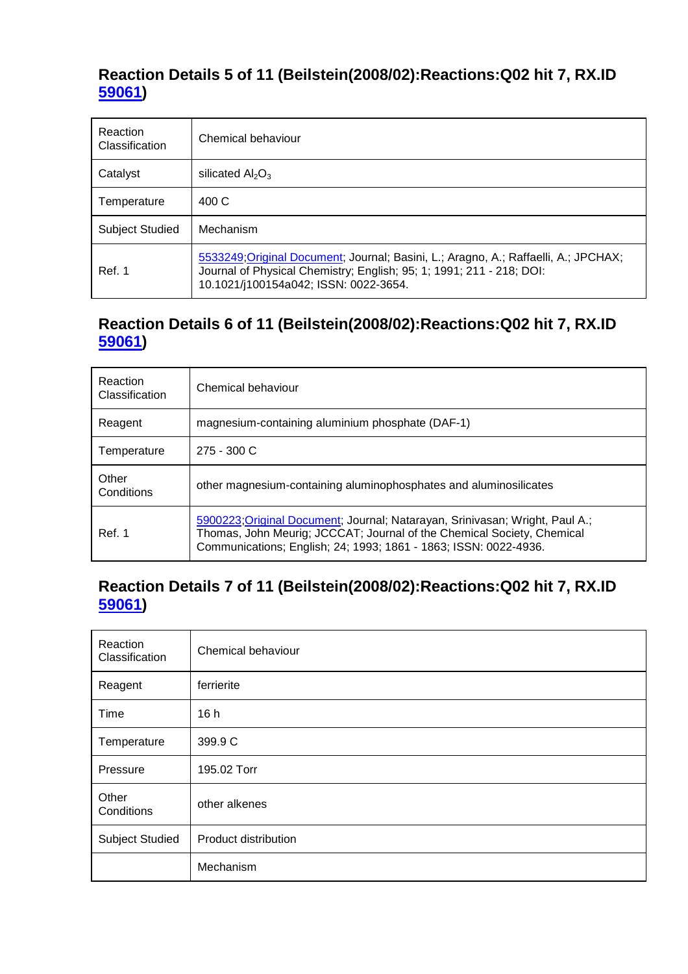#### **Reaction Details 5 of 11 (Beilstein(2008/02):Reactions:Q02 hit 7, RX.ID 59061)**

| Reaction<br>Classification | Chemical behaviour                                                                                                                                                                                   |
|----------------------------|------------------------------------------------------------------------------------------------------------------------------------------------------------------------------------------------------|
| Catalyst                   | silicated $Al_2O_3$                                                                                                                                                                                  |
| Temperature                | 400C                                                                                                                                                                                                 |
| <b>Subject Studied</b>     | Mechanism                                                                                                                                                                                            |
| Ref. 1                     | 5533249; Original Document; Journal; Basini, L.; Aragno, A.; Raffaelli, A.; JPCHAX;<br>Journal of Physical Chemistry; English; 95; 1; 1991; 211 - 218; DOI:<br>10.1021/j100154a042; ISSN: 0022-3654. |

#### **Reaction Details 6 of 11 (Beilstein(2008/02):Reactions:Q02 hit 7, RX.ID 59061)**

| Reaction<br>Classification | Chemical behaviour                                                                                                                                                                                                         |
|----------------------------|----------------------------------------------------------------------------------------------------------------------------------------------------------------------------------------------------------------------------|
| Reagent                    | magnesium-containing aluminium phosphate (DAF-1)                                                                                                                                                                           |
| Temperature                | $275 - 300 C$                                                                                                                                                                                                              |
| Other<br>Conditions        | other magnesium-containing aluminophosphates and aluminosilicates                                                                                                                                                          |
| Ref. 1                     | 5900223; Original Document; Journal; Natarayan, Srinivasan; Wright, Paul A.;<br>Thomas, John Meurig; JCCCAT; Journal of the Chemical Society, Chemical<br>Communications; English; 24; 1993; 1861 - 1863; ISSN: 0022-4936. |

#### **Reaction Details 7 of 11 (Beilstein(2008/02):Reactions:Q02 hit 7, RX.ID 59061)**

| Reaction<br>Classification | Chemical behaviour   |
|----------------------------|----------------------|
| Reagent                    | ferrierite           |
| Time                       | 16h                  |
| Temperature                | 399.9 C              |
| Pressure                   | 195.02 Torr          |
| Other<br>Conditions        | other alkenes        |
| <b>Subject Studied</b>     | Product distribution |
|                            | Mechanism            |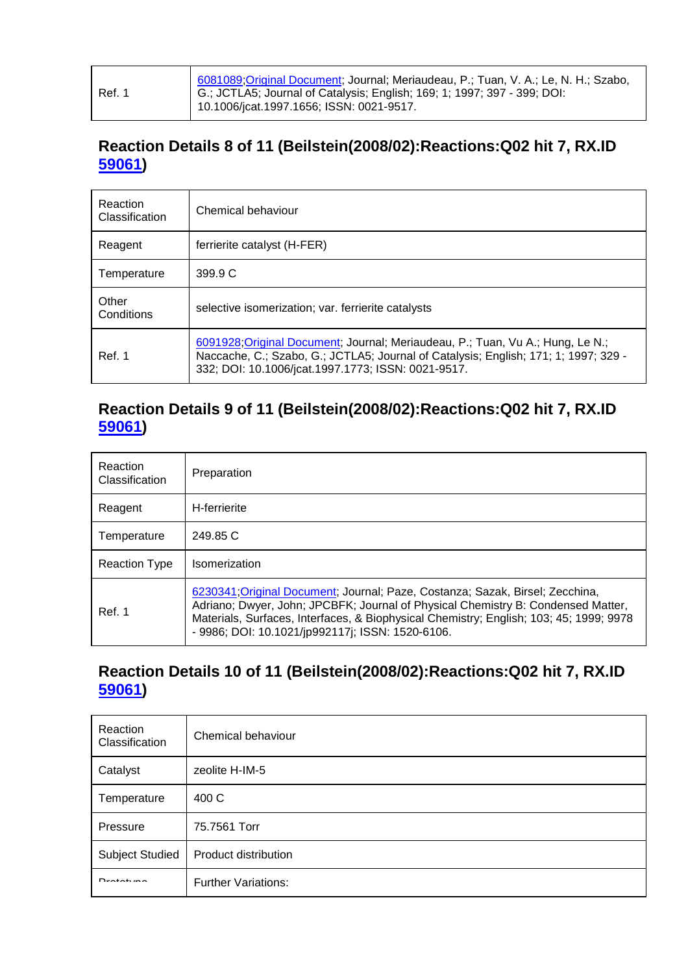| Ref. 1 | 6081089; Original Document; Journal; Meriaudeau, P.; Tuan, V. A.; Le, N. H.; Szabo,<br>G.; JCTLA5; Journal of Catalysis; English; 169; 1; 1997; 397 - 399; DOI:<br>10.1006/jcat.1997.1656; ISSN: 0021-9517. |
|--------|-------------------------------------------------------------------------------------------------------------------------------------------------------------------------------------------------------------|
|--------|-------------------------------------------------------------------------------------------------------------------------------------------------------------------------------------------------------------|

# **Reaction Details 8 of 11 (Beilstein(2008/02):Reactions:Q02 hit 7, RX.ID 59061)**

| Reaction<br>Classification | Chemical behaviour                                                                                                                                                                                                          |
|----------------------------|-----------------------------------------------------------------------------------------------------------------------------------------------------------------------------------------------------------------------------|
| Reagent                    | ferrierite catalyst (H-FER)                                                                                                                                                                                                 |
| Temperature                | 399.9 C                                                                                                                                                                                                                     |
| Other<br>Conditions        | selective isomerization; var. ferrierite catalysts                                                                                                                                                                          |
| Ref. 1                     | 6091928; Original Document; Journal; Meriaudeau, P.; Tuan, Vu A.; Hung, Le N.;<br>Naccache, C.; Szabo, G.; JCTLA5; Journal of Catalysis; English; 171; 1; 1997; 329 -<br>332; DOI: 10.1006/jcat.1997.1773; ISSN: 0021-9517. |

#### **Reaction Details 9 of 11 (Beilstein(2008/02):Reactions:Q02 hit 7, RX.ID 59061)**

| Reaction<br>Classification | Preparation                                                                                                                                                                                                                                                                                                     |
|----------------------------|-----------------------------------------------------------------------------------------------------------------------------------------------------------------------------------------------------------------------------------------------------------------------------------------------------------------|
| Reagent                    | H-ferrierite                                                                                                                                                                                                                                                                                                    |
| Temperature                | 249.85 C                                                                                                                                                                                                                                                                                                        |
| <b>Reaction Type</b>       | Isomerization                                                                                                                                                                                                                                                                                                   |
| Ref. 1                     | 6230341; Original Document; Journal; Paze, Costanza; Sazak, Birsel; Zecchina,<br>Adriano; Dwyer, John; JPCBFK; Journal of Physical Chemistry B: Condensed Matter,<br>Materials, Surfaces, Interfaces, & Biophysical Chemistry; English; 103; 45; 1999; 9978<br>- 9986; DOI: 10.1021/jp992117j; ISSN: 1520-6106. |

#### **Reaction Details 10 of 11 (Beilstein(2008/02):Reactions:Q02 hit 7, RX.ID 59061)**

| Reaction<br>Classification | Chemical behaviour         |
|----------------------------|----------------------------|
| Catalyst                   | zeolite H-IM-5             |
| Temperature                | 400 C                      |
| Pressure                   | 75.7561 Torr               |
| Subject Studied            | Product distribution       |
| $D$ <i>xatati ma</i>       | <b>Further Variations:</b> |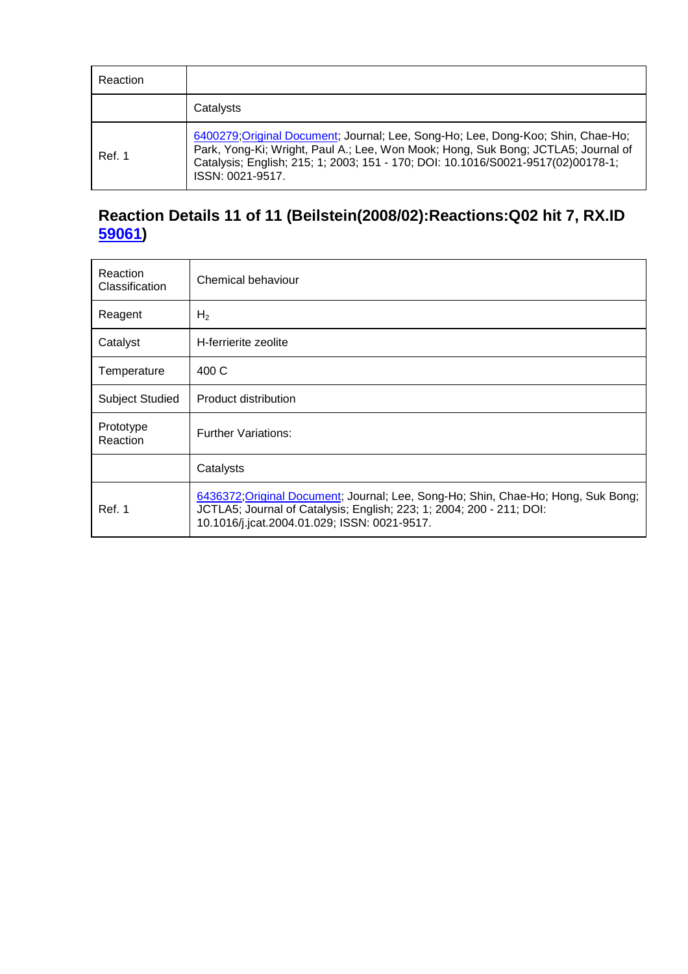| Reaction |                                                                                                                                                                                                                                                                              |
|----------|------------------------------------------------------------------------------------------------------------------------------------------------------------------------------------------------------------------------------------------------------------------------------|
|          | Catalysts                                                                                                                                                                                                                                                                    |
| Ref. 1   | 6400279;Original Document; Journal; Lee, Song-Ho; Lee, Dong-Koo; Shin, Chae-Ho;<br>Park, Yong-Ki; Wright, Paul A.; Lee, Won Mook; Hong, Suk Bong; JCTLA5; Journal of<br>Catalysis; English; 215; 1; 2003; 151 - 170; DOI: 10.1016/S0021-9517(02)00178-1;<br>ISSN: 0021-9517. |

# **Reaction Details 11 of 11 (Beilstein(2008/02):Reactions:Q02 hit 7, RX.ID 59061)**

| Reaction<br>Classification | Chemical behaviour                                                                                                                                                                                        |
|----------------------------|-----------------------------------------------------------------------------------------------------------------------------------------------------------------------------------------------------------|
| Reagent                    | H <sub>2</sub>                                                                                                                                                                                            |
| Catalyst                   | H-ferrierite zeolite                                                                                                                                                                                      |
| Temperature                | 400 C                                                                                                                                                                                                     |
| <b>Subject Studied</b>     | Product distribution                                                                                                                                                                                      |
| Prototype<br>Reaction      | <b>Further Variations:</b>                                                                                                                                                                                |
|                            | Catalysts                                                                                                                                                                                                 |
| Ref. 1                     | 6436372; Original Document; Journal; Lee, Song-Ho; Shin, Chae-Ho; Hong, Suk Bong;<br>JCTLA5; Journal of Catalysis; English; 223; 1; 2004; 200 - 211; DOI:<br>10.1016/j.jcat.2004.01.029; ISSN: 0021-9517. |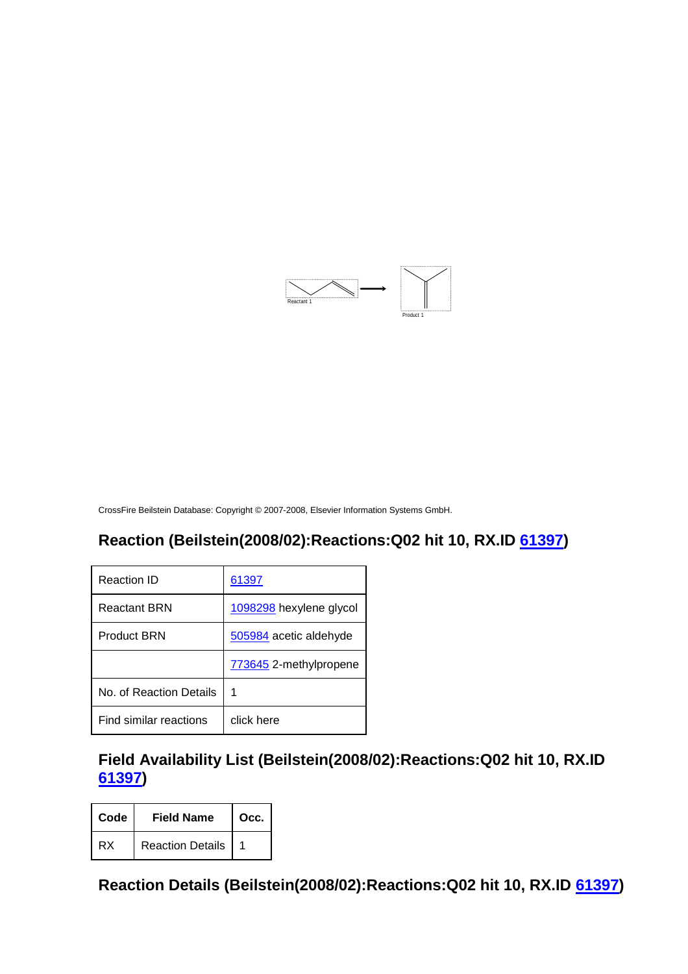

# **Reaction (Beilstein(2008/02):Reactions:Q02 hit 10, RX.ID 61397)**

| Reaction ID             | 61397                   |
|-------------------------|-------------------------|
| <b>Reactant BRN</b>     | 1098298 hexylene glycol |
| <b>Product BRN</b>      | 505984 acetic aldehyde  |
|                         | 773645 2-methylpropene  |
| No. of Reaction Details | 1                       |
| Find similar reactions  | click here              |

**Field Availability List (Beilstein(2008/02):Reactions:Q02 hit 10, RX.ID 61397)** 

| Code | <b>Field Name</b>       | Occ. |
|------|-------------------------|------|
| RX   | <b>Reaction Details</b> |      |

**Reaction Details (Beilstein(2008/02):Reactions:Q02 hit 10, RX.ID 61397)**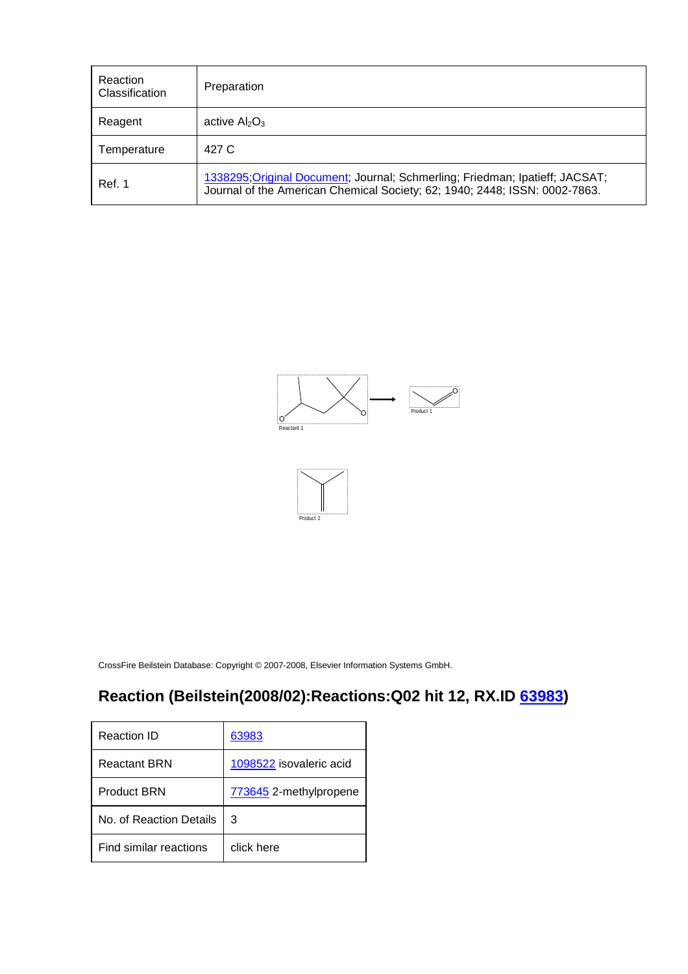| Reaction<br>Classification | Preparation                                                                                                                                                |
|----------------------------|------------------------------------------------------------------------------------------------------------------------------------------------------------|
| Reagent                    | active $Al_2O_3$                                                                                                                                           |
| Temperature                | 427 C                                                                                                                                                      |
| Ref. 1                     | 1338295; Original Document; Journal; Schmerling; Friedman; Ipatieff; JACSAT;<br>Journal of the American Chemical Society; 62; 1940; 2448; ISSN: 0002-7863. |





# **Reaction (Beilstein(2008/02):Reactions:Q02 hit 12, RX.ID 63983)**

| Reaction ID             | 63983                   |
|-------------------------|-------------------------|
| Reactant BRN            | 1098522 isovaleric acid |
| <b>Product BRN</b>      | 773645 2-methylpropene  |
| No. of Reaction Details | З                       |
| Find similar reactions  | click here              |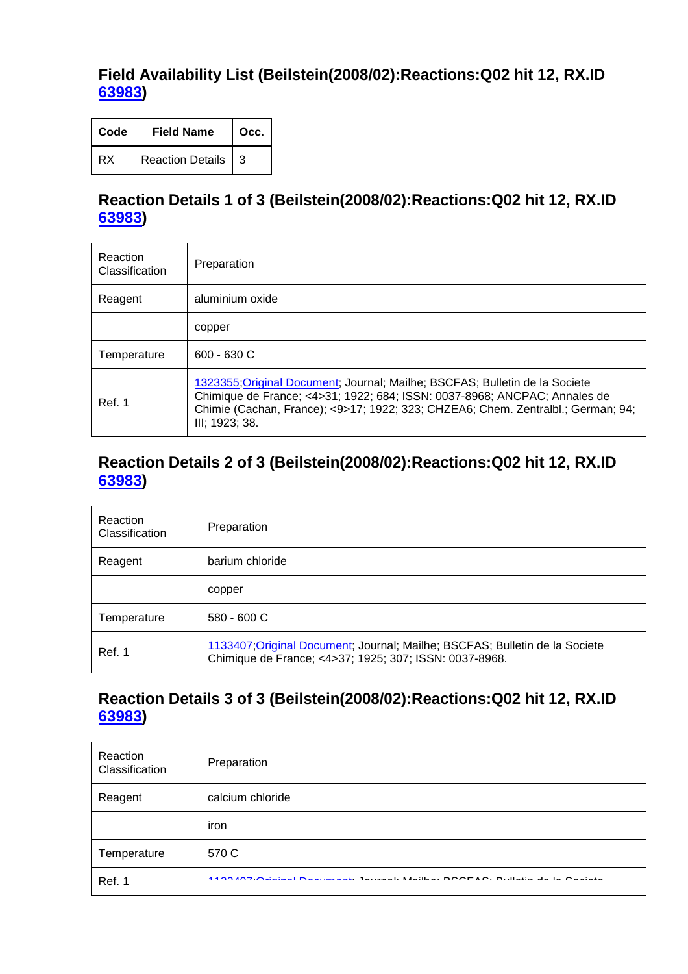#### **Field Availability List (Beilstein(2008/02):Reactions:Q02 hit 12, RX.ID 63983)**

| Code | <b>Field Name</b>       | Occ. |
|------|-------------------------|------|
| RX   | <b>Reaction Details</b> | 3    |

#### **Reaction Details 1 of 3 (Beilstein(2008/02):Reactions:Q02 hit 12, RX.ID 63983)**

| Reaction<br>Classification | Preparation                                                                                                                                                                                                                                                    |
|----------------------------|----------------------------------------------------------------------------------------------------------------------------------------------------------------------------------------------------------------------------------------------------------------|
| Reagent                    | aluminium oxide                                                                                                                                                                                                                                                |
|                            | copper                                                                                                                                                                                                                                                         |
| Temperature                | 600 - 630 C                                                                                                                                                                                                                                                    |
| Ref. 1                     | 1323355; Original Document; Journal; Mailhe; BSCFAS; Bulletin de la Societe<br>Chimique de France; <4>31; 1922; 684; ISSN: 0037-8968; ANCPAC; Annales de<br>Chimie (Cachan, France); <9>17; 1922; 323; CHZEA6; Chem. Zentralbl.; German; 94;<br>III; 1923; 38. |

#### **Reaction Details 2 of 3 (Beilstein(2008/02):Reactions:Q02 hit 12, RX.ID 63983)**

| Reaction<br>Classification | Preparation                                                                                                                           |
|----------------------------|---------------------------------------------------------------------------------------------------------------------------------------|
| Reagent                    | barium chloride                                                                                                                       |
|                            | copper                                                                                                                                |
| Temperature                | $580 - 600 C$                                                                                                                         |
| <b>Ref. 1</b>              | 1133407; Original Document; Journal; Mailhe; BSCFAS; Bulletin de la Societe<br>Chimique de France; <4>37; 1925; 307; ISSN: 0037-8968. |

#### **Reaction Details 3 of 3 (Beilstein(2008/02):Reactions:Q02 hit 12, RX.ID 63983)**

| Reaction<br>Classification | Preparation                                                                              |
|----------------------------|------------------------------------------------------------------------------------------|
| Reagent                    | calcium chloride                                                                         |
|                            | iron                                                                                     |
| Temperature                | 570 C                                                                                    |
| Ref. 1                     | <b>ALOO ANTI Original Dominant International Mailbox DOOFAO, Dullatin als Lo Ossista</b> |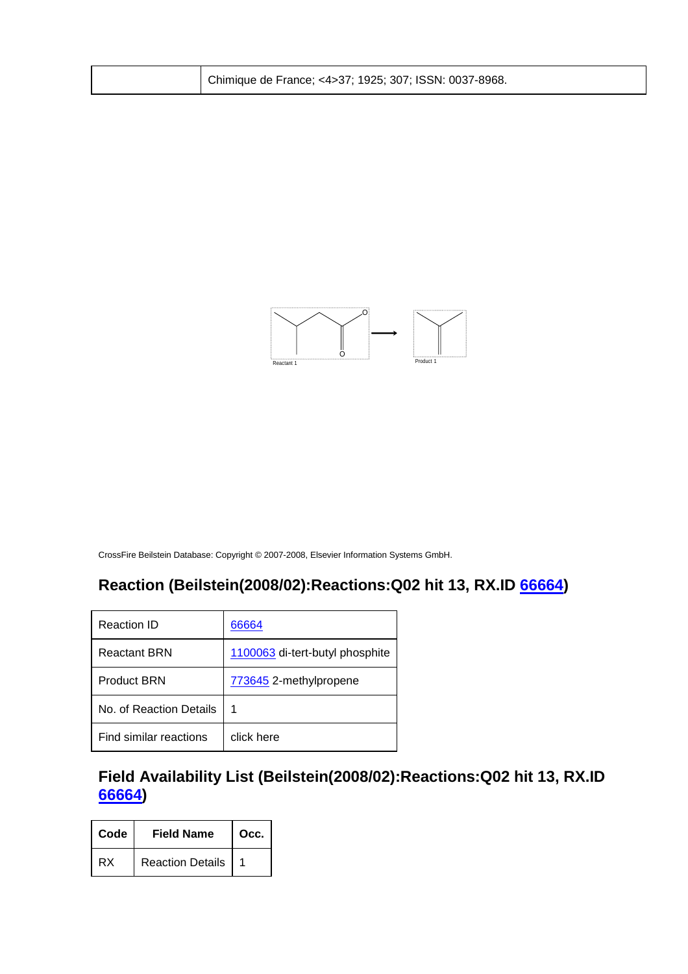| Chimique de France; <4>37; 1925; 307; ISSN: 0037-8968. |  |
|--------------------------------------------------------|--|
|--------------------------------------------------------|--|



# **Reaction (Beilstein(2008/02):Reactions:Q02 hit 13, RX.ID 66664)**

| Reaction ID             | 66664                           |
|-------------------------|---------------------------------|
| <b>Reactant BRN</b>     | 1100063 di-tert-butyl phosphite |
| <b>Product BRN</b>      | 773645 2-methylpropene          |
| No. of Reaction Details | 1                               |
| Find similar reactions  | click here                      |

**Field Availability List (Beilstein(2008/02):Reactions:Q02 hit 13, RX.ID 66664)** 

| Code | <b>Field Name</b>       | Occ. |
|------|-------------------------|------|
| RX   | <b>Reaction Details</b> |      |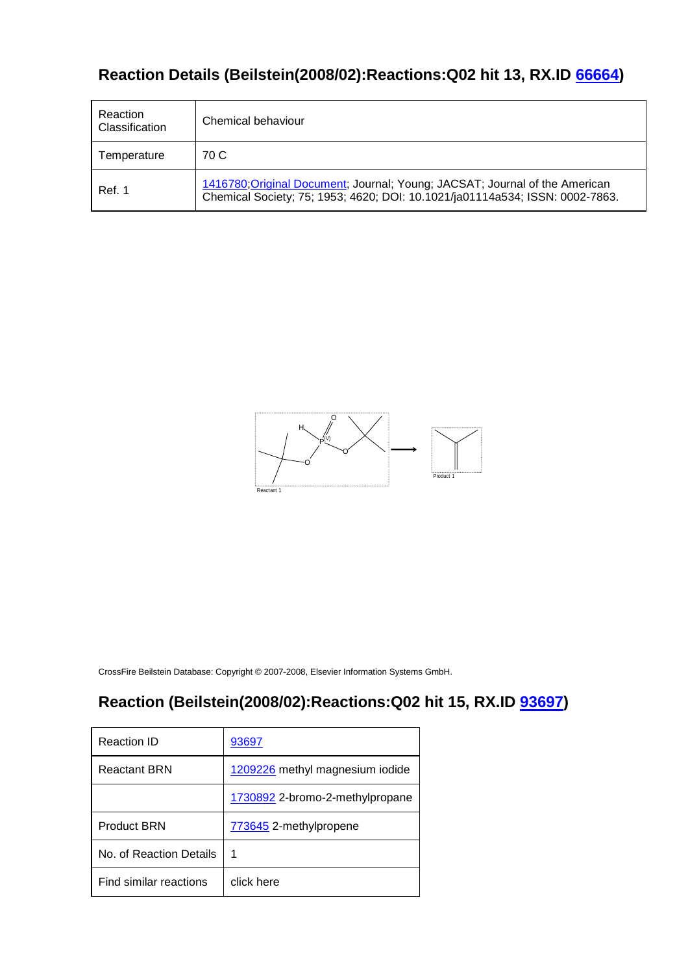# **Reaction Details (Beilstein(2008/02):Reactions:Q02 hit 13, RX.ID 66664)**

| Reaction<br>Classification | Chemical behaviour                                                                                                                                          |
|----------------------------|-------------------------------------------------------------------------------------------------------------------------------------------------------------|
| Temperature                | 70 C                                                                                                                                                        |
| Ref. 1                     | 1416780; Original Document; Journal; Young; JACSAT; Journal of the American<br>Chemical Society; 75; 1953; 4620; DOI: 10.1021/ja01114a534; ISSN: 0002-7863. |



CrossFire Beilstein Database: Copyright © 2007-2008, Elsevier Information Systems GmbH.

#### **Reaction (Beilstein(2008/02):Reactions:Q02 hit 15, RX.ID 93697)**

| Reaction ID             | 93697                           |
|-------------------------|---------------------------------|
| <b>Reactant BRN</b>     | 1209226 methyl magnesium iodide |
|                         | 1730892 2-bromo-2-methylpropane |
| <b>Product BRN</b>      | 773645 2-methylpropene          |
| No. of Reaction Details | 1                               |
| Find similar reactions  | click here                      |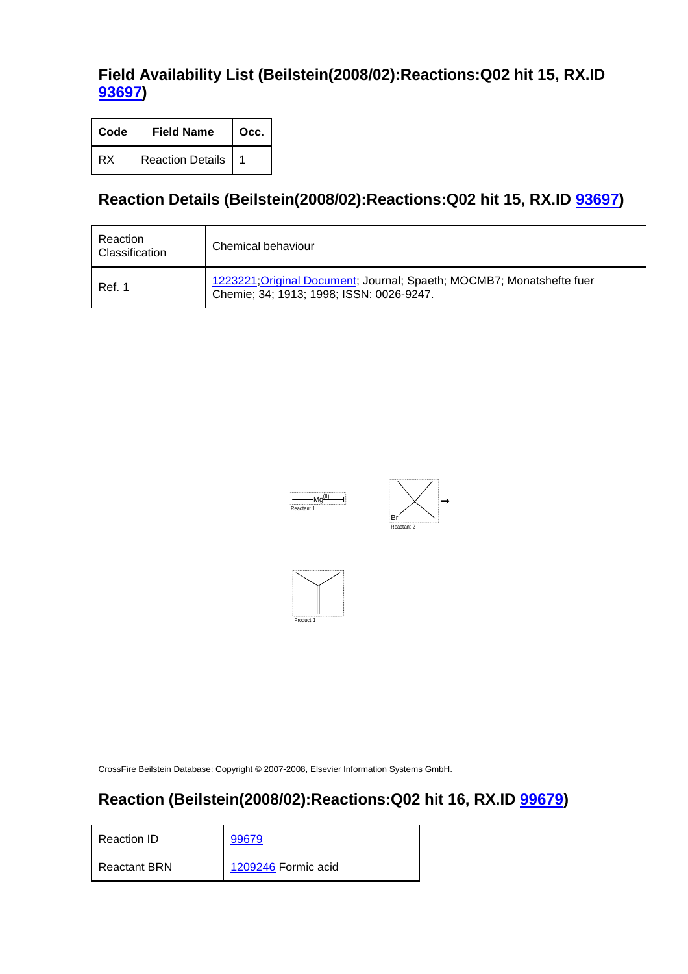# **Field Availability List (Beilstein(2008/02):Reactions:Q02 hit 15, RX.ID 93697)**

| Code | <b>Field Name</b>       | Occ. |
|------|-------------------------|------|
| RX   | <b>Reaction Details</b> |      |

# **Reaction Details (Beilstein(2008/02):Reactions:Q02 hit 15, RX.ID 93697)**

| Reaction<br>Classification | Chemical behaviour                                                                                                |
|----------------------------|-------------------------------------------------------------------------------------------------------------------|
| Ref. 1                     | 1223221; Original Document; Journal; Spaeth; MOCMB7; Monatshefte fuer<br>Chemie; 34; 1913; 1998; ISSN: 0026-9247. |







CrossFire Beilstein Database: Copyright © 2007-2008, Elsevier Information Systems GmbH.

### **Reaction (Beilstein(2008/02):Reactions:Q02 hit 16, RX.ID 99679)**

| Reaction ID         | 99679               |
|---------------------|---------------------|
| <b>Reactant BRN</b> | 1209246 Formic acid |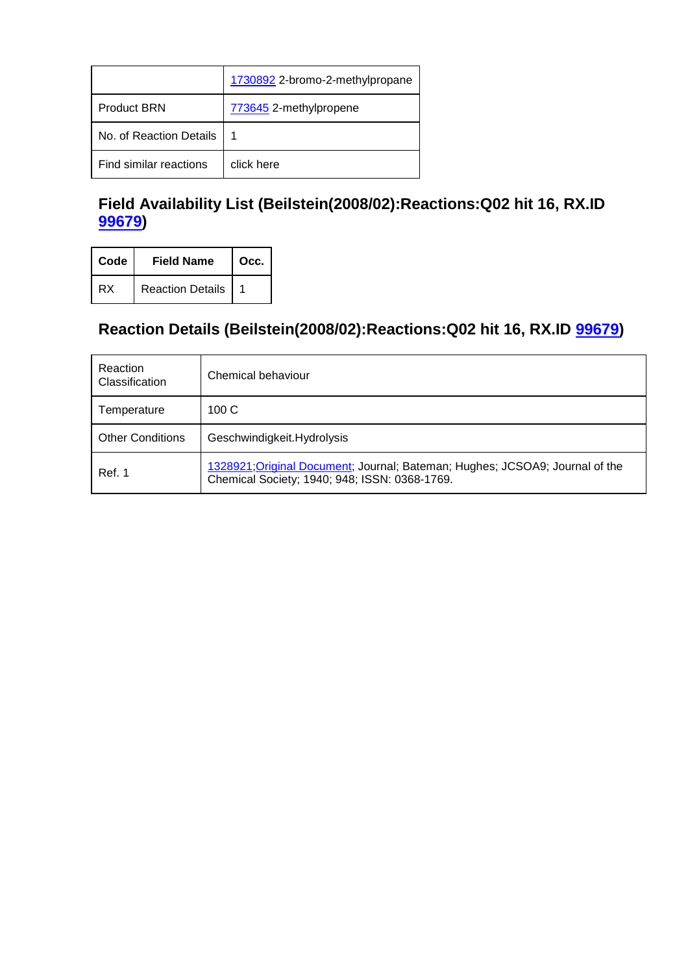|                         | 1730892 2-bromo-2-methylpropane |
|-------------------------|---------------------------------|
| <b>Product BRN</b>      | 773645 2-methylpropene          |
| No. of Reaction Details | 1                               |
| Find similar reactions  | click here                      |

# **Field Availability List (Beilstein(2008/02):Reactions:Q02 hit 16, RX.ID 99679)**

| Code | <b>Field Name</b>       | Occ. |
|------|-------------------------|------|
| RX   | <b>Reaction Details</b> |      |

# **Reaction Details (Beilstein(2008/02):Reactions:Q02 hit 16, RX.ID 99679)**

| Reaction<br>Classification | Chemical behaviour                                                                                                            |
|----------------------------|-------------------------------------------------------------------------------------------------------------------------------|
| Temperature                | 100C                                                                                                                          |
| <b>Other Conditions</b>    | Geschwindigkeit.Hydrolysis                                                                                                    |
| Ref. 1                     | 1328921; Original Document; Journal; Bateman; Hughes; JCSOA9; Journal of the<br>Chemical Society; 1940; 948; ISSN: 0368-1769. |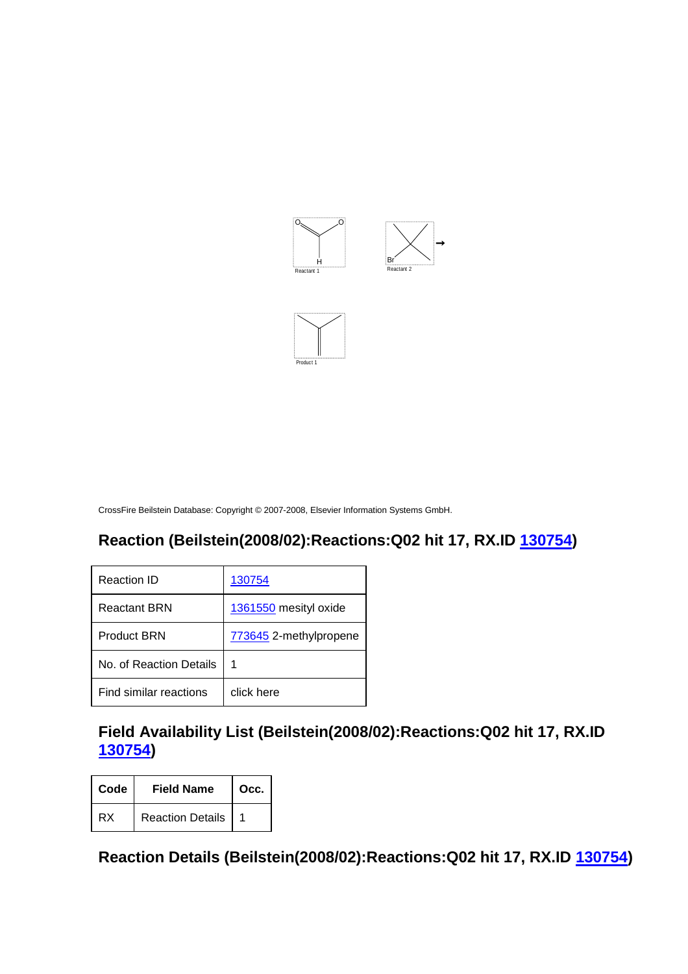

Product 1

#### **Reaction (Beilstein(2008/02):Reactions:Q02 hit 17, RX.ID 130754)**

| Reaction ID             | 130754                 |
|-------------------------|------------------------|
| <b>Reactant BRN</b>     | 1361550 mesityl oxide  |
| <b>Product BRN</b>      | 773645 2-methylpropene |
| No. of Reaction Details | 1                      |
| Find similar reactions  | click here             |

# **Field Availability List (Beilstein(2008/02):Reactions:Q02 hit 17, RX.ID 130754)**

| Code | <b>Field Name</b>       | Occ. |
|------|-------------------------|------|
| RX   | <b>Reaction Details</b> |      |

**Reaction Details (Beilstein(2008/02):Reactions:Q02 hit 17, RX.ID 130754)**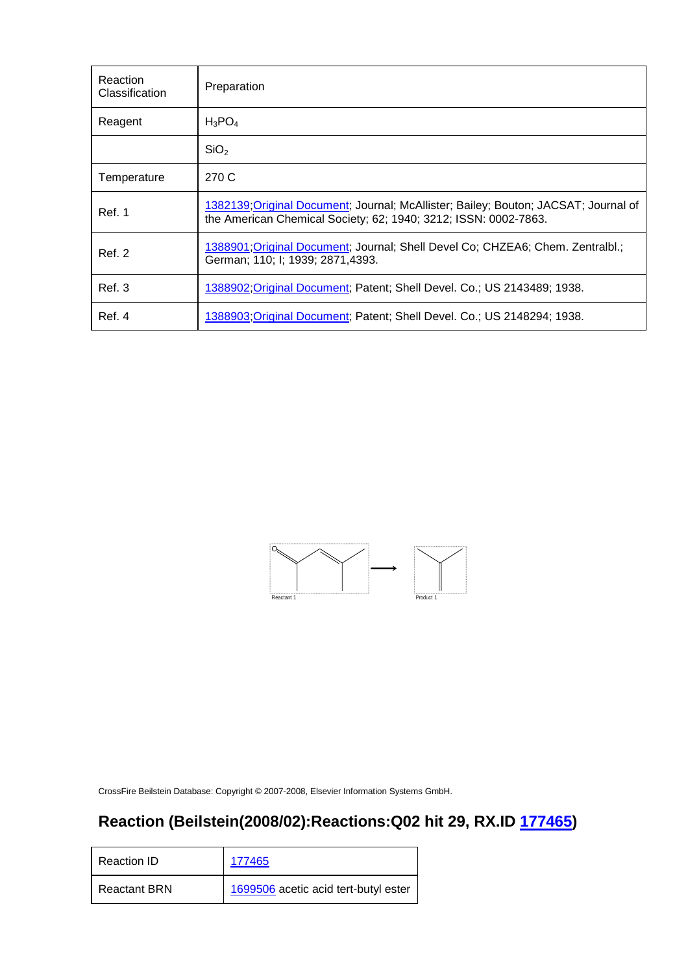| Reaction<br>Classification | Preparation                                                                                                                                            |
|----------------------------|--------------------------------------------------------------------------------------------------------------------------------------------------------|
| Reagent                    | $H_3PO_4$                                                                                                                                              |
|                            | SiO <sub>2</sub>                                                                                                                                       |
| Temperature                | 270 C                                                                                                                                                  |
| Ref. 1                     | 1382139; Original Document; Journal; McAllister; Bailey; Bouton; JACSAT; Journal of<br>the American Chemical Society; 62; 1940; 3212; ISSN: 0002-7863. |
| Ref. 2                     | 1388901; Original Document; Journal; Shell Devel Co; CHZEA6; Chem. Zentralbl.;<br>German; 110; I; 1939; 2871, 4393.                                    |
| Ref.3                      | 1388902; Original Document; Patent; Shell Devel. Co.; US 2143489; 1938.                                                                                |
| Ref. 4                     | 1388903.Original Document, Patent; Shell Devel. Co.; US 2148294; 1938.                                                                                 |



# **Reaction (Beilstein(2008/02):Reactions:Q02 hit 29, RX.ID 177465)**

| Reaction ID         | 177465                               |
|---------------------|--------------------------------------|
| <b>Reactant BRN</b> | 1699506 acetic acid tert-butyl ester |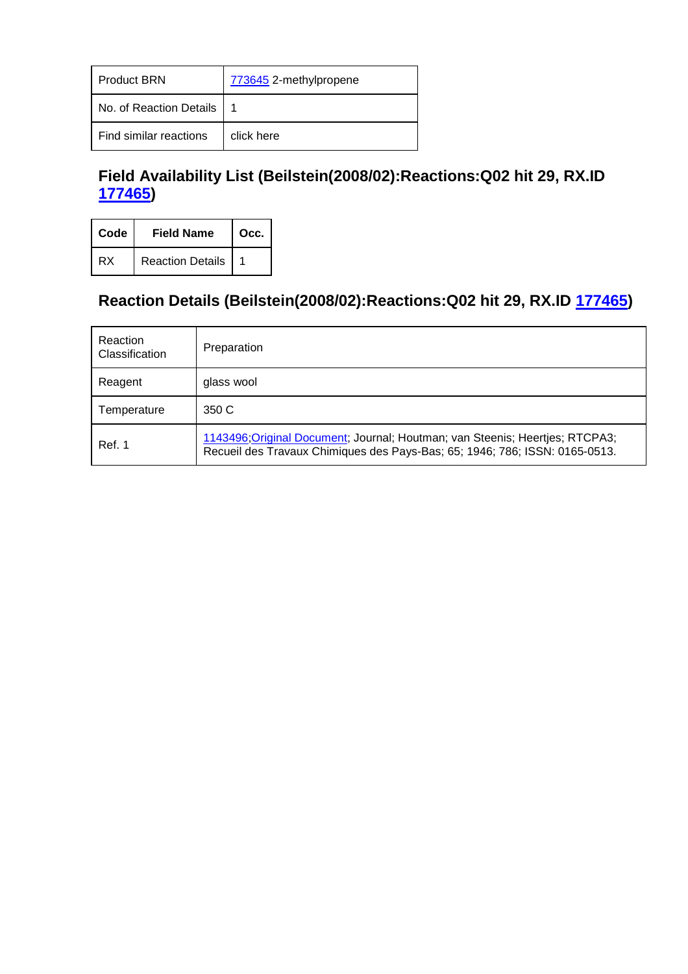| <b>Product BRN</b>      | 773645 2-methylpropene |
|-------------------------|------------------------|
| No. of Reaction Details |                        |
| Find similar reactions  | click here             |

# **Field Availability List (Beilstein(2008/02):Reactions:Q02 hit 29, RX.ID 177465)**

| Code | <b>Field Name</b>       | Occ. |
|------|-------------------------|------|
| RX   | <b>Reaction Details</b> |      |

# **Reaction Details (Beilstein(2008/02):Reactions:Q02 hit 29, RX.ID 177465)**

| Reaction<br>Classification | Preparation                                                                                                                                                 |
|----------------------------|-------------------------------------------------------------------------------------------------------------------------------------------------------------|
| Reagent                    | glass wool                                                                                                                                                  |
| Temperature                | 350 C                                                                                                                                                       |
| Ref. 1                     | 1143496; Original Document; Journal; Houtman; van Steenis; Heertjes; RTCPA3;<br>Recueil des Travaux Chimiques des Pays-Bas; 65; 1946; 786; ISSN: 0165-0513. |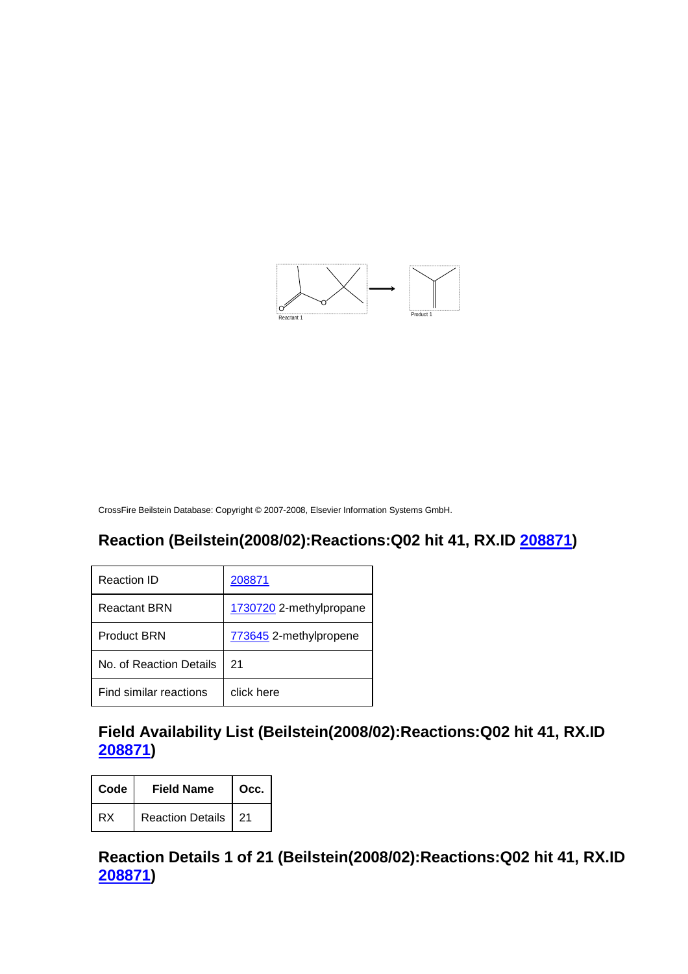

#### **Reaction (Beilstein(2008/02):Reactions:Q02 hit 41, RX.ID 208871)**

| Reaction ID             | 208871                  |
|-------------------------|-------------------------|
| <b>Reactant BRN</b>     | 1730720 2-methylpropane |
| <b>Product BRN</b>      | 773645 2-methylpropene  |
| No. of Reaction Details | 21                      |
| Find similar reactions  | click here              |

# **Field Availability List (Beilstein(2008/02):Reactions:Q02 hit 41, RX.ID 208871)**

| Code | <b>Field Name</b>     | $\mid$ Occ. |
|------|-----------------------|-------------|
| RX   | Reaction Details   21 |             |

**Reaction Details 1 of 21 (Beilstein(2008/02):Reactions:Q02 hit 41, RX.ID 208871)**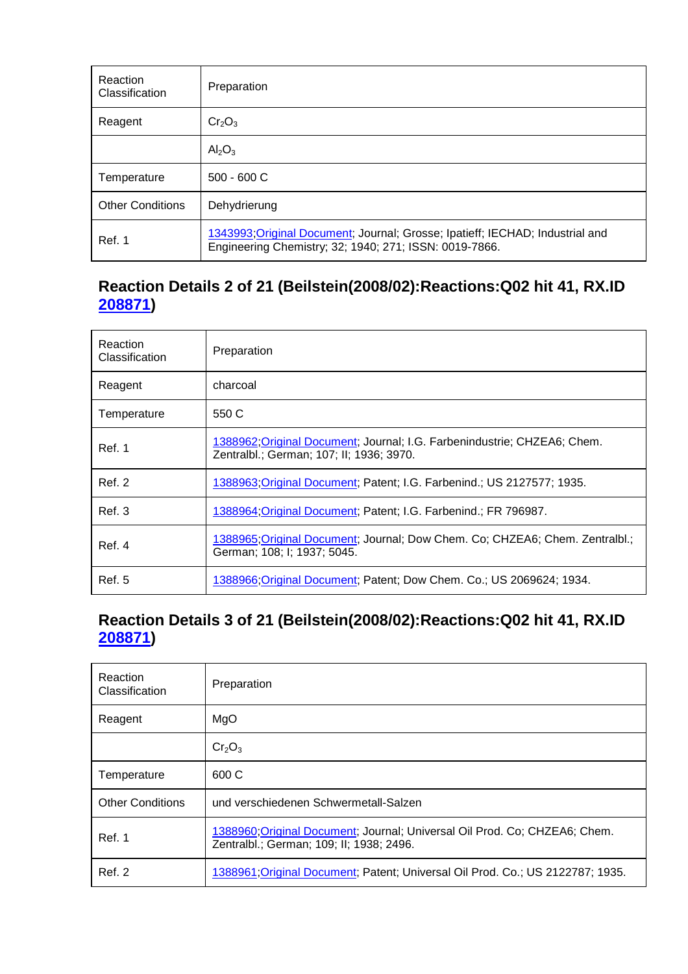| Reaction<br>Classification | Preparation                                                                                                                             |
|----------------------------|-----------------------------------------------------------------------------------------------------------------------------------------|
| Reagent                    | $Cr_2O_3$                                                                                                                               |
|                            | $\text{Al}_2\text{O}_3$                                                                                                                 |
| Temperature                | $500 - 600 C$                                                                                                                           |
| <b>Other Conditions</b>    | Dehydrierung                                                                                                                            |
| Ref. 1                     | 1343993; Original Document; Journal; Grosse; Ipatieff; IECHAD; Industrial and<br>Engineering Chemistry; 32; 1940; 271; ISSN: 0019-7866. |

# **Reaction Details 2 of 21 (Beilstein(2008/02):Reactions:Q02 hit 41, RX.ID 208871)**

| <b>Reaction</b><br>Classification | Preparation                                                                                                          |
|-----------------------------------|----------------------------------------------------------------------------------------------------------------------|
| Reagent                           | charcoal                                                                                                             |
| Temperature                       | 550 C                                                                                                                |
| Ref. 1                            | 1388962; Original Document; Journal; I.G. Farbenindustrie; CHZEA6; Chem.<br>Zentralbl.; German; 107; II; 1936; 3970. |
| <b>Ref. 2</b>                     | 1388963; Original Document; Patent; I.G. Farbenind.; US 2127577; 1935.                                               |
| Ref. 3                            | 1388964 Original Document: Patent: I.G. Farbenind.: FR 796987.                                                       |
| Ref. 4                            | 1388965;Original Document; Journal; Dow Chem. Co; CHZEA6; Chem. Zentralbl.;<br>German; 108; I; 1937; 5045.           |
| <b>Ref. 5</b>                     | 1388966, Original Document; Patent; Dow Chem. Co.; US 2069624; 1934.                                                 |

# **Reaction Details 3 of 21 (Beilstein(2008/02):Reactions:Q02 hit 41, RX.ID 208871)**

| Reaction<br>Classification | Preparation                                                                                                            |
|----------------------------|------------------------------------------------------------------------------------------------------------------------|
| Reagent                    | MgO                                                                                                                    |
|                            | Cr <sub>2</sub> O <sub>3</sub>                                                                                         |
| Temperature                | 600 C                                                                                                                  |
| <b>Other Conditions</b>    | und verschiedenen Schwermetall-Salzen                                                                                  |
| Ref. 1                     | 1388960; Original Document; Journal; Universal Oil Prod. Co; CHZEA6; Chem.<br>Zentralbl.; German; 109; II; 1938; 2496. |
| Ref. 2                     | 1388961; Original Document; Patent; Universal Oil Prod. Co.; US 2122787; 1935.                                         |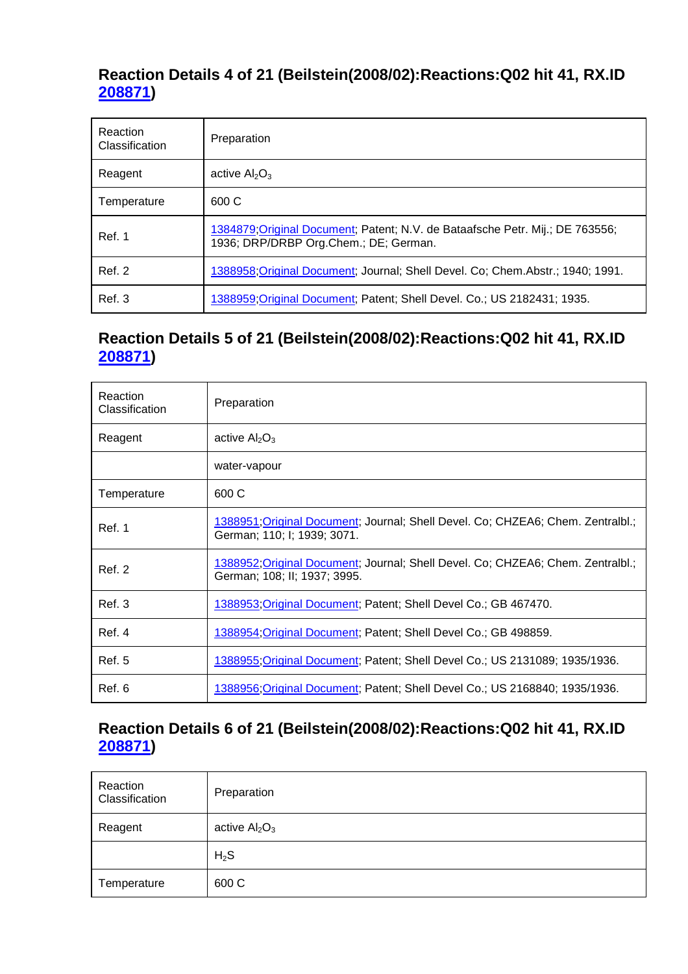### **Reaction Details 4 of 21 (Beilstein(2008/02):Reactions:Q02 hit 41, RX.ID 208871)**

| Reaction<br>Classification | Preparation                                                                                                            |
|----------------------------|------------------------------------------------------------------------------------------------------------------------|
| Reagent                    | active $Al_2O_3$                                                                                                       |
| Temperature                | 600 C                                                                                                                  |
| Ref. 1                     | 1384879; Original Document; Patent; N.V. de Bataafsche Petr. Mij.; DE 763556;<br>1936; DRP/DRBP Org.Chem.; DE; German. |
| <b>Ref. 2</b>              | 1388958; Original Document; Journal; Shell Devel. Co; Chem. Abstr.; 1940; 1991.                                        |
| Ref. 3                     | 1388959; Original Document; Patent; Shell Devel. Co.; US 2182431; 1935.                                                |

# **Reaction Details 5 of 21 (Beilstein(2008/02):Reactions:Q02 hit 41, RX.ID 208871)**

| Reaction<br>Classification | Preparation                                                                                                    |
|----------------------------|----------------------------------------------------------------------------------------------------------------|
| Reagent                    | active $Al_2O_3$                                                                                               |
|                            | water-vapour                                                                                                   |
| Temperature                | 600 C                                                                                                          |
| Ref. 1                     | 1388951; Original Document; Journal; Shell Devel. Co; CHZEA6; Chem. Zentralbl.;<br>German; 110; I; 1939; 3071. |
| <b>Ref. 2</b>              | 1388952;Original Document; Journal; Shell Devel. Co; CHZEA6; Chem. Zentralbl.;<br>German; 108; II; 1937; 3995. |
| Ref. 3                     | 1388953, Original Document; Patent; Shell Devel Co.; GB 467470.                                                |
| Ref. 4                     | 1388954, Original Document; Patent; Shell Devel Co.; GB 498859.                                                |
| Ref. 5                     | 1388955;Original Document; Patent; Shell Devel Co.; US 2131089; 1935/1936.                                     |
| Ref. 6                     | 1388956, Original Document; Patent; Shell Devel Co.; US 2168840; 1935/1936.                                    |

# **Reaction Details 6 of 21 (Beilstein(2008/02):Reactions:Q02 hit 41, RX.ID 208871)**

| Reaction<br>Classification | Preparation    |
|----------------------------|----------------|
| Reagent                    | active $Al2O3$ |
|                            | $H_2S$         |
| Temperature                | 600 C          |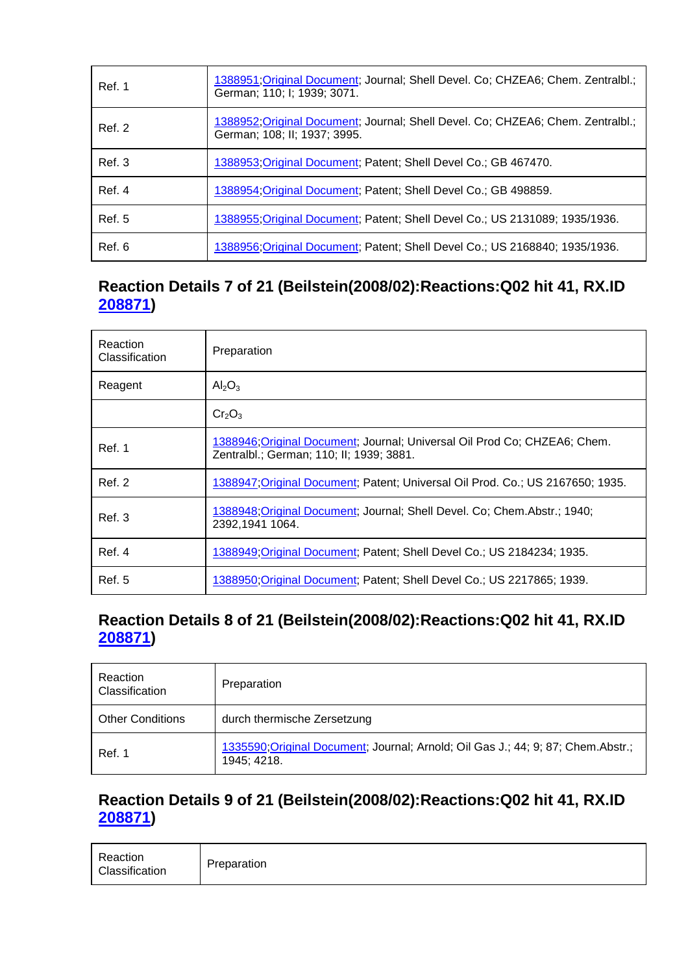| Ref. 1        | 1388951; Original Document; Journal; Shell Devel. Co; CHZEA6; Chem. Zentralbl.;<br>German; 110; I; 1939; 3071.  |
|---------------|-----------------------------------------------------------------------------------------------------------------|
| Ref. 2        | 1388952; Original Document; Journal; Shell Devel. Co; CHZEA6; Chem. Zentralbl.;<br>German; 108; II; 1937; 3995. |
| Ref. 3        | 1388953; Original Document; Patent; Shell Devel Co.; GB 467470.                                                 |
| Ref. 4        | 1388954 Original Document: Patent: Shell Devel Co.; GB 498859.                                                  |
| <b>Ref. 5</b> | 1388955; Original Document; Patent; Shell Devel Co.; US 2131089; 1935/1936.                                     |
| Ref. 6        | 1388956; Original Document; Patent; Shell Devel Co.; US 2168840; 1935/1936.                                     |

# **Reaction Details 7 of 21 (Beilstein(2008/02):Reactions:Q02 hit 41, RX.ID 208871)**

| Reaction<br>Classification | Preparation                                                                                                           |
|----------------------------|-----------------------------------------------------------------------------------------------------------------------|
| Reagent                    | $\text{Al}_2\text{O}_3$                                                                                               |
|                            | Cr <sub>2</sub> O <sub>3</sub>                                                                                        |
| Ref. 1                     | 1388946; Original Document; Journal; Universal Oil Prod Co; CHZEA6; Chem.<br>Zentralbl.; German; 110; II; 1939; 3881. |
| Ref. 2                     | 1388947; Original Document; Patent; Universal Oil Prod. Co.; US 2167650; 1935.                                        |
| Ref. 3                     | 1388948; Original Document; Journal; Shell Devel. Co; Chem. Abstr.; 1940;<br>2392,1941 1064.                          |
| Ref. 4                     | 1388949; Original Document; Patent; Shell Devel Co.; US 2184234; 1935.                                                |
| <b>Ref. 5</b>              | <u>1388950;Original Document</u> ; Patent; Shell Devel Co.; US 2217865; 1939.                                         |

# **Reaction Details 8 of 21 (Beilstein(2008/02):Reactions:Q02 hit 41, RX.ID 208871)**

| Reaction<br>Classification | Preparation                                                                                      |
|----------------------------|--------------------------------------------------------------------------------------------------|
| <b>Other Conditions</b>    | durch thermische Zersetzung                                                                      |
| Ref. 1                     | 1335590; Original Document; Journal; Arnold; Oil Gas J.; 44; 9; 87; Chem. Abstr.;<br>1945; 4218. |

### **Reaction Details 9 of 21 (Beilstein(2008/02):Reactions:Q02 hit 41, RX.ID 208871)**

| Reaction<br>Classification | Preparation |
|----------------------------|-------------|
|----------------------------|-------------|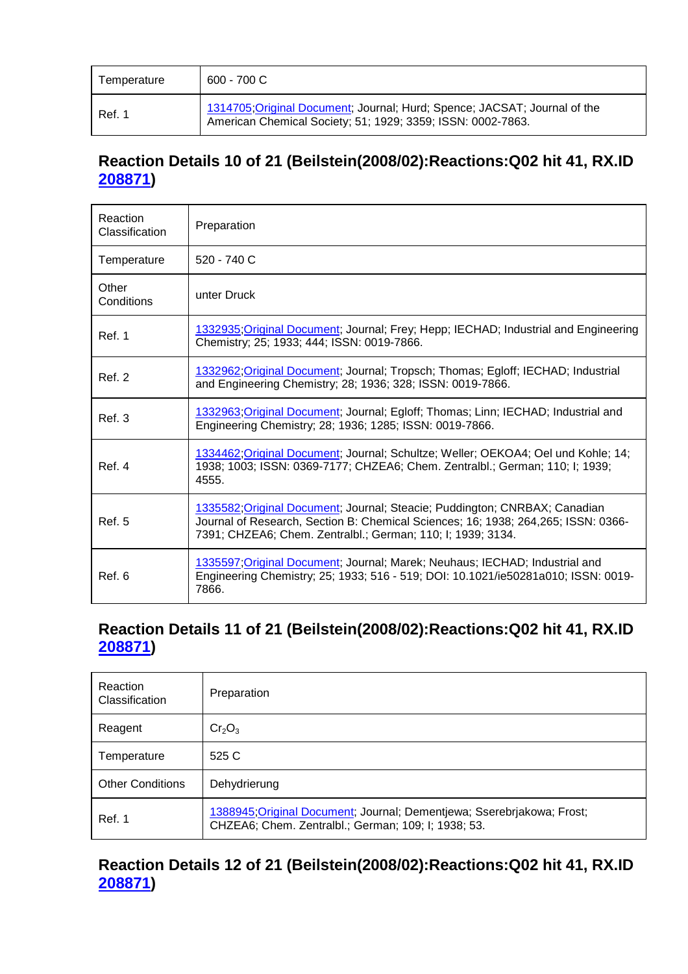| Temperature | 600 - 700 C                                                                                                                              |
|-------------|------------------------------------------------------------------------------------------------------------------------------------------|
| Ref. 1      | 1314705; Original Document; Journal; Hurd; Spence; JACSAT; Journal of the<br>American Chemical Society; 51; 1929; 3359; ISSN: 0002-7863. |

### **Reaction Details 10 of 21 (Beilstein(2008/02):Reactions:Q02 hit 41, RX.ID 208871)**

| Reaction<br>Classification | Preparation                                                                                                                                                                                                                    |
|----------------------------|--------------------------------------------------------------------------------------------------------------------------------------------------------------------------------------------------------------------------------|
| Temperature                | $520 - 740$ C                                                                                                                                                                                                                  |
| Other<br>Conditions        | unter Druck                                                                                                                                                                                                                    |
| Ref. 1                     | 1332935; Original Document; Journal; Frey; Hepp; IECHAD; Industrial and Engineering<br>Chemistry; 25; 1933; 444; ISSN: 0019-7866.                                                                                              |
| Ref. 2                     | 1332962; Original Document; Journal; Tropsch; Thomas; Egloff; IECHAD; Industrial<br>and Engineering Chemistry; 28; 1936; 328; ISSN: 0019-7866.                                                                                 |
| Ref.3                      | 1332963; Original Document; Journal; Egloff; Thomas; Linn; IECHAD; Industrial and<br>Engineering Chemistry; 28; 1936; 1285; ISSN: 0019-7866.                                                                                   |
| Ref. 4                     | 1334462;Original Document; Journal; Schultze; Weller; OEKOA4; Oel und Kohle; 14;<br>1938; 1003; ISSN: 0369-7177; CHZEA6; Chem. Zentralbl.; German; 110; I; 1939;<br>4555.                                                      |
| Ref. 5                     | 1335582; Original Document; Journal; Steacie; Puddington; CNRBAX; Canadian<br>Journal of Research, Section B: Chemical Sciences; 16; 1938; 264,265; ISSN: 0366-<br>7391; CHZEA6; Chem. Zentralbl.; German; 110; I; 1939; 3134. |
| Ref. 6                     | 1335597; Original Document; Journal; Marek; Neuhaus; IECHAD; Industrial and<br>Engineering Chemistry; 25; 1933; 516 - 519; DOI: 10.1021/ie50281a010; ISSN: 0019-<br>7866.                                                      |

#### **Reaction Details 11 of 21 (Beilstein(2008/02):Reactions:Q02 hit 41, RX.ID 208871)**

| Reaction<br>Classification | Preparation                                                                                                                   |
|----------------------------|-------------------------------------------------------------------------------------------------------------------------------|
| Reagent                    | Cr <sub>2</sub> O <sub>3</sub>                                                                                                |
| Temperature                | 525 C                                                                                                                         |
| <b>Other Conditions</b>    | Dehydrierung                                                                                                                  |
| Ref. 1                     | 1388945; Original Document; Journal; Dementjewa; Sserebrjakowa; Frost;<br>CHZEA6; Chem. Zentralbl.; German; 109; I; 1938; 53. |

#### **Reaction Details 12 of 21 (Beilstein(2008/02):Reactions:Q02 hit 41, RX.ID 208871)**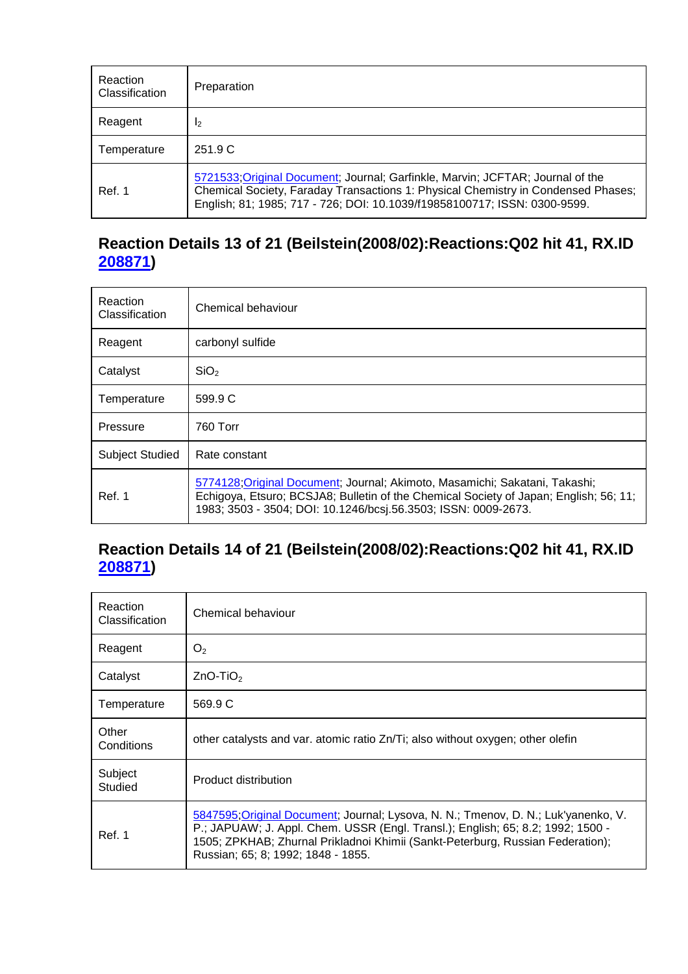| Reaction<br>Classification | Preparation                                                                                                                                                                                                                                      |
|----------------------------|--------------------------------------------------------------------------------------------------------------------------------------------------------------------------------------------------------------------------------------------------|
| Reagent                    | $\mathsf{I}_2$                                                                                                                                                                                                                                   |
| Temperature                | 251.9 C                                                                                                                                                                                                                                          |
| Ref. 1                     | 5721533; Original Document; Journal; Garfinkle, Marvin; JCFTAR; Journal of the<br>Chemical Society, Faraday Transactions 1: Physical Chemistry in Condensed Phases;<br>English; 81; 1985; 717 - 726; DOI: 10.1039/f19858100717; ISSN: 0300-9599. |

# **Reaction Details 13 of 21 (Beilstein(2008/02):Reactions:Q02 hit 41, RX.ID 208871)**

| Reaction<br>Classification | Chemical behaviour                                                                                                                                                                                                                     |  |
|----------------------------|----------------------------------------------------------------------------------------------------------------------------------------------------------------------------------------------------------------------------------------|--|
| Reagent                    | carbonyl sulfide                                                                                                                                                                                                                       |  |
| Catalyst                   | SiO <sub>2</sub>                                                                                                                                                                                                                       |  |
| Temperature                | 599.9 C                                                                                                                                                                                                                                |  |
| Pressure                   | 760 Torr                                                                                                                                                                                                                               |  |
| <b>Subject Studied</b>     | Rate constant                                                                                                                                                                                                                          |  |
| Ref. 1                     | 5774128; Original Document; Journal; Akimoto, Masamichi; Sakatani, Takashi;<br>Echigoya, Etsuro; BCSJA8; Bulletin of the Chemical Society of Japan; English; 56; 11;<br>1983; 3503 - 3504; DOI: 10.1246/bcsj.56.3503; ISSN: 0009-2673. |  |

# **Reaction Details 14 of 21 (Beilstein(2008/02):Reactions:Q02 hit 41, RX.ID 208871)**

| Reaction<br>Classification | Chemical behaviour                                                                                                                                                                                                                                                                            |  |  |
|----------------------------|-----------------------------------------------------------------------------------------------------------------------------------------------------------------------------------------------------------------------------------------------------------------------------------------------|--|--|
| Reagent                    | O <sub>2</sub>                                                                                                                                                                                                                                                                                |  |  |
| Catalyst                   | $ZnO-TiO2$                                                                                                                                                                                                                                                                                    |  |  |
| Temperature                | 569.9 C                                                                                                                                                                                                                                                                                       |  |  |
| Other<br>Conditions        | other catalysts and var. atomic ratio Zn/Ti; also without oxygen; other olefin                                                                                                                                                                                                                |  |  |
| Subject<br>Studied         | Product distribution                                                                                                                                                                                                                                                                          |  |  |
| Ref. 1                     | 5847595; Original Document; Journal; Lysova, N. N.; Tmenov, D. N.; Luk'yanenko, V.<br>P.; JAPUAW; J. Appl. Chem. USSR (Engl. Transl.); English; 65; 8.2; 1992; 1500 -<br>1505; ZPKHAB; Zhurnal Prikladnoi Khimii (Sankt-Peterburg, Russian Federation);<br>Russian; 65; 8; 1992; 1848 - 1855. |  |  |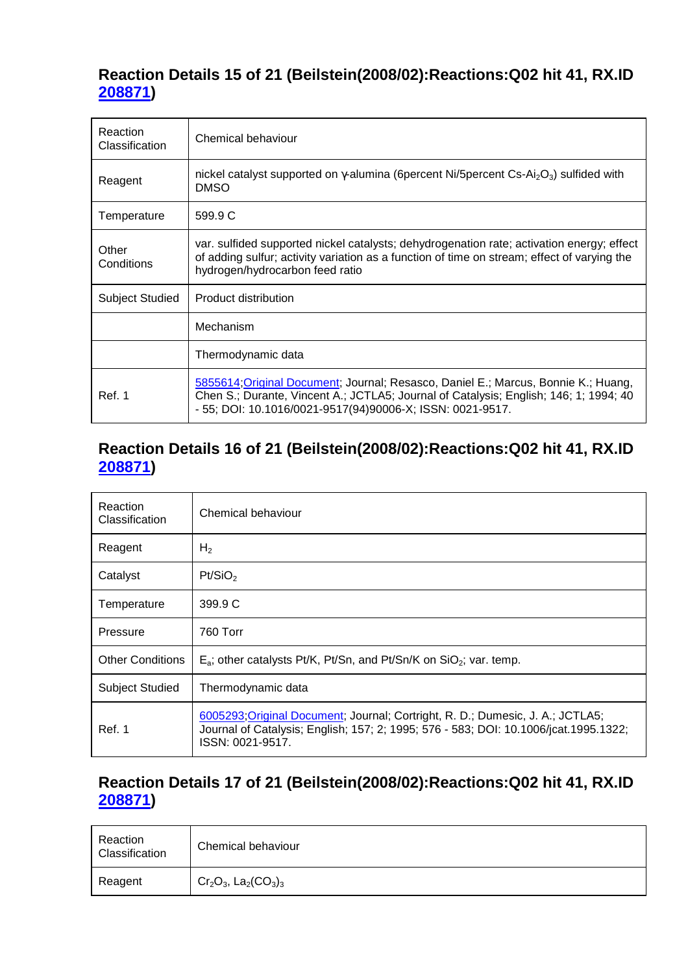#### **Reaction Details 15 of 21 (Beilstein(2008/02):Reactions:Q02 hit 41, RX.ID 208871)**

| Reaction<br>Classification | Chemical behaviour                                                                                                                                                                                                                       |  |  |
|----------------------------|------------------------------------------------------------------------------------------------------------------------------------------------------------------------------------------------------------------------------------------|--|--|
| Reagent                    | nickel catalyst supported on $\gamma$ -alumina (6 percent Ni/5 percent Cs-Ai <sub>2</sub> O <sub>3</sub> ) sulfided with<br><b>DMSO</b>                                                                                                  |  |  |
| Temperature                | 599.9 C                                                                                                                                                                                                                                  |  |  |
| Other<br>Conditions        | var. sulfided supported nickel catalysts; dehydrogenation rate; activation energy; effect<br>of adding sulfur; activity variation as a function of time on stream; effect of varying the<br>hydrogen/hydrocarbon feed ratio              |  |  |
| <b>Subject Studied</b>     | Product distribution                                                                                                                                                                                                                     |  |  |
|                            | Mechanism                                                                                                                                                                                                                                |  |  |
|                            | Thermodynamic data                                                                                                                                                                                                                       |  |  |
| Ref. 1                     | 5855614; Original Document; Journal; Resasco, Daniel E.; Marcus, Bonnie K.; Huang,<br>Chen S.; Durante, Vincent A.; JCTLA5; Journal of Catalysis; English; 146; 1; 1994; 40<br>- 55; DOI: 10.1016/0021-9517(94)90006-X; ISSN: 0021-9517. |  |  |

#### **Reaction Details 16 of 21 (Beilstein(2008/02):Reactions:Q02 hit 41, RX.ID 208871)**

| <b>Reaction</b><br><b>Classification</b> | Chemical behaviour                                                                                                                                                                         |  |
|------------------------------------------|--------------------------------------------------------------------------------------------------------------------------------------------------------------------------------------------|--|
| Reagent                                  | H <sub>2</sub>                                                                                                                                                                             |  |
| Catalyst                                 | Pt/SiO <sub>2</sub>                                                                                                                                                                        |  |
| Temperature                              | 399.9 C                                                                                                                                                                                    |  |
| Pressure                                 | 760 Torr                                                                                                                                                                                   |  |
| <b>Other Conditions</b>                  | $E_a$ ; other catalysts Pt/K, Pt/Sn, and Pt/Sn/K on SiO <sub>2</sub> ; var. temp.                                                                                                          |  |
| Subject Studied                          | Thermodynamic data                                                                                                                                                                         |  |
| Ref. 1                                   | 6005293; Original Document; Journal; Cortright, R. D.; Dumesic, J. A.; JCTLA5;<br>Journal of Catalysis; English; 157; 2; 1995; 576 - 583; DOI: 10.1006/jcat.1995.1322;<br>ISSN: 0021-9517. |  |

#### **Reaction Details 17 of 21 (Beilstein(2008/02):Reactions:Q02 hit 41, RX.ID 208871)**

| Reaction<br>Classification | Chemical behaviour                                          |
|----------------------------|-------------------------------------------------------------|
| Reagent                    | $Cr_2O_3$ , La <sub>2</sub> (CO <sub>3</sub> ) <sub>3</sub> |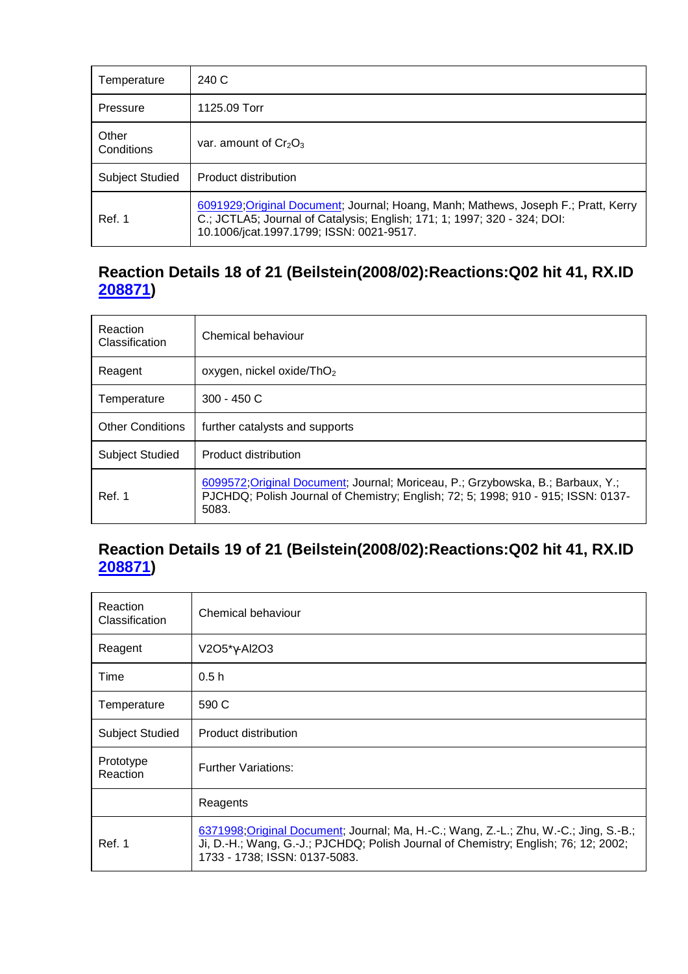| Temperature            | 240 C                                                                                                                                                                                                      |  |
|------------------------|------------------------------------------------------------------------------------------------------------------------------------------------------------------------------------------------------------|--|
| Pressure               | 1125.09 Torr                                                                                                                                                                                               |  |
| Other<br>Conditions    | var. amount of $Cr_2O_3$                                                                                                                                                                                   |  |
| <b>Subject Studied</b> | Product distribution                                                                                                                                                                                       |  |
| Ref. 1                 | 6091929; Original Document; Journal; Hoang, Manh; Mathews, Joseph F.; Pratt, Kerry<br>C.; JCTLA5; Journal of Catalysis; English; 171; 1; 1997; 320 - 324; DOI:<br>10.1006/jcat.1997.1799; ISSN: 0021-9517. |  |

#### **Reaction Details 18 of 21 (Beilstein(2008/02):Reactions:Q02 hit 41, RX.ID 208871)**

| Reaction<br><b>Classification</b> | Chemical behaviour                                                                                                                                                            |  |
|-----------------------------------|-------------------------------------------------------------------------------------------------------------------------------------------------------------------------------|--|
| Reagent                           | oxygen, nickel oxide/ThO <sub>2</sub>                                                                                                                                         |  |
| Temperature                       | $300 - 450$ C                                                                                                                                                                 |  |
| <b>Other Conditions</b>           | further catalysts and supports                                                                                                                                                |  |
| <b>Subject Studied</b>            | Product distribution                                                                                                                                                          |  |
| Ref. 1                            | 6099572; Original Document; Journal; Moriceau, P.; Grzybowska, B.; Barbaux, Y.;<br>PJCHDQ; Polish Journal of Chemistry; English; 72; 5; 1998; 910 - 915; ISSN: 0137-<br>5083. |  |

#### **Reaction Details 19 of 21 (Beilstein(2008/02):Reactions:Q02 hit 41, RX.ID 208871)**

| Reaction<br>Classification | Chemical behaviour                                                                                                                                                                                            |  |
|----------------------------|---------------------------------------------------------------------------------------------------------------------------------------------------------------------------------------------------------------|--|
| Reagent                    | V2O5*γ-Al2O3                                                                                                                                                                                                  |  |
| Time                       | 0.5h                                                                                                                                                                                                          |  |
| Temperature                | 590 C                                                                                                                                                                                                         |  |
| <b>Subject Studied</b>     | Product distribution                                                                                                                                                                                          |  |
| Prototype<br>Reaction      | <b>Further Variations:</b>                                                                                                                                                                                    |  |
|                            | Reagents                                                                                                                                                                                                      |  |
| Ref. 1                     | 6371998; Original Document; Journal; Ma, H.-C.; Wang, Z.-L.; Zhu, W.-C.; Jing, S.-B.;<br>Ji, D.-H.; Wang, G.-J.; PJCHDQ; Polish Journal of Chemistry; English; 76; 12; 2002;<br>1733 - 1738; ISSN: 0137-5083. |  |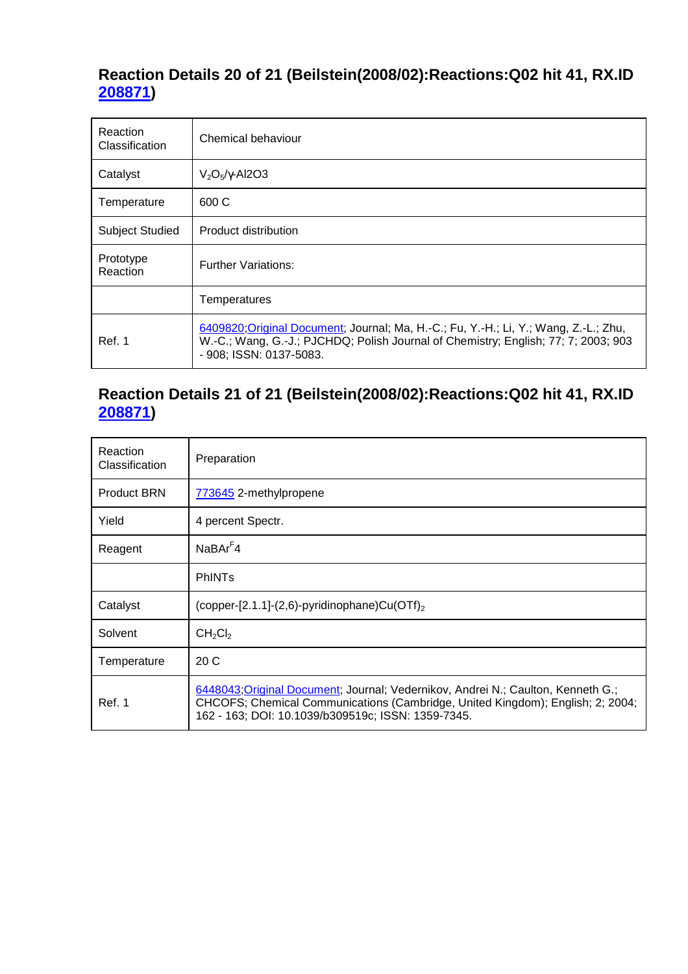# **Reaction Details 20 of 21 (Beilstein(2008/02):Reactions:Q02 hit 41, RX.ID 208871)**

| <b>Reaction</b><br><b>Classification</b> | Chemical behaviour                                                                                                                                                                                    |  |
|------------------------------------------|-------------------------------------------------------------------------------------------------------------------------------------------------------------------------------------------------------|--|
| Catalyst                                 | $V_2O_5/\gamma$ -Al2O3                                                                                                                                                                                |  |
| Temperature                              | 600 C                                                                                                                                                                                                 |  |
| <b>Subject Studied</b>                   | Product distribution                                                                                                                                                                                  |  |
| Prototype<br>Reaction                    | <b>Further Variations:</b>                                                                                                                                                                            |  |
|                                          | Temperatures                                                                                                                                                                                          |  |
| Ref. 1                                   | 6409820; Original Document; Journal; Ma, H.-C.; Fu, Y.-H.; Li, Y.; Wang, Z.-L.; Zhu,<br>W.-C.; Wang, G.-J.; PJCHDQ; Polish Journal of Chemistry; English; 77; 7; 2003; 903<br>- 908; ISSN: 0137-5083. |  |

# **Reaction Details 21 of 21 (Beilstein(2008/02):Reactions:Q02 hit 41, RX.ID 208871)**

| Reaction<br>Classification | Preparation                                                                                                                                                                                                              |  |
|----------------------------|--------------------------------------------------------------------------------------------------------------------------------------------------------------------------------------------------------------------------|--|
| <b>Product BRN</b>         | 773645 2-methylpropene                                                                                                                                                                                                   |  |
| Yield                      | 4 percent Spectr.                                                                                                                                                                                                        |  |
| Reagent                    | $N$ a $B$ Ar <sup>F</sup> 4                                                                                                                                                                                              |  |
|                            | <b>PhINTs</b>                                                                                                                                                                                                            |  |
| Catalyst                   | (copper-[2.1.1]-(2,6)-pyridinophane)Cu(OTf) <sub>2</sub>                                                                                                                                                                 |  |
| Solvent                    | CH <sub>2</sub> Cl <sub>2</sub>                                                                                                                                                                                          |  |
| Temperature                | 20C                                                                                                                                                                                                                      |  |
| Ref. 1                     | 6448043; Original Document; Journal; Vedernikov, Andrei N.; Caulton, Kenneth G.;<br>CHCOFS; Chemical Communications (Cambridge, United Kingdom); English; 2; 2004;<br>162 - 163; DOI: 10.1039/b309519c; ISSN: 1359-7345. |  |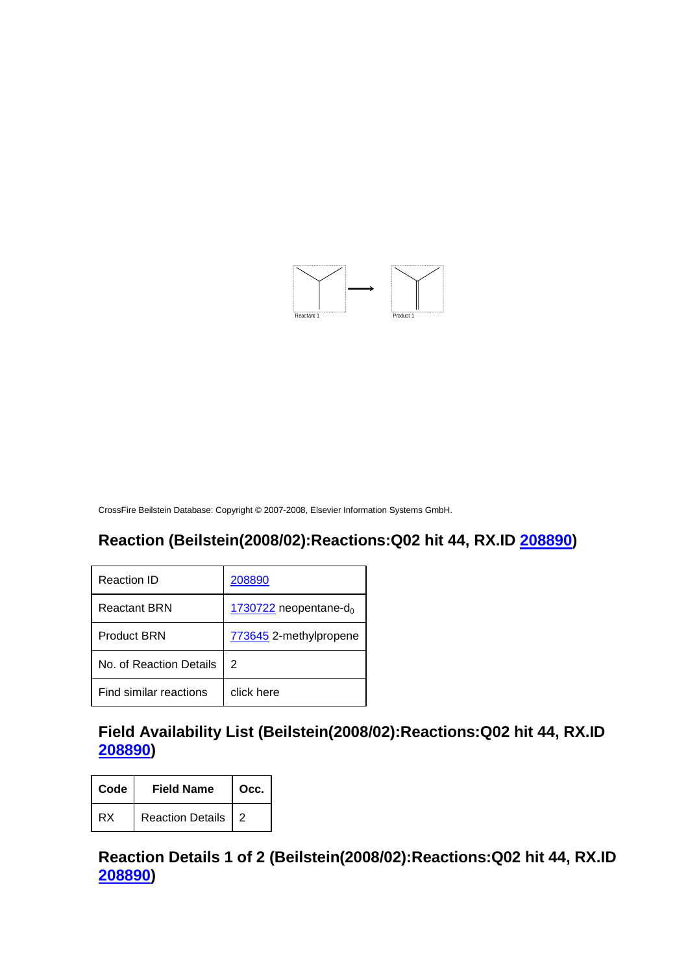

#### **Reaction (Beilstein(2008/02):Reactions:Q02 hit 44, RX.ID 208890)**

| Reaction ID             | 208890                              |
|-------------------------|-------------------------------------|
| Reactant BRN            | $1730722$ neopentane-d <sub>0</sub> |
| <b>Product BRN</b>      | 773645 2-methylpropene              |
| No. of Reaction Details | 2                                   |
| Find similar reactions  | click here                          |

#### **Field Availability List (Beilstein(2008/02):Reactions:Q02 hit 44, RX.ID 208890)**

| Code | <b>Field Name</b>  | Occ. |
|------|--------------------|------|
| RX   | Reaction Details 2 |      |

#### **Reaction Details 1 of 2 (Beilstein(2008/02):Reactions:Q02 hit 44, RX.ID 208890)**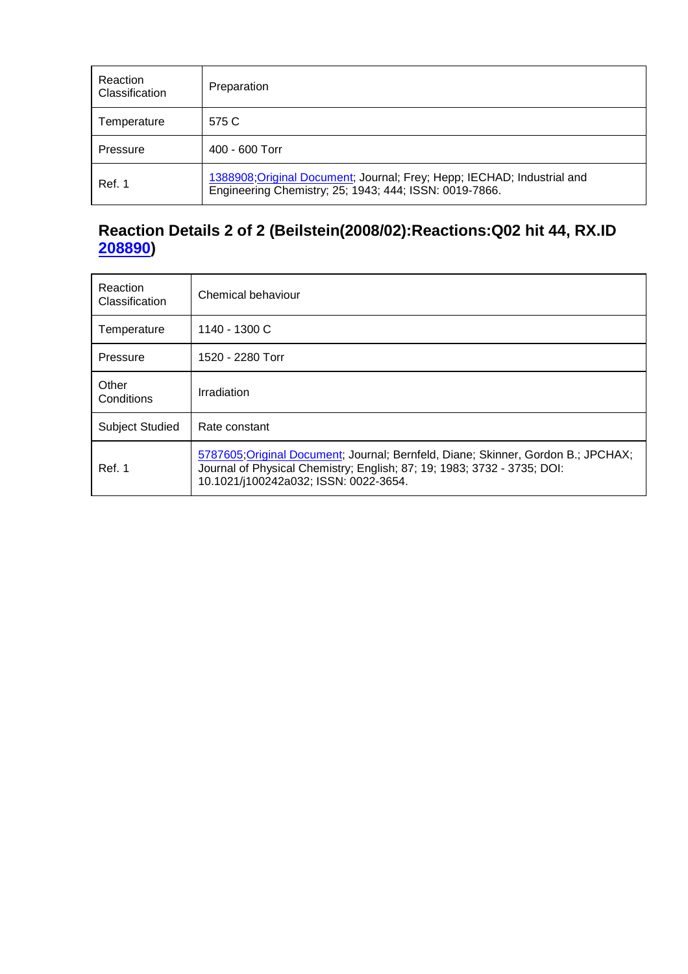| Reaction<br>Classification | Preparation                                                                                                                       |
|----------------------------|-----------------------------------------------------------------------------------------------------------------------------------|
| Temperature                | 575 C                                                                                                                             |
| Pressure                   | $400 - 600$ Torr                                                                                                                  |
| Ref. 1                     | 1388908; Original Document; Journal; Frey; Hepp; IECHAD; Industrial and<br>Engineering Chemistry; 25; 1943; 444; ISSN: 0019-7866. |

#### **Reaction Details 2 of 2 (Beilstein(2008/02):Reactions:Q02 hit 44, RX.ID 208890)**

| Reaction<br>Classification | Chemical behaviour                                                                                                                                                                                    |
|----------------------------|-------------------------------------------------------------------------------------------------------------------------------------------------------------------------------------------------------|
| Temperature                | 1140 - 1300 C                                                                                                                                                                                         |
| Pressure                   | 1520 - 2280 Torr                                                                                                                                                                                      |
| Other<br>Conditions        | Irradiation                                                                                                                                                                                           |
| <b>Subject Studied</b>     | Rate constant                                                                                                                                                                                         |
| Ref. 1                     | 5787605; Original Document; Journal; Bernfeld, Diane; Skinner, Gordon B.; JPCHAX;<br>Journal of Physical Chemistry; English; 87; 19; 1983; 3732 - 3735; DOI:<br>10.1021/j100242a032; ISSN: 0022-3654. |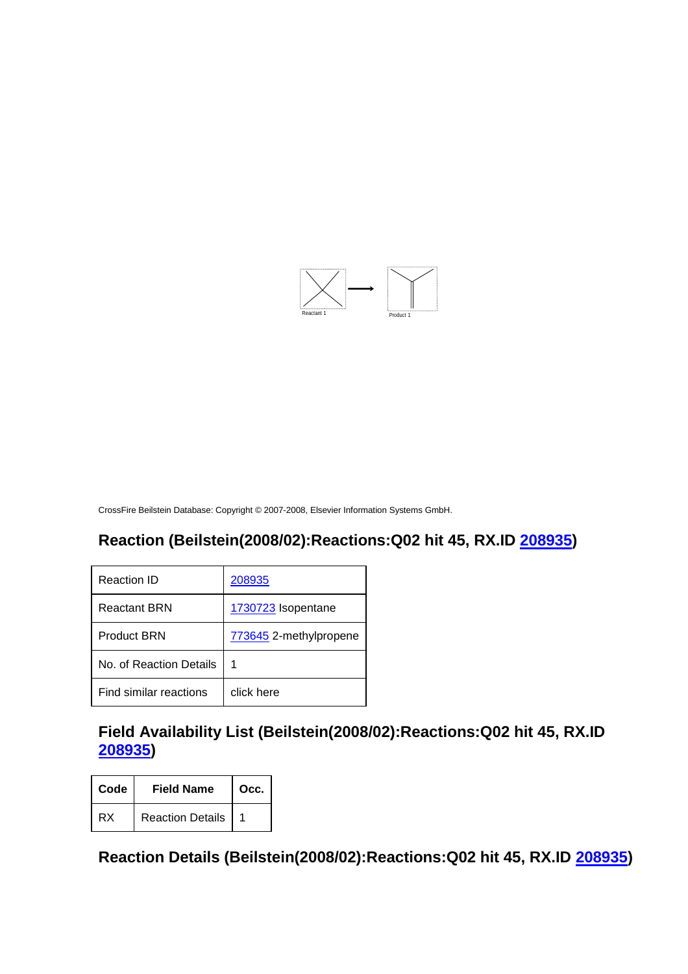

#### **Reaction (Beilstein(2008/02):Reactions:Q02 hit 45, RX.ID 208935)**

| Reaction ID             | 208935                 |
|-------------------------|------------------------|
| <b>Reactant BRN</b>     | 1730723 Isopentane     |
| <b>Product BRN</b>      | 773645 2-methylpropene |
| No. of Reaction Details | 1                      |
| Find similar reactions  | click here             |

# **Field Availability List (Beilstein(2008/02):Reactions:Q02 hit 45, RX.ID 208935)**

| Code | <b>Field Name</b> | Occ. |
|------|-------------------|------|
| RX   | Reaction Details  |      |

**Reaction Details (Beilstein(2008/02):Reactions:Q02 hit 45, RX.ID 208935)**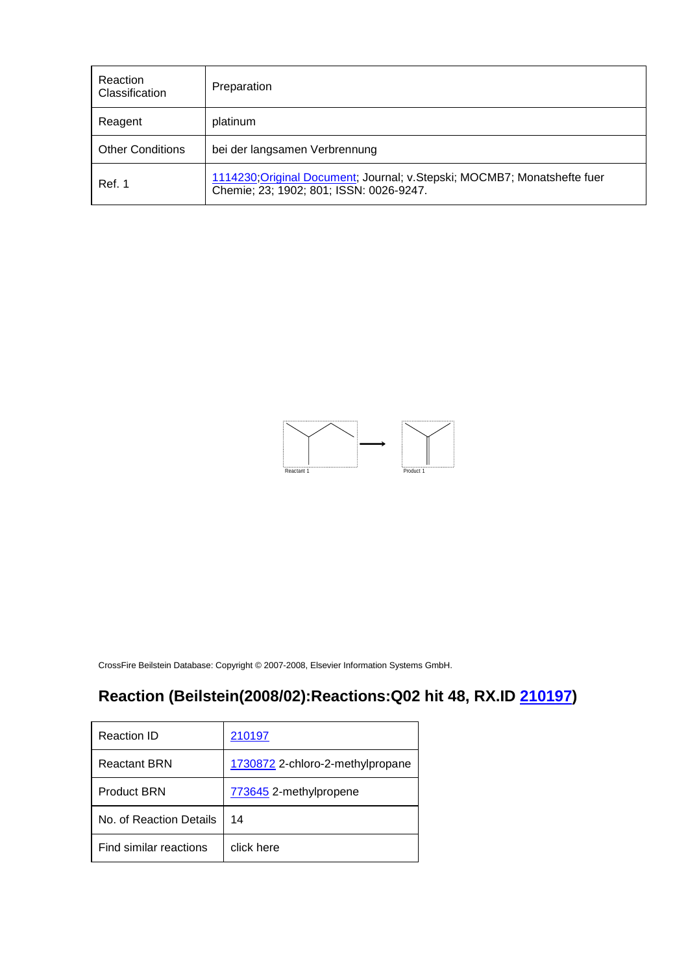| Reaction<br>Classification | Preparation                                                                                                          |
|----------------------------|----------------------------------------------------------------------------------------------------------------------|
| Reagent                    | platinum                                                                                                             |
| <b>Other Conditions</b>    | bei der langsamen Verbrennung                                                                                        |
| Ref. 1                     | 1114230; Original Document; Journal; v. Stepski; MOCMB7; Monatshefte fuer<br>Chemie; 23; 1902; 801; ISSN: 0026-9247. |



# **Reaction (Beilstein(2008/02):Reactions:Q02 hit 48, RX.ID 210197)**

| Reaction ID             | 210197                           |
|-------------------------|----------------------------------|
| <b>Reactant BRN</b>     | 1730872 2-chloro-2-methylpropane |
| <b>Product BRN</b>      | 773645 2-methylpropene           |
| No. of Reaction Details | 14                               |
| Find similar reactions  | click here                       |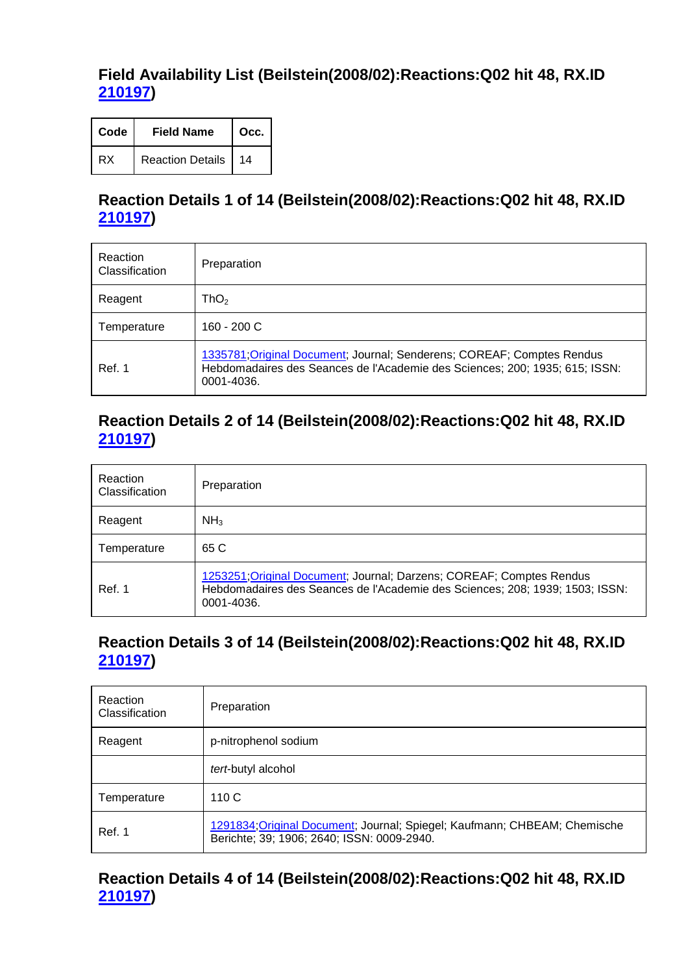#### **Field Availability List (Beilstein(2008/02):Reactions:Q02 hit 48, RX.ID 210197)**

| Code | <b>Field Name</b>       | Occ. |
|------|-------------------------|------|
| RX   | <b>Reaction Details</b> | 14   |

# **Reaction Details 1 of 14 (Beilstein(2008/02):Reactions:Q02 hit 48, RX.ID 210197)**

| Reaction<br>Classification | Preparation                                                                                                                                                         |
|----------------------------|---------------------------------------------------------------------------------------------------------------------------------------------------------------------|
| Reagent                    | $\mathsf{ThO}_2$                                                                                                                                                    |
| Temperature                | 160 - 200 C                                                                                                                                                         |
| Ref. 1                     | 1335781; Original Document; Journal; Senderens; COREAF; Comptes Rendus<br>Hebdomadaires des Seances de l'Academie des Sciences; 200; 1935; 615; ISSN:<br>0001-4036. |

#### **Reaction Details 2 of 14 (Beilstein(2008/02):Reactions:Q02 hit 48, RX.ID 210197)**

| Reaction<br>Classification | Preparation                                                                                                                                                        |
|----------------------------|--------------------------------------------------------------------------------------------------------------------------------------------------------------------|
| Reagent                    | NH <sub>3</sub>                                                                                                                                                    |
| Temperature                | 65 C                                                                                                                                                               |
| Ref. 1                     | 1253251; Original Document; Journal; Darzens; COREAF; Comptes Rendus<br>Hebdomadaires des Seances de l'Academie des Sciences; 208; 1939; 1503; ISSN:<br>0001-4036. |

# **Reaction Details 3 of 14 (Beilstein(2008/02):Reactions:Q02 hit 48, RX.ID 210197)**

| Reaction<br>Classification | Preparation                                                                                                             |
|----------------------------|-------------------------------------------------------------------------------------------------------------------------|
| Reagent                    | p-nitrophenol sodium                                                                                                    |
|                            | tert-butyl alcohol                                                                                                      |
| Temperature                | 110C                                                                                                                    |
| Ref. 1                     | 1291834; Original Document; Journal; Spiegel; Kaufmann; CHBEAM; Chemische<br>Berichte; 39; 1906; 2640; ISSN: 0009-2940. |

# **Reaction Details 4 of 14 (Beilstein(2008/02):Reactions:Q02 hit 48, RX.ID 210197)**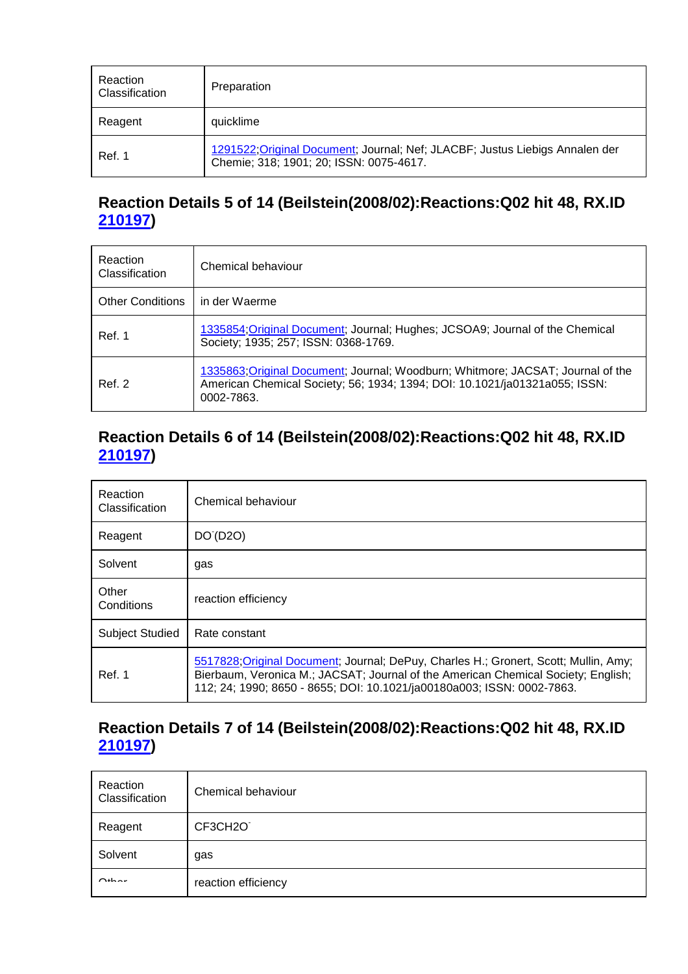| Reaction<br>Classification | Preparation                                                                                                             |
|----------------------------|-------------------------------------------------------------------------------------------------------------------------|
| Reagent                    | quicklime                                                                                                               |
| Ref. 1                     | 1291522; Original Document; Journal; Nef; JLACBF; Justus Liebigs Annalen der<br>Chemie; 318; 1901; 20; ISSN: 0075-4617. |

# **Reaction Details 5 of 14 (Beilstein(2008/02):Reactions:Q02 hit 48, RX.ID 210197)**

| Reaction<br><b>Classification</b> | Chemical behaviour                                                                                                                                                          |
|-----------------------------------|-----------------------------------------------------------------------------------------------------------------------------------------------------------------------------|
| <b>Other Conditions</b>           | in der Waerme                                                                                                                                                               |
| Ref. 1                            | 1335854, Original Document; Journal; Hughes; JCSOA9; Journal of the Chemical<br>Society; 1935; 257; ISSN: 0368-1769.                                                        |
| Ref. 2                            | 1335863, Original Document, Journal, Woodburn, Whitmore, JACSAT, Journal of the<br>American Chemical Society; 56; 1934; 1394; DOI: 10.1021/ja01321a055; ISSN:<br>0002-7863. |

#### **Reaction Details 6 of 14 (Beilstein(2008/02):Reactions:Q02 hit 48, RX.ID 210197)**

| Reaction<br>Classification | Chemical behaviour                                                                                                                                                                                                                                  |  |
|----------------------------|-----------------------------------------------------------------------------------------------------------------------------------------------------------------------------------------------------------------------------------------------------|--|
| Reagent                    | DO (D <sub>20</sub> )                                                                                                                                                                                                                               |  |
| Solvent                    | gas                                                                                                                                                                                                                                                 |  |
| Other<br>Conditions        | reaction efficiency                                                                                                                                                                                                                                 |  |
| <b>Subject Studied</b>     | Rate constant                                                                                                                                                                                                                                       |  |
| Ref. 1                     | 5517828; Original Document; Journal; DePuy, Charles H.; Gronert, Scott; Mullin, Amy;<br>Bierbaum, Veronica M.; JACSAT; Journal of the American Chemical Society; English;<br>112; 24; 1990; 8650 - 8655; DOI: 10.1021/ja00180a003; ISSN: 0002-7863. |  |

### **Reaction Details 7 of 14 (Beilstein(2008/02):Reactions:Q02 hit 48, RX.ID 210197)**

| Reaction<br>Classification | Chemical behaviour  |
|----------------------------|---------------------|
| Reagent                    | CF3CH2O             |
| Solvent                    | gas                 |
| $Q_{\text{th}}$            | reaction efficiency |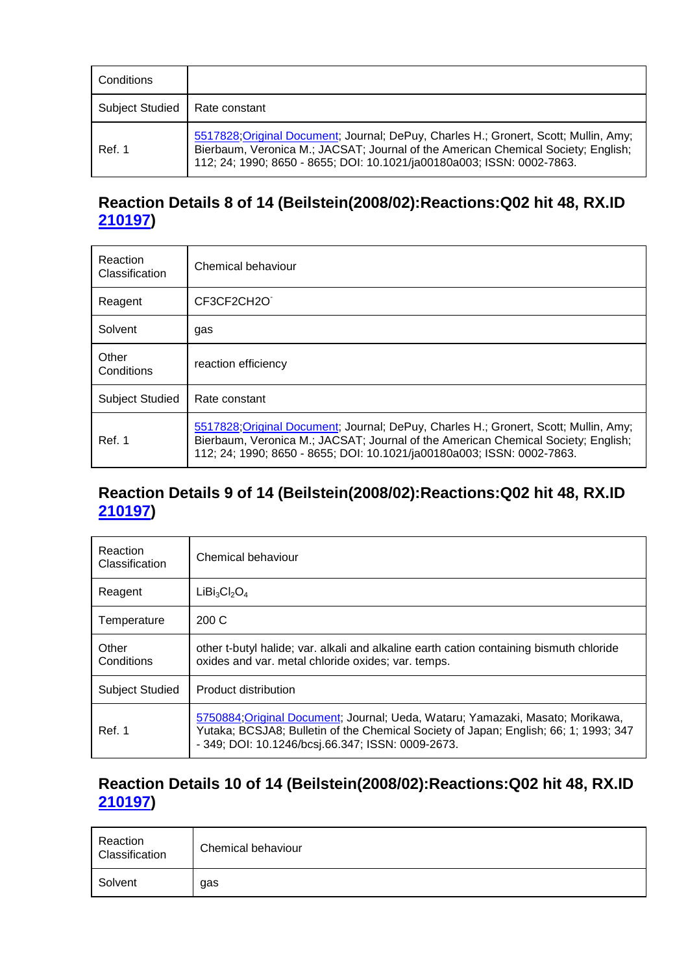| Conditions             |                                                                                                                                                                                                                                                     |  |
|------------------------|-----------------------------------------------------------------------------------------------------------------------------------------------------------------------------------------------------------------------------------------------------|--|
| <b>Subject Studied</b> | Rate constant                                                                                                                                                                                                                                       |  |
| Ref. 1                 | 5517828; Original Document; Journal; DePuy, Charles H.; Gronert, Scott; Mullin, Amy;<br>Bierbaum, Veronica M.; JACSAT; Journal of the American Chemical Society; English;<br>112; 24; 1990; 8650 - 8655; DOI: 10.1021/ja00180a003; ISSN: 0002-7863. |  |

### **Reaction Details 8 of 14 (Beilstein(2008/02):Reactions:Q02 hit 48, RX.ID 210197)**

| Reaction<br>Classification | Chemical behaviour                                                                                                                                                                                                                                  |  |
|----------------------------|-----------------------------------------------------------------------------------------------------------------------------------------------------------------------------------------------------------------------------------------------------|--|
| Reagent                    | CF3CF2CH2O                                                                                                                                                                                                                                          |  |
| Solvent                    | gas                                                                                                                                                                                                                                                 |  |
| Other<br>Conditions        | reaction efficiency                                                                                                                                                                                                                                 |  |
| <b>Subject Studied</b>     | Rate constant                                                                                                                                                                                                                                       |  |
| Ref. 1                     | 5517828; Original Document; Journal; DePuy, Charles H.; Gronert, Scott; Mullin, Amy;<br>Bierbaum, Veronica M.; JACSAT; Journal of the American Chemical Society; English;<br>112; 24; 1990; 8650 - 8655; DOI: 10.1021/ja00180a003; ISSN: 0002-7863. |  |

#### **Reaction Details 9 of 14 (Beilstein(2008/02):Reactions:Q02 hit 48, RX.ID 210197)**

| Reaction<br>Classification | Chemical behaviour                                                                                                                                                                                                          |  |
|----------------------------|-----------------------------------------------------------------------------------------------------------------------------------------------------------------------------------------------------------------------------|--|
| Reagent                    | $LiBi3Cl2O4$                                                                                                                                                                                                                |  |
| Temperature                | 200 C                                                                                                                                                                                                                       |  |
| Other<br>Conditions        | other t-butyl halide; var. alkali and alkaline earth cation containing bismuth chloride<br>oxides and var. metal chloride oxides; var. temps.                                                                               |  |
| <b>Subject Studied</b>     | Product distribution                                                                                                                                                                                                        |  |
| Ref. 1                     | 5750884; Original Document; Journal; Ueda, Wataru; Yamazaki, Masato; Morikawa,<br>Yutaka; BCSJA8; Bulletin of the Chemical Society of Japan; English; 66; 1; 1993; 347<br>- 349; DOI: 10.1246/bcsj.66.347; ISSN: 0009-2673. |  |

### **Reaction Details 10 of 14 (Beilstein(2008/02):Reactions:Q02 hit 48, RX.ID 210197)**

| Reaction<br>Classification | Chemical behaviour |
|----------------------------|--------------------|
| Solvent                    | gas                |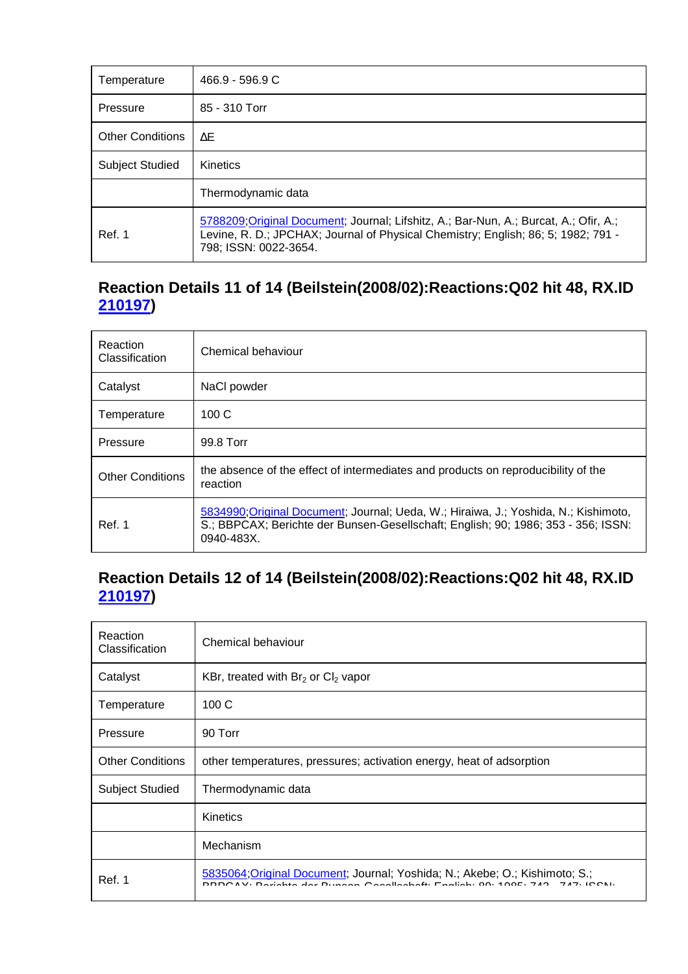| Temperature             | $466.9 - 596.9 C$                                                                                                                                                                                   |  |
|-------------------------|-----------------------------------------------------------------------------------------------------------------------------------------------------------------------------------------------------|--|
| Pressure                | 85 - 310 Torr                                                                                                                                                                                       |  |
| <b>Other Conditions</b> | ΛE.                                                                                                                                                                                                 |  |
| <b>Subject Studied</b>  | <b>Kinetics</b>                                                                                                                                                                                     |  |
|                         | Thermodynamic data                                                                                                                                                                                  |  |
| Ref. 1                  | 5788209; Original Document; Journal; Lifshitz, A.; Bar-Nun, A.; Burcat, A.; Ofir, A.;<br>Levine, R. D.; JPCHAX; Journal of Physical Chemistry; English; 86; 5; 1982; 791 -<br>798; ISSN: 0022-3654. |  |

# **Reaction Details 11 of 14 (Beilstein(2008/02):Reactions:Q02 hit 48, RX.ID 210197)**

| Reaction<br>Classification | Chemical behaviour                                                                                                                                                                        |  |
|----------------------------|-------------------------------------------------------------------------------------------------------------------------------------------------------------------------------------------|--|
| Catalyst                   | NaCl powder                                                                                                                                                                               |  |
| Temperature                | 100C                                                                                                                                                                                      |  |
| Pressure                   | 99.8 Torr                                                                                                                                                                                 |  |
| <b>Other Conditions</b>    | the absence of the effect of intermediates and products on reproducibility of the<br>reaction                                                                                             |  |
| Ref. 1                     | 5834990; Original Document; Journal; Ueda, W.; Hiraiwa, J.; Yoshida, N.; Kishimoto,<br>S.; BBPCAX; Berichte der Bunsen-Gesellschaft; English; 90; 1986; 353 - 356; ISSN:<br>$0940 - 483X$ |  |

# **Reaction Details 12 of 14 (Beilstein(2008/02):Reactions:Q02 hit 48, RX.ID 210197)**

| Reaction<br>Classification | Chemical behaviour                                                                                                                                          |  |
|----------------------------|-------------------------------------------------------------------------------------------------------------------------------------------------------------|--|
| Catalyst                   | KBr, treated with $Br2$ or Cl <sub>2</sub> vapor                                                                                                            |  |
| Temperature                | 100C                                                                                                                                                        |  |
| Pressure                   | 90 Torr                                                                                                                                                     |  |
| <b>Other Conditions</b>    | other temperatures, pressures; activation energy, heat of adsorption                                                                                        |  |
| <b>Subject Studied</b>     | Thermodynamic data                                                                                                                                          |  |
|                            | <b>Kinetics</b>                                                                                                                                             |  |
|                            | Mechanism                                                                                                                                                   |  |
| Ref. 1                     | 5835064;Original Document; Journal; Yoshida; N.; Akebe; O.; Kishimoto; S.;<br>DDDCAV: Derichte der Dungen Cesellscheft: English: 80: 100E: 742 - 747: ICON: |  |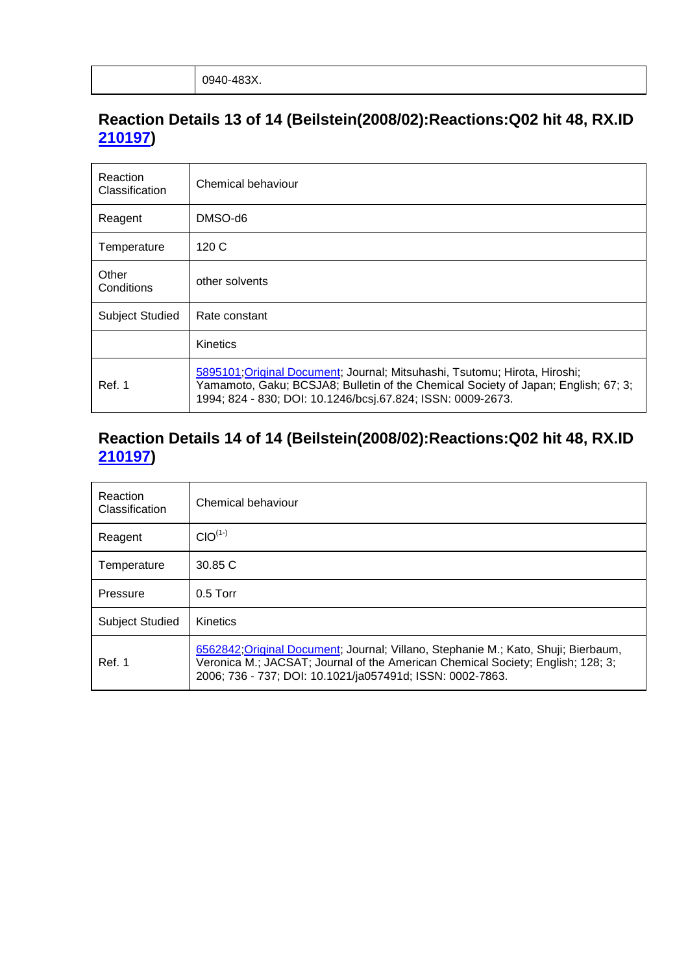# **Reaction Details 13 of 14 (Beilstein(2008/02):Reactions:Q02 hit 48, RX.ID 210197)**

| Reaction<br>Classification | Chemical behaviour                                                                                                                                                                                                              |  |
|----------------------------|---------------------------------------------------------------------------------------------------------------------------------------------------------------------------------------------------------------------------------|--|
| Reagent                    | DMSO-d6                                                                                                                                                                                                                         |  |
| Temperature                | 120 C                                                                                                                                                                                                                           |  |
| Other<br>Conditions        | other solvents                                                                                                                                                                                                                  |  |
| <b>Subject Studied</b>     | Rate constant                                                                                                                                                                                                                   |  |
|                            | Kinetics                                                                                                                                                                                                                        |  |
| Ref. 1                     | 5895101; Original Document; Journal; Mitsuhashi, Tsutomu; Hirota, Hiroshi;<br>Yamamoto, Gaku; BCSJA8; Bulletin of the Chemical Society of Japan; English; 67; 3;<br>1994; 824 - 830; DOI: 10.1246/bcsj.67.824; ISSN: 0009-2673. |  |

# **Reaction Details 14 of 14 (Beilstein(2008/02):Reactions:Q02 hit 48, RX.ID 210197)**

| Reaction<br><b>Classification</b> | Chemical behaviour                                                                                                                                                                                                                 |  |
|-----------------------------------|------------------------------------------------------------------------------------------------------------------------------------------------------------------------------------------------------------------------------------|--|
| Reagent                           | $CIO^{(1-)}$                                                                                                                                                                                                                       |  |
| Temperature                       | 30.85 C                                                                                                                                                                                                                            |  |
| Pressure                          | $0.5$ Torr                                                                                                                                                                                                                         |  |
| <b>Subject Studied</b>            | Kinetics                                                                                                                                                                                                                           |  |
| Ref. 1                            | 6562842; Original Document; Journal; Villano, Stephanie M.; Kato, Shuji; Bierbaum,<br>Veronica M.; JACSAT; Journal of the American Chemical Society; English; 128; 3;<br>2006; 736 - 737; DOI: 10.1021/ja057491d; ISSN: 0002-7863. |  |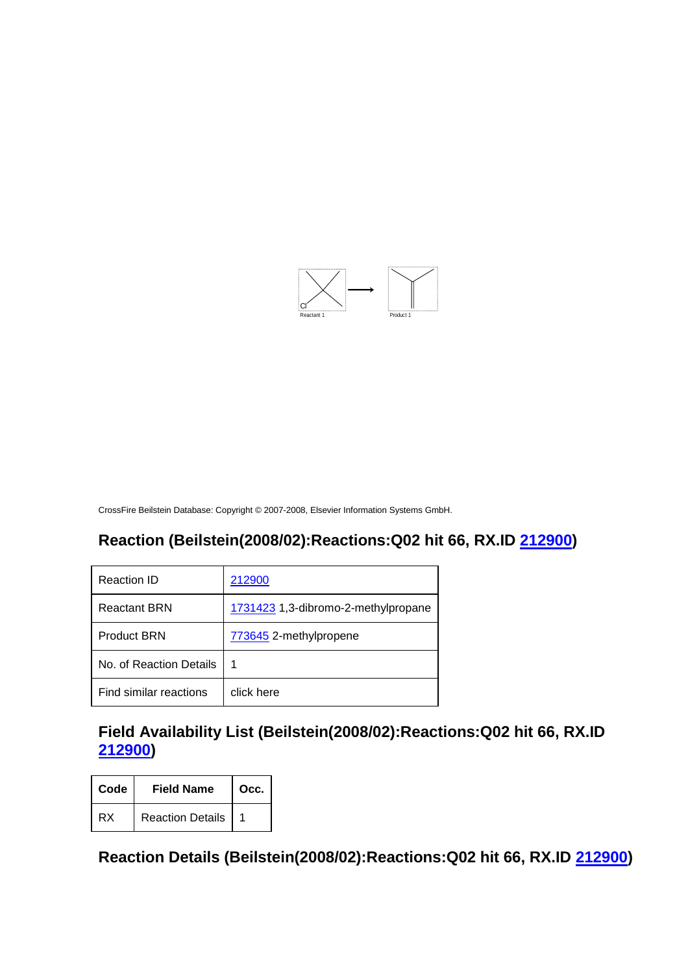

#### **Reaction (Beilstein(2008/02):Reactions:Q02 hit 66, RX.ID 212900)**

| Reaction ID             | 212900                              |
|-------------------------|-------------------------------------|
| <b>Reactant BRN</b>     | 1731423 1,3-dibromo-2-methylpropane |
| <b>Product BRN</b>      | 773645 2-methylpropene              |
| No. of Reaction Details | 1                                   |
| Find similar reactions  | click here                          |

# **Field Availability List (Beilstein(2008/02):Reactions:Q02 hit 66, RX.ID 212900)**

| Code | <b>Field Name</b>       | Occ. |
|------|-------------------------|------|
| RX   | <b>Reaction Details</b> |      |

**Reaction Details (Beilstein(2008/02):Reactions:Q02 hit 66, RX.ID 212900)**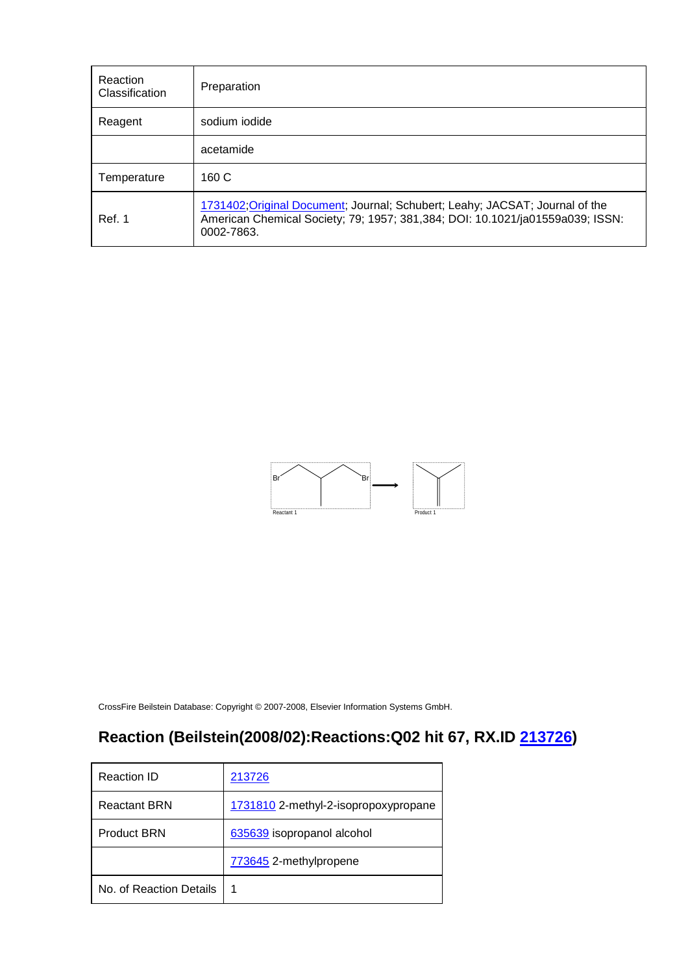| Reaction<br>Classification | Preparation                                                                                                                                                                 |
|----------------------------|-----------------------------------------------------------------------------------------------------------------------------------------------------------------------------|
| Reagent                    | sodium iodide                                                                                                                                                               |
|                            | acetamide                                                                                                                                                                   |
| Temperature                | 160 C                                                                                                                                                                       |
| Ref. 1                     | 1731402; Original Document; Journal; Schubert; Leahy; JACSAT; Journal of the<br>American Chemical Society; 79; 1957; 381,384; DOI: 10.1021/ja01559a039; ISSN:<br>0002-7863. |



# **Reaction (Beilstein(2008/02):Reactions:Q02 hit 67, RX.ID 213726)**

| Reaction ID             | 213726                               |
|-------------------------|--------------------------------------|
| <b>Reactant BRN</b>     | 1731810 2-methyl-2-isopropoxypropane |
| <b>Product BRN</b>      | 635639 isopropanol alcohol           |
|                         | 773645 2-methylpropene               |
| No. of Reaction Details | 1                                    |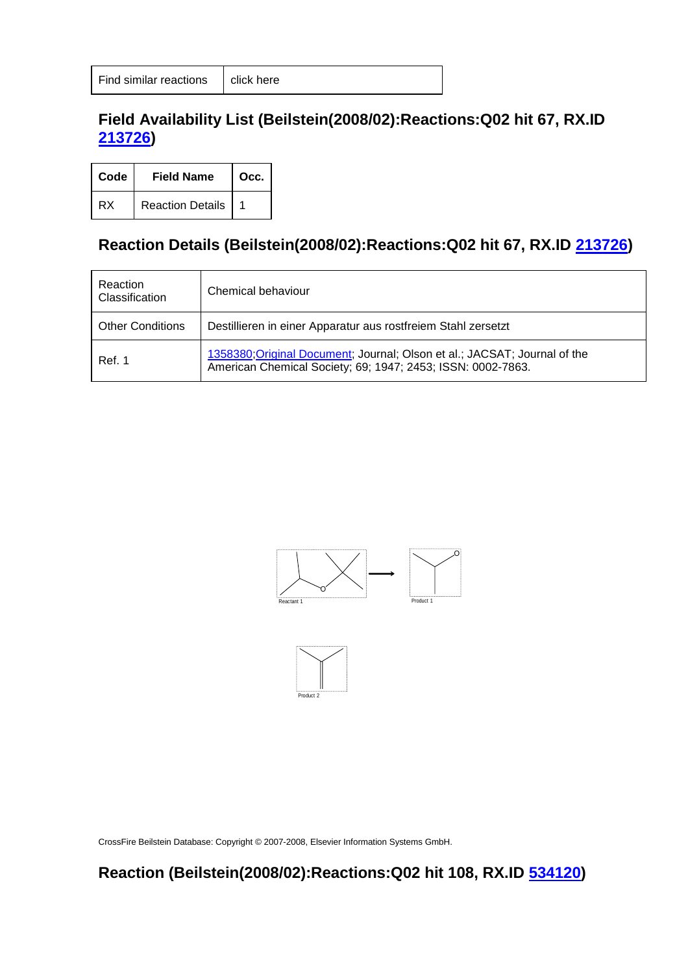#### **Field Availability List (Beilstein(2008/02):Reactions:Q02 hit 67, RX.ID 213726)**

| Code | <b>Field Name</b>       | Occ. |
|------|-------------------------|------|
| RX   | <b>Reaction Details</b> |      |

# **Reaction Details (Beilstein(2008/02):Reactions:Q02 hit 67, RX.ID 213726)**

| Reaction<br>Classification | Chemical behaviour                                                                                                                       |
|----------------------------|------------------------------------------------------------------------------------------------------------------------------------------|
| <b>Other Conditions</b>    | Destillieren in einer Apparatur aus rostfreiem Stahl zersetzt                                                                            |
| Ref. 1                     | 1358380; Original Document; Journal; Olson et al.; JACSAT; Journal of the<br>American Chemical Society; 69; 1947; 2453; ISSN: 0002-7863. |





CrossFire Beilstein Database: Copyright © 2007-2008, Elsevier Information Systems GmbH.

**Reaction (Beilstein(2008/02):Reactions:Q02 hit 108, RX.ID 534120)**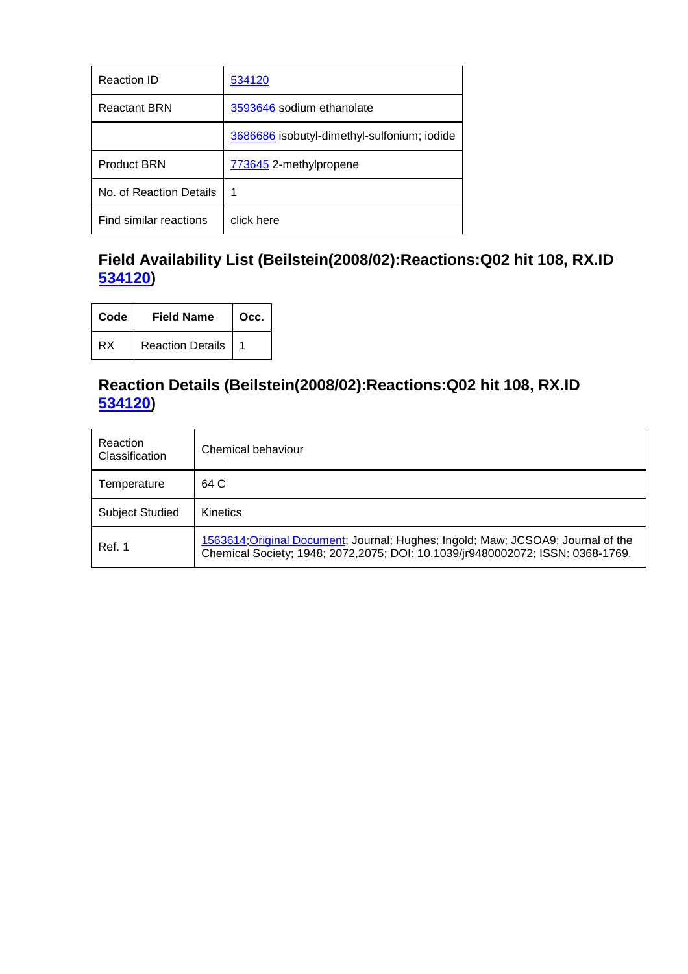| Reaction ID             | 534120                                      |
|-------------------------|---------------------------------------------|
| <b>Reactant BRN</b>     | 3593646 sodium ethanolate                   |
|                         | 3686686 isobutyl-dimethyl-sulfonium; iodide |
| <b>Product BRN</b>      | 773645 2-methylpropene                      |
| No. of Reaction Details | 1                                           |
| Find similar reactions  | click here                                  |

# **Field Availability List (Beilstein(2008/02):Reactions:Q02 hit 108, RX.ID 534120)**

| Code | <b>Field Name</b>       | Occ. |
|------|-------------------------|------|
| RX   | <b>Reaction Details</b> |      |

#### **Reaction Details (Beilstein(2008/02):Reactions:Q02 hit 108, RX.ID 534120)**

| Reaction<br>Classification | Chemical behaviour                                                                                                                                                  |
|----------------------------|---------------------------------------------------------------------------------------------------------------------------------------------------------------------|
| Temperature                | 64 C                                                                                                                                                                |
| <b>Subject Studied</b>     | <b>Kinetics</b>                                                                                                                                                     |
| Ref. 1                     | 1563614; Original Document; Journal; Hughes; Ingold; Maw; JCSOA9; Journal of the<br>Chemical Society; 1948; 2072, 2075; DOI: 10.1039/jr9480002072; ISSN: 0368-1769. |